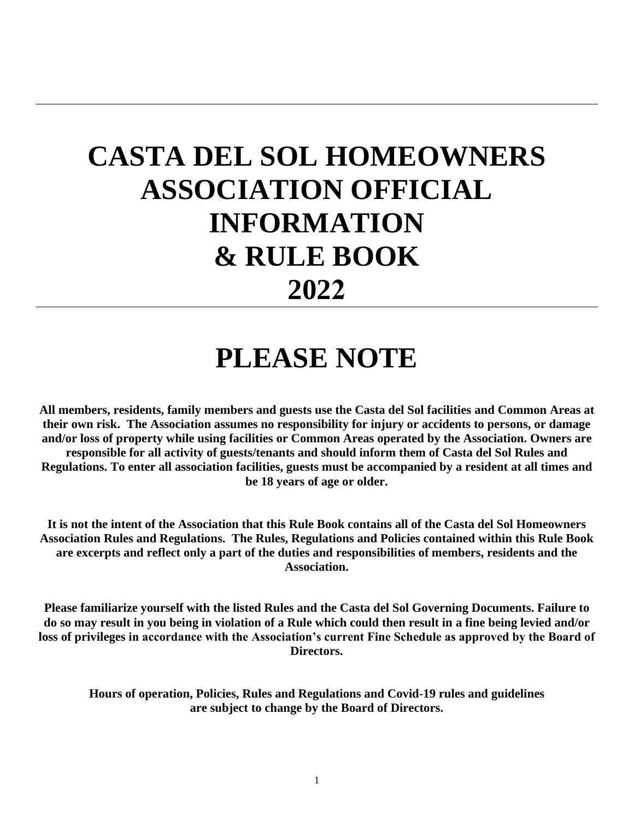## **CASTA DEL SOL HOMEOWNERS ASSOCIATION OFFICIAL INFORMATION & RULE BOOK 2022**

## **PLEASE NOTE**

**All members, residents, family members and guests use the Casta del Sol facilities and Common Areas at their own risk. The Association assumes no responsibility for injury or accidents to persons, or damage and/or loss of property while using facilities or Common Areas operated by the Association. Owners are responsible for all activity of guests/tenants and should inform them of Casta del Sol Rules and Regulations. To enter all association facilities, guests must be accompanied by a resident at all times and be 18 years of age or older.**

**It is not the intent of the Association that this Rule Book contains all of the Casta del Sol Homeowners Association Rules and Regulations. The Rules, Regulations and Policies contained within this Rule Book are excerpts and reflect only a part of the duties and responsibilities of members, residents and the Association.**

**Please familiarize yourself with the listed Rules and the Casta del Sol Governing Documents. Failure to do so may result in you being in violation of a Rule which could then result in a fine being levied and/or loss of privileges in accordance with the Association's current Fine Schedule as approved by the Board of Directors.**

**Hours of operation, Policies, Rules and Regulations and Covid-19 rules and guidelines are subject to change by the Board of Directors.**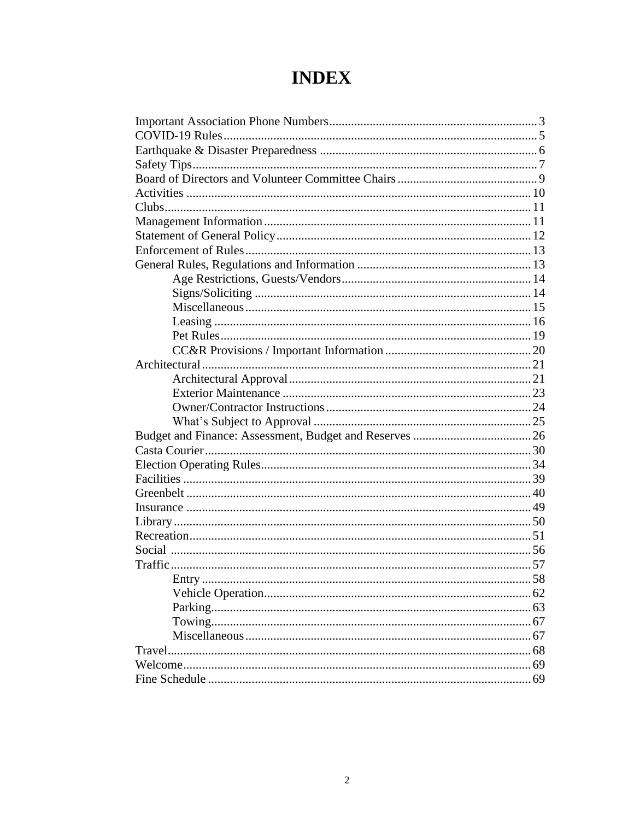## **INDEX**

| Entry |  |
|-------|--|
|       |  |
|       |  |
|       |  |
|       |  |
|       |  |
|       |  |
|       |  |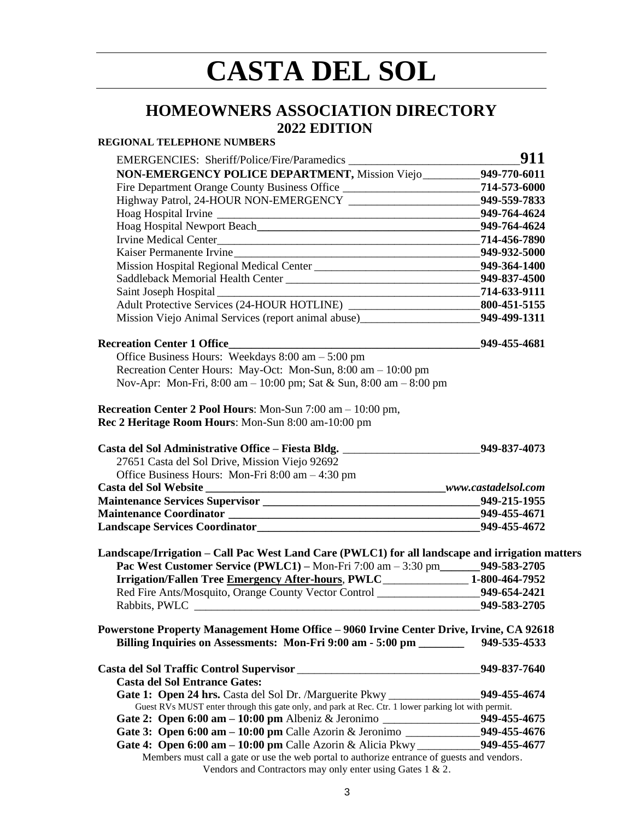## **CASTA DEL SOL**

### **HOMEOWNERS ASSOCIATION DIRECTORY 2022 EDITION**

### **REGIONAL TELEPHONE NUMBERS**

| NON-EMERGENCY POLICE DEPARTMENT, Mission Viejo__________949-770-6011                                                                                                               |                |
|------------------------------------------------------------------------------------------------------------------------------------------------------------------------------------|----------------|
| Fire Department Orange County Business Office _____________________________714-573-6000                                                                                            |                |
| Highway Patrol, 24-HOUR NON-EMERGENCY ___________________________949-559-7833                                                                                                      |                |
|                                                                                                                                                                                    | 949-764-4624   |
|                                                                                                                                                                                    |                |
|                                                                                                                                                                                    |                |
| Kaiser Permanente Irvine                                                                                                                                                           | 949-932-5000   |
| Mission Hospital Regional Medical Center __________________________________949-364-1400                                                                                            |                |
|                                                                                                                                                                                    | 949-837-4500   |
| $-714-633-9111$<br>Saint Joseph Hospital                                                                                                                                           |                |
|                                                                                                                                                                                    |                |
| Mission Viejo Animal Services (report animal abuse) 949-499-1311                                                                                                                   |                |
| <b>Recreation Center 1 Office</b>                                                                                                                                                  | $949-455-4681$ |
| Office Business Hours: Weekdays $8:00 \text{ am} - 5:00 \text{ pm}$                                                                                                                |                |
| Recreation Center Hours: May-Oct: Mon-Sun, 8:00 am - 10:00 pm                                                                                                                      |                |
| Nov-Apr: Mon-Fri, 8:00 am - 10:00 pm; Sat & Sun, 8:00 am - 8:00 pm                                                                                                                 |                |
| Recreation Center 2 Pool Hours: Mon-Sun 7:00 am - 10:00 pm,                                                                                                                        |                |
| Rec 2 Heritage Room Hours: Mon-Sun 8:00 am-10:00 pm                                                                                                                                |                |
| Casta del Sol Administrative Office – Fiesta Bldg. 549-837-4073                                                                                                                    |                |
| 27651 Casta del Sol Drive, Mission Viejo 92692                                                                                                                                     |                |
| Office Business Hours: Mon-Fri 8:00 am - 4:30 pm                                                                                                                                   |                |
|                                                                                                                                                                                    |                |
|                                                                                                                                                                                    |                |
|                                                                                                                                                                                    |                |
|                                                                                                                                                                                    |                |
| Landscape/Irrigation - Call Pac West Land Care (PWLC1) for all landscape and irrigation matters<br>Pac West Customer Service (PWLC1) - Mon-Fri 7:00 am - 3:30 pm______949-583-2705 |                |
| Irrigation/Fallen Tree Emergency After-hours, PWLC_______________1-800-464-7952                                                                                                    |                |
| Red Fire Ants/Mosquito, Orange County Vector Control ____________________949-654-2421                                                                                              |                |
|                                                                                                                                                                                    | 949-583-2705   |
| Powerstone Property Management Home Office – 9060 Irvine Center Drive, Irvine, CA 92618                                                                                            |                |
| Billing Inquiries on Assessments: Mon-Fri 9:00 am - 5:00 pm ______                                                                                                                 | 949-535-4533   |
| Casta del Sol Traffic Control Supervisor<br><u>Legendon Automobile Supervisor</u>                                                                                                  | 949-837-7640   |
| <b>Casta del Sol Entrance Gates:</b>                                                                                                                                               |                |
| Gate 1: Open 24 hrs. Casta del Sol Dr. /Marguerite Pkwy ________________________                                                                                                   | 949-455-4674   |
| Guest RVs MUST enter through this gate only, and park at Rec. Ctr. 1 lower parking lot with permit.                                                                                |                |
| Gate 2: Open 6:00 am - 10:00 pm Albeniz & Jeronimo ______________________949-455-4675                                                                                              |                |
| Gate 3: Open 6:00 am - 10:00 pm Calle Azorin & Jeronimo ______________949-455-4676                                                                                                 |                |
| Gate 4: Open 6:00 am - 10:00 pm Calle Azorin & Alicia Pkwy _____________949-455-4677                                                                                               |                |
| Members must call a gate or use the web portal to authorize entrance of guests and vendors.<br>Vendors and Contractors may only enter using Gates $1 \& 2$ .                       |                |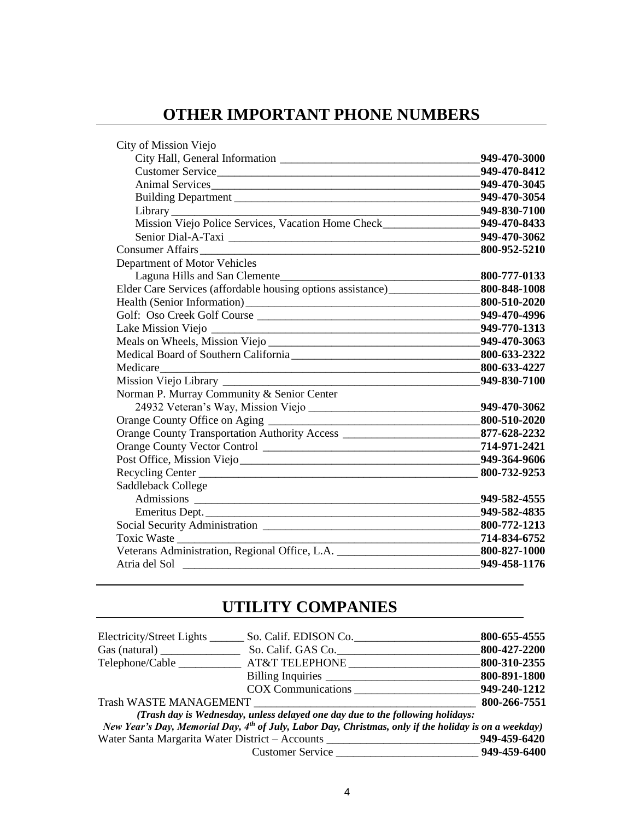## **OTHER IMPORTANT PHONE NUMBERS**

| City of Mission Viejo                                                                          |              |
|------------------------------------------------------------------------------------------------|--------------|
|                                                                                                | 949-470-3000 |
| Customer Service                                                                               | 949-470-8412 |
|                                                                                                | 949-470-3045 |
| Building Department                                                                            | 949-470-3054 |
|                                                                                                | 949-830-7100 |
| Mission Viejo Police Services, Vacation Home Check________________949-470-8433                 |              |
|                                                                                                | 949-470-3062 |
| <b>Consumer Affairs</b>                                                                        | 800-952-5210 |
| Department of Motor Vehicles                                                                   |              |
|                                                                                                |              |
| Elder Care Services (affordable housing options assistance) ______________________800-848-1008 |              |
|                                                                                                | 800-510-2020 |
|                                                                                                |              |
|                                                                                                | 949-770-1313 |
|                                                                                                |              |
|                                                                                                |              |
| Medicare 800-633-4227                                                                          |              |
|                                                                                                | 949-830-7100 |
| Norman P. Murray Community & Senior Center                                                     |              |
|                                                                                                | 949-470-3062 |
|                                                                                                |              |
| Orange County Transportation Authority Access __________________________877-628-2232           |              |
|                                                                                                |              |
|                                                                                                |              |
| Recycling Center 800-732-9253                                                                  |              |
| Saddleback College                                                                             |              |
|                                                                                                | 949-582-4555 |
|                                                                                                | 949-582-4835 |
|                                                                                                |              |
| Toxic Waste                                                                                    |              |
| Veterans Administration, Regional Office, L.A. _________________________________800-827-1000   |              |
|                                                                                                | 949-458-1176 |
|                                                                                                |              |

## **UTILITY COMPANIES**

| Electricity/Street Lights     | So. Calif. EDISON Co.                                                                                             | 800-655-4555 |
|-------------------------------|-------------------------------------------------------------------------------------------------------------------|--------------|
| Gas (natural)                 | So. Calif. GAS Co.                                                                                                | 800-427-2200 |
| Telephone/Cable               | <b>AT&amp;T TELEPHONE</b>                                                                                         | 800-310-2355 |
|                               | Billing Inquiries                                                                                                 | 800-891-1800 |
|                               | <b>COX Communications</b>                                                                                         | 949-240-1212 |
| <b>Trash WASTE MANAGEMENT</b> |                                                                                                                   | 800-266-7551 |
|                               | (Trash day is Wednesday, unless delayed one day due to the following holidays:                                    |              |
|                               | New Year's Day, Memorial Day, 4 <sup>th</sup> of July, Labor Day, Christmas, only if the holiday is on a weekday) |              |
|                               | Water Santa Margarita Water District – Accounts                                                                   | 949-459-6420 |
|                               | <b>Customer Service</b>                                                                                           | 949-459-6400 |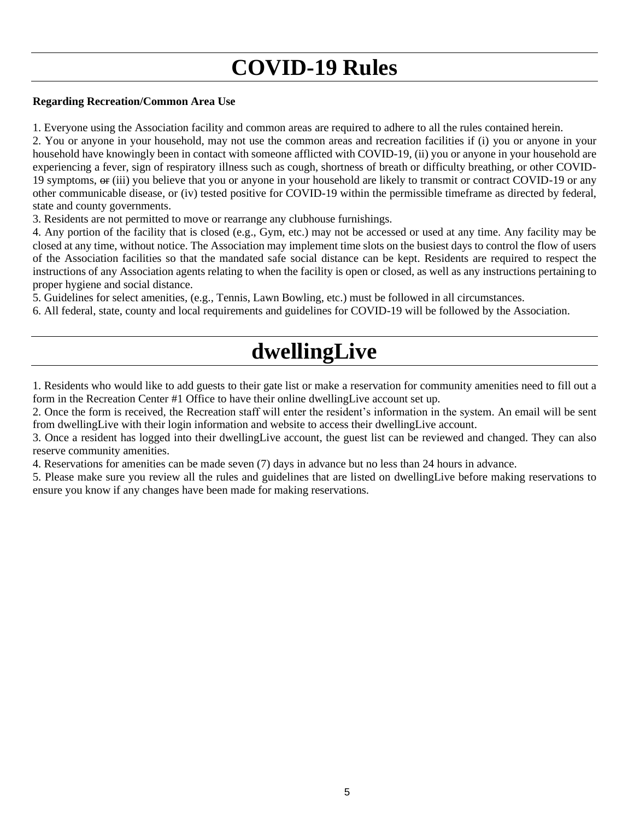## **COVID-19 Rules**

### **Regarding Recreation/Common Area Use**

1. Everyone using the Association facility and common areas are required to adhere to all the rules contained herein.

2. You or anyone in your household, may not use the common areas and recreation facilities if (i) you or anyone in your household have knowingly been in contact with someone afflicted with COVID-19, (ii) you or anyone in your household are experiencing a fever, sign of respiratory illness such as cough, shortness of breath or difficulty breathing, or other COVID-19 symptoms,  $\Theta$  (iii) you believe that you or anyone in your household are likely to transmit or contract COVID-19 or any other communicable disease, or (iv) tested positive for COVID-19 within the permissible timeframe as directed by federal, state and county governments.

3. Residents are not permitted to move or rearrange any clubhouse furnishings.

4. Any portion of the facility that is closed (e.g., Gym, etc.) may not be accessed or used at any time. Any facility may be closed at any time, without notice. The Association may implement time slots on the busiest days to control the flow of users of the Association facilities so that the mandated safe social distance can be kept. Residents are required to respect the instructions of any Association agents relating to when the facility is open or closed, as well as any instructions pertaining to proper hygiene and social distance.

5. Guidelines for select amenities, (e.g., Tennis, Lawn Bowling, etc.) must be followed in all circumstances.

6. All federal, state, county and local requirements and guidelines for COVID-19 will be followed by the Association.

## **dwellingLive**

1. Residents who would like to add guests to their gate list or make a reservation for community amenities need to fill out a form in the Recreation Center #1 Office to have their online dwellingLive account set up.

2. Once the form is received, the Recreation staff will enter the resident's information in the system. An email will be sent from dwellingLive with their login information and website to access their dwellingLive account.

3. Once a resident has logged into their dwellingLive account, the guest list can be reviewed and changed. They can also reserve community amenities.

4. Reservations for amenities can be made seven (7) days in advance but no less than 24 hours in advance.

5. Please make sure you review all the rules and guidelines that are listed on dwellingLive before making reservations to ensure you know if any changes have been made for making reservations.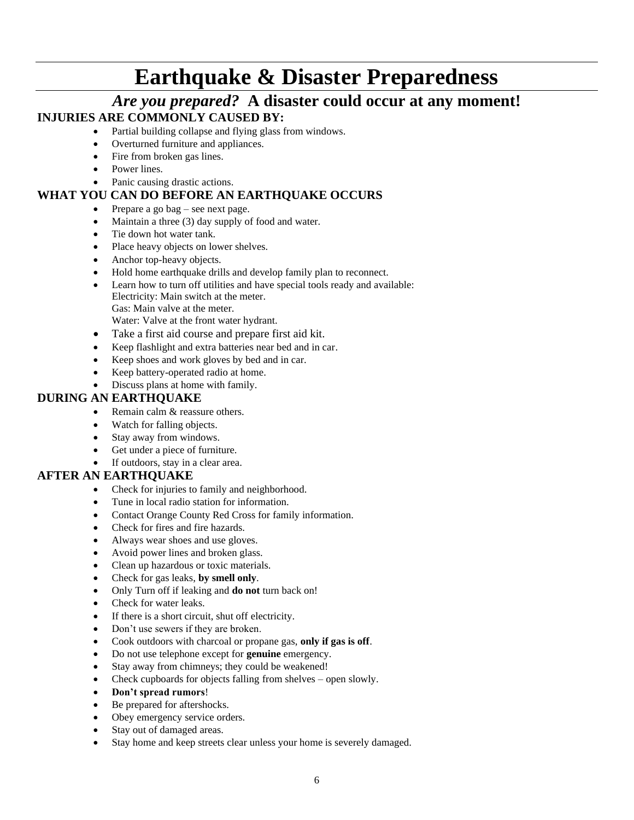## **Earthquake & Disaster Preparedness**

### *Are you prepared?* **A disaster could occur at any moment! INJURIES ARE COMMONLY CAUSED BY:**

- Partial building collapse and flying glass from windows.
	- Overturned furniture and appliances.
	- Fire from broken gas lines.
	- Power lines.
	- Panic causing drastic actions.

### **WHAT YOU CAN DO BEFORE AN EARTHQUAKE OCCURS**

- Prepare a go bag see next page.
- Maintain a three (3) day supply of food and water.
- Tie down hot water tank.
- Place heavy objects on lower shelves.
- Anchor top-heavy objects.
- Hold home earthquake drills and develop family plan to reconnect.
- Learn how to turn off utilities and have special tools ready and available: Electricity: Main switch at the meter. Gas: Main valve at the meter.
	- Water: Valve at the front water hydrant.
- Take a first aid course and prepare first aid kit.
- Keep flashlight and extra batteries near bed and in car.
- Keep shoes and work gloves by bed and in car.
- Keep battery-operated radio at home.
- Discuss plans at home with family.

### **DURING AN EARTHQUAKE**

- Remain calm & reassure others.
- Watch for falling objects.
- Stay away from windows.
- Get under a piece of furniture.
- If outdoors, stay in a clear area.

### **AFTER AN EARTHQUAKE**

- Check for injuries to family and neighborhood.
- Tune in local radio station for information.
- Contact Orange County Red Cross for family information.
- Check for fires and fire hazards.
- Always wear shoes and use gloves.
- Avoid power lines and broken glass.
- Clean up hazardous or toxic materials.
- Check for gas leaks, **by smell only**.
- Only Turn off if leaking and **do not** turn back on!
- Check for water leaks.
- If there is a short circuit, shut off electricity.
- Don't use sewers if they are broken.
- Cook outdoors with charcoal or propane gas, **only if gas is off**.
- Do not use telephone except for **genuine** emergency.
- Stay away from chimneys; they could be weakened!
- Check cupboards for objects falling from shelves open slowly.
- **Don't spread rumors**!
- Be prepared for aftershocks.
- Obey emergency service orders.
- Stay out of damaged areas.
- Stay home and keep streets clear unless your home is severely damaged.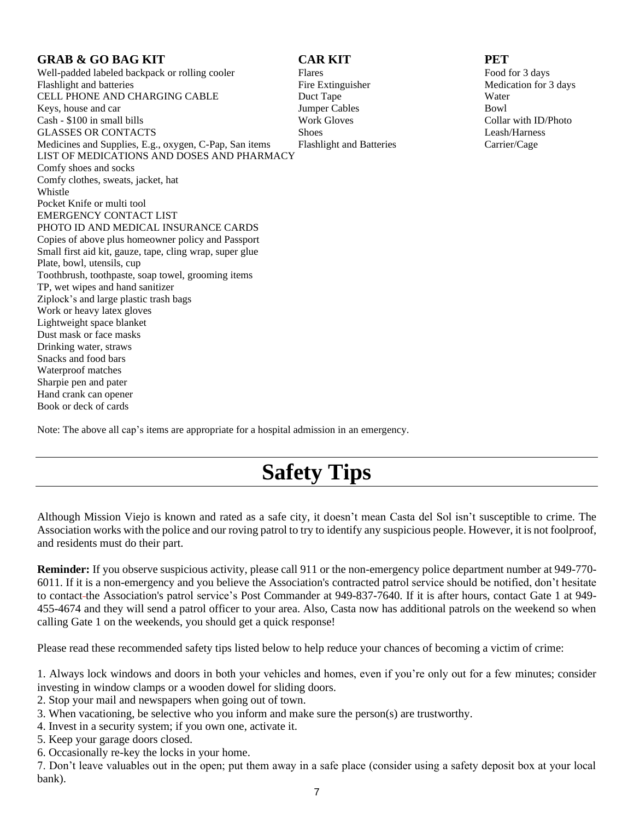### **GRAB & GO BAG KIT CAR KIT PET**

Well-padded labeled backpack or rolling cooler Flares Faces Food for 3 days Flashlight and batteries Fire Extinguisher Fire Extinguisher Medication for 3 days CELL PHONE AND CHARGING CABLE Duct Tape Water Keys, house and car **IUMPER CABLES** Bowl Cash - \$100 in small bills Work Gloves Collar with ID/Photo GLASSES OR CONTACTS Shoes Shoes Eeash/Harness Medicines and Supplies, E.g., oxygen, C-Pap, San items Flashlight and Batteries Carrier/Cage LIST OF MEDICATIONS AND DOSES AND PHARMACY Comfy shoes and socks Comfy clothes, sweats, jacket, hat Whistle Pocket Knife or multi tool EMERGENCY CONTACT LIST PHOTO ID AND MEDICAL INSURANCE CARDS Copies of above plus homeowner policy and Passport Small first aid kit, gauze, tape, cling wrap, super glue Plate, bowl, utensils, cup Toothbrush, toothpaste, soap towel, grooming items TP, wet wipes and hand sanitizer Ziplock's and large plastic trash bags Work or heavy latex gloves Lightweight space blanket Dust mask or face masks Drinking water, straws Snacks and food bars Waterproof matches Sharpie pen and pater Hand crank can opener Book or deck of cards

Note: The above all cap's items are appropriate for a hospital admission in an emergency.

## **Safety Tips**

Although Mission Viejo is known and rated as a safe city, it doesn't mean Casta del Sol isn't susceptible to crime. The Association works with the police and our roving patrol to try to identify any suspicious people. However, it is not foolproof, and residents must do their part.

**Reminder:** If you observe suspicious activity, please call 911 or the non-emergency police department number at 949-770- 6011. If it is a non-emergency and you believe the Association's contracted patrol service should be notified, don't hesitate to contact the Association's patrol service's Post Commander at 949-837-7640. If it is after hours, contact Gate 1 at 949- 455-4674 and they will send a patrol officer to your area. Also, Casta now has additional patrols on the weekend so when calling Gate 1 on the weekends, you should get a quick response!

Please read these recommended safety tips listed below to help reduce your chances of becoming a victim of crime:

1. Always lock windows and doors in both your vehicles and homes, even if you're only out for a few minutes; consider investing in window clamps or a wooden dowel for sliding doors.

2. Stop your mail and newspapers when going out of town.

3. When vacationing, be selective who you inform and make sure the person(s) are trustworthy.

4. Invest in a security system; if you own one, activate it.

5. Keep your garage doors closed.

6. Occasionally re-key the locks in your home.

7. Don't leave valuables out in the open; put them away in a safe place (consider using a safety deposit box at your local bank).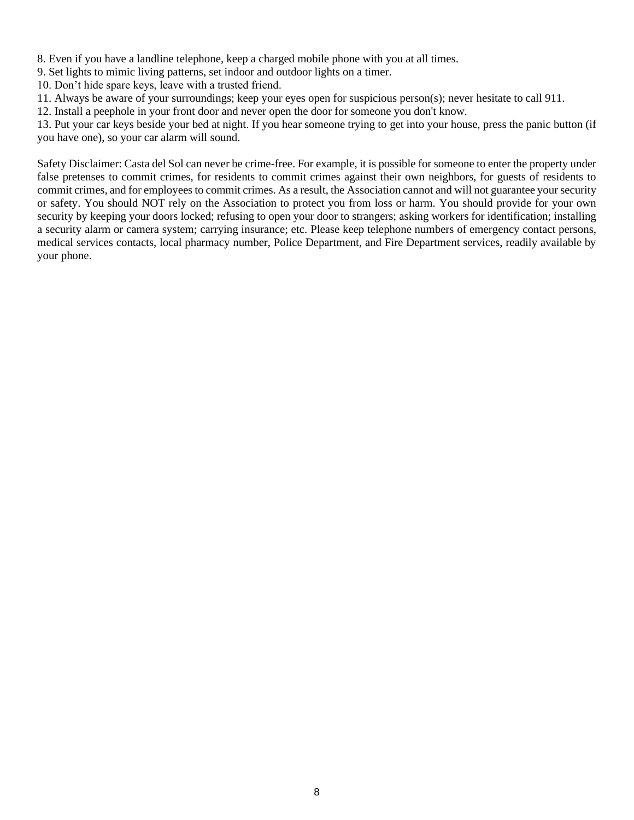8. Even if you have a landline telephone, keep a charged mobile phone with you at all times.

9. Set lights to mimic living patterns, set indoor and outdoor lights on a timer.

10. Don't hide spare keys, leave with a trusted friend.

11. Always be aware of your surroundings; keep your eyes open for suspicious person(s); never hesitate to call 911.

12. Install a peephole in your front door and never open the door for someone you don't know.

13. Put your car keys beside your bed at night. If you hear someone trying to get into your house, press the panic button (if you have one), so your car alarm will sound.

Safety Disclaimer: Casta del Sol can never be crime-free. For example, it is possible for someone to enter the property under false pretenses to commit crimes, for residents to commit crimes against their own neighbors, for guests of residents to commit crimes, and for employees to commit crimes. As a result, the Association cannot and will not guarantee your security or safety. You should NOT rely on the Association to protect you from loss or harm. You should provide for your own security by keeping your doors locked; refusing to open your door to strangers; asking workers for identification; installing a security alarm or camera system; carrying insurance; etc. Please keep telephone numbers of emergency contact persons, medical services contacts, local pharmacy number, Police Department, and Fire Department services, readily available by your phone.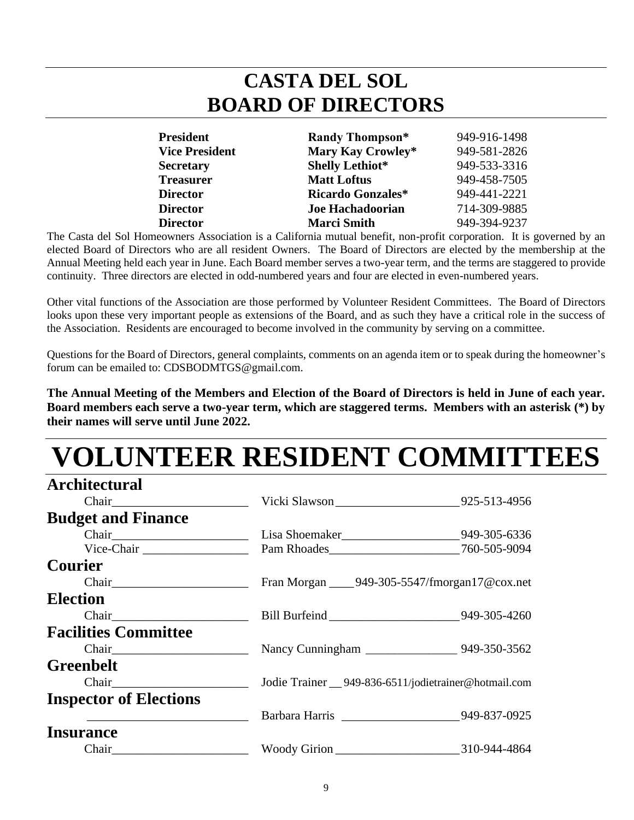## **CASTA DEL SOL BOARD OF DIRECTORS**

| <b>President</b>      | <b>Randy Thompson*</b> | 949-916-1498 |
|-----------------------|------------------------|--------------|
| <b>Vice President</b> | Mary Kay Crowley*      | 949-581-2826 |
| <b>Secretary</b>      | <b>Shelly Lethiot*</b> | 949-533-3316 |
| <b>Treasurer</b>      | <b>Matt Loftus</b>     | 949-458-7505 |
| <b>Director</b>       | Ricardo Gonzales*      | 949-441-2221 |
| <b>Director</b>       | Joe Hachadoorian       | 714-309-9885 |
| <b>Director</b>       | <b>Marci Smith</b>     | 949-394-9237 |

The Casta del Sol Homeowners Association is a California mutual benefit, non-profit corporation. It is governed by an elected Board of Directors who are all resident Owners. The Board of Directors are elected by the membership at the Annual Meeting held each year in June. Each Board member serves a two-year term, and the terms are staggered to provide continuity. Three directors are elected in odd-numbered years and four are elected in even-numbered years.

Other vital functions of the Association are those performed by Volunteer Resident Committees. The Board of Directors looks upon these very important people as extensions of the Board, and as such they have a critical role in the success of the Association. Residents are encouraged to become involved in the community by serving on a committee.

Questions for the Board of Directors, general complaints, comments on an agenda item or to speak during the homeowner's forum can be emailed to: CDSBODMTGS@gmail.com.

**The Annual Meeting of the Members and Election of the Board of Directors is held in June of each year. Board members each serve a two-year term, which are staggered terms. Members with an asterisk (\*) by their names will serve until June 2022.**

# **LUNTEER RESIDENT COMMITTEES**

| <b>Architectural</b>          |                                                             |  |
|-------------------------------|-------------------------------------------------------------|--|
|                               | Vicki Slawson _________________________________925-513-4956 |  |
| <b>Budget and Finance</b>     |                                                             |  |
|                               | Lisa Shoemaker________________________________949-305-6336  |  |
| Vice-Chair                    |                                                             |  |
| <b>Courier</b>                |                                                             |  |
|                               | Fran Morgan _____ 949-305-5547/fmorgan17@cox.net            |  |
| <b>Election</b>               |                                                             |  |
|                               | Bill Burfeind ________________________________949-305-4260  |  |
| <b>Facilities Committee</b>   |                                                             |  |
|                               |                                                             |  |
| <b>Greenbelt</b>              |                                                             |  |
| Chair                         | Jodie Trainer __ 949-836-6511/jodietrainer@hotmail.com      |  |
| <b>Inspector of Elections</b> |                                                             |  |
|                               | Barbara Harris __________________________949-837-0925       |  |
| <b>Insurance</b>              |                                                             |  |
|                               |                                                             |  |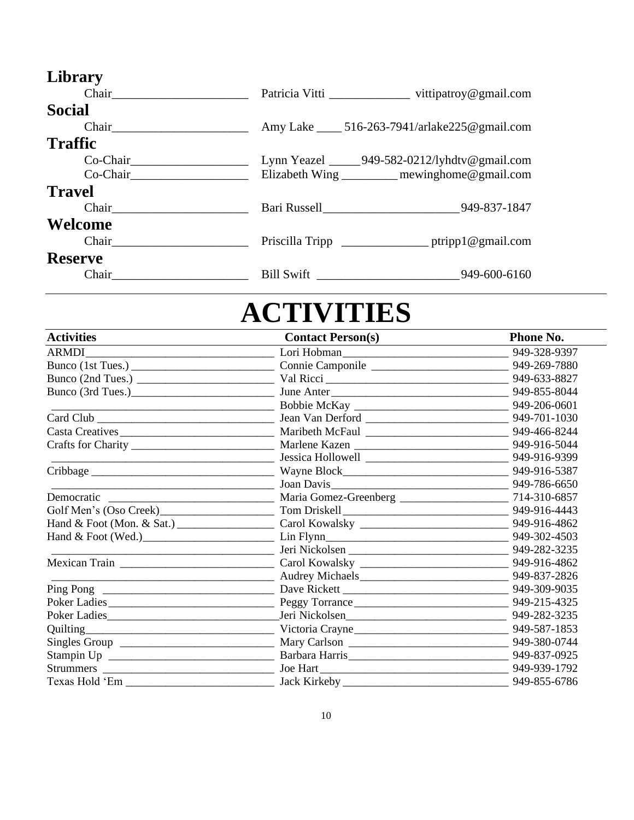| Library                                                                                                                                                                                                                        |              |                                                   |
|--------------------------------------------------------------------------------------------------------------------------------------------------------------------------------------------------------------------------------|--------------|---------------------------------------------------|
| Chair                                                                                                                                                                                                                          |              | Patricia Vitti vittipatroy@gmail.com              |
| Social                                                                                                                                                                                                                         |              |                                                   |
|                                                                                                                                                                                                                                |              | Amy Lake ______ 516-263-7941/arlake225@gmail.com  |
| <b>Traffic</b>                                                                                                                                                                                                                 |              |                                                   |
| Co-Chair                                                                                                                                                                                                                       |              | Lynn Yeazel _______ 949-582-0212/lyhdtv@gmail.com |
| Co-Chair and the contract of the contract of the contract of the contract of the contract of the contract of the contract of the contract of the contract of the contract of the contract of the contract of the contract of t |              | Elizabeth Wing ________ mewinghome@gmail.com      |
| <b>Travel</b>                                                                                                                                                                                                                  |              |                                                   |
| Chair                                                                                                                                                                                                                          | Bari Russell | 949-837-1847                                      |
| Welcome                                                                                                                                                                                                                        |              |                                                   |
| Chair                                                                                                                                                                                                                          |              |                                                   |
| <b>Reserve</b>                                                                                                                                                                                                                 |              |                                                   |
| Chair                                                                                                                                                                                                                          | Bill Swift   | 949-600-6160                                      |

# **ACTIVITIES**

| <b>Activities</b>                                                                                                      | <b>Contact Person(s)</b>                                                                                                                                                                                                             | <b>Phone No.</b> |
|------------------------------------------------------------------------------------------------------------------------|--------------------------------------------------------------------------------------------------------------------------------------------------------------------------------------------------------------------------------------|------------------|
| <b>ARMDI</b>                                                                                                           |                                                                                                                                                                                                                                      | 949-328-9397     |
|                                                                                                                        |                                                                                                                                                                                                                                      |                  |
|                                                                                                                        |                                                                                                                                                                                                                                      |                  |
|                                                                                                                        |                                                                                                                                                                                                                                      |                  |
|                                                                                                                        |                                                                                                                                                                                                                                      |                  |
|                                                                                                                        |                                                                                                                                                                                                                                      |                  |
|                                                                                                                        |                                                                                                                                                                                                                                      |                  |
|                                                                                                                        |                                                                                                                                                                                                                                      |                  |
|                                                                                                                        | Dessica Hollowell 2008 2008 2016-9399 349-916-9399                                                                                                                                                                                   |                  |
|                                                                                                                        |                                                                                                                                                                                                                                      |                  |
| <u> 1989 - Johann Barbara, martin a bhaile an t-Alban an t-Alban an t-Alban an t-Alban an t-Alban an t-Alban an t-</u> |                                                                                                                                                                                                                                      |                  |
| Democratic                                                                                                             |                                                                                                                                                                                                                                      |                  |
|                                                                                                                        | Golf Men's (Oso Creek)<br>Tom Driskell<br>Tom Driskell<br>Tom Driskell<br>2949-916-4443                                                                                                                                              |                  |
|                                                                                                                        |                                                                                                                                                                                                                                      |                  |
|                                                                                                                        |                                                                                                                                                                                                                                      |                  |
|                                                                                                                        | <u>union and the Second Series of Series Series and Series and Series Series and Series and Series and Series and Series and Series and Series and Series and Series and Series and Series and Series and Series and Series and </u> |                  |
|                                                                                                                        |                                                                                                                                                                                                                                      |                  |
|                                                                                                                        |                                                                                                                                                                                                                                      |                  |
|                                                                                                                        |                                                                                                                                                                                                                                      |                  |
|                                                                                                                        |                                                                                                                                                                                                                                      |                  |
|                                                                                                                        |                                                                                                                                                                                                                                      |                  |
|                                                                                                                        | Quilting 949-587-1853                                                                                                                                                                                                                |                  |
|                                                                                                                        |                                                                                                                                                                                                                                      |                  |
|                                                                                                                        |                                                                                                                                                                                                                                      |                  |
|                                                                                                                        |                                                                                                                                                                                                                                      |                  |
|                                                                                                                        |                                                                                                                                                                                                                                      | 949-855-6786     |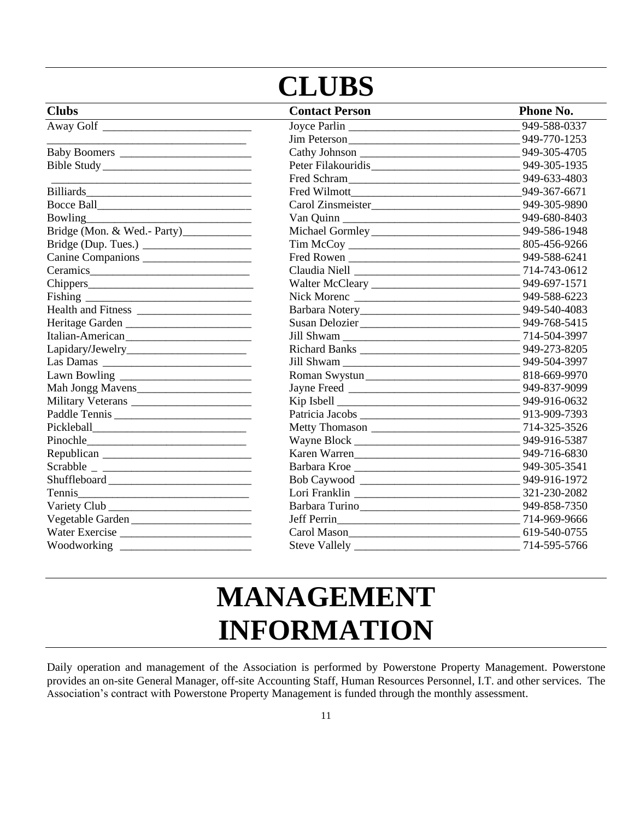## **CLUBS**

| <b>Clubs</b>       | <b>Contact Person</b> | <b>Phone No.</b> |
|--------------------|-----------------------|------------------|
| Away Golf          |                       | 949-588-0337     |
|                    |                       |                  |
|                    |                       |                  |
| Bible Study        |                       |                  |
|                    | Fred Schram           | 949-633-4803     |
|                    |                       | 949-367-6671     |
|                    |                       |                  |
| Bowling            |                       |                  |
|                    |                       |                  |
|                    |                       |                  |
|                    |                       |                  |
|                    |                       |                  |
|                    |                       |                  |
|                    |                       |                  |
| Health and Fitness |                       |                  |
| Heritage Garden    |                       |                  |
| Italian-American   |                       |                  |
|                    |                       |                  |
|                    |                       |                  |
|                    |                       |                  |
|                    |                       |                  |
| Military Veterans  |                       |                  |
| Paddle Tennis      |                       |                  |
|                    |                       |                  |
|                    |                       |                  |
|                    |                       |                  |
| $Scrabble \_$      |                       |                  |
|                    |                       |                  |
|                    |                       |                  |
|                    |                       |                  |
| Vegetable Garden   |                       |                  |
| Water Exercise     |                       |                  |
|                    |                       |                  |

## **MANAGEMENT INFORMATION**

Daily operation and management of the Association is performed by Powerstone Property Management. Powerstone provides an on-site General Manager, off-site Accounting Staff, Human Resources Personnel, I.T. and other services. The Association's contract with Powerstone Property Management is funded through the monthly assessment.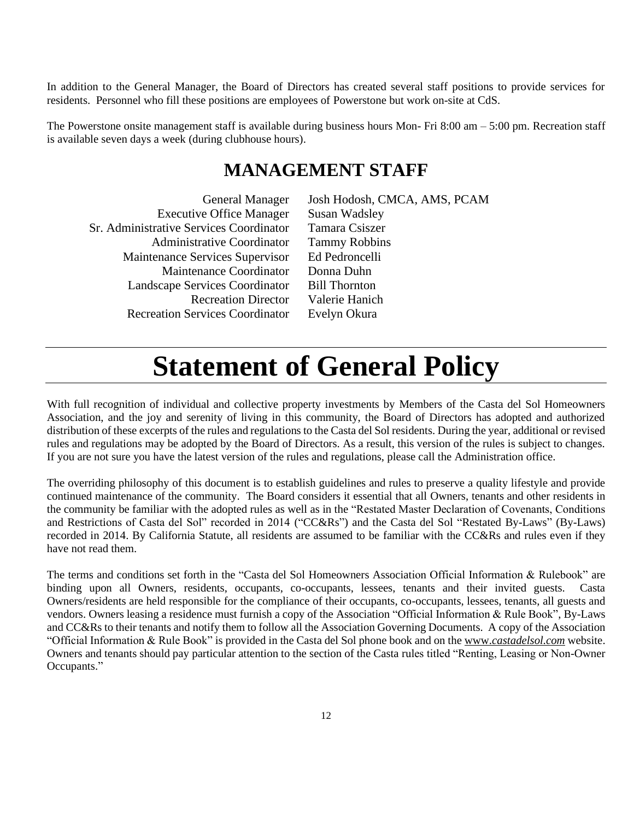In addition to the General Manager, the Board of Directors has created several staff positions to provide services for residents. Personnel who fill these positions are employees of Powerstone but work on-site at CdS.

The Powerstone onsite management staff is available during business hours Mon- Fri 8:00 am  $-$  5:00 pm. Recreation staff is available seven days a week (during clubhouse hours).

## **MANAGEMENT STAFF**

| <b>General Manager</b>                  | Josh Hodosh, CMCA, AMS, PCAM |
|-----------------------------------------|------------------------------|
| <b>Executive Office Manager</b>         | Susan Wadsley                |
| Sr. Administrative Services Coordinator | Tamara Csiszer               |
| <b>Administrative Coordinator</b>       | <b>Tammy Robbins</b>         |
| Maintenance Services Supervisor         | Ed Pedroncelli               |
| Maintenance Coordinator                 | Donna Duhn                   |
| Landscape Services Coordinator          | <b>Bill Thornton</b>         |
| <b>Recreation Director</b>              | Valerie Hanich               |
| <b>Recreation Services Coordinator</b>  | Evelyn Okura                 |

## **Statement of General Policy**

With full recognition of individual and collective property investments by Members of the Casta del Sol Homeowners Association, and the joy and serenity of living in this community, the Board of Directors has adopted and authorized distribution of these excerpts of the rules and regulations to the Casta del Sol residents. During the year, additional or revised rules and regulations may be adopted by the Board of Directors. As a result, this version of the rules is subject to changes. If you are not sure you have the latest version of the rules and regulations, please call the Administration office.

The overriding philosophy of this document is to establish guidelines and rules to preserve a quality lifestyle and provide continued maintenance of the community. The Board considers it essential that all Owners, tenants and other residents in the community be familiar with the adopted rules as well as in the "Restated Master Declaration of Covenants, Conditions and Restrictions of Casta del Sol" recorded in 2014 ("CC&Rs") and the Casta del Sol "Restated By-Laws" (By-Laws) recorded in 2014. By California Statute, all residents are assumed to be familiar with the CC&Rs and rules even if they have not read them.

The terms and conditions set forth in the "Casta del Sol Homeowners Association Official Information & Rulebook" are binding upon all Owners, residents, occupants, co-occupants, lessees, tenants and their invited guests. Casta Owners/residents are held responsible for the compliance of their occupants, co-occupants, lessees, tenants, all guests and vendors. Owners leasing a residence must furnish a copy of the Association "Official Information & Rule Book", By-Laws and CC&Rs to their tenants and notify them to follow all the Association Governing Documents. A copy of the Association "Official Information & Rule Book" is provided in the Casta del Sol phone book and on the www.*castadelsol.com* website. Owners and tenants should pay particular attention to the section of the Casta rules titled "Renting, Leasing or Non-Owner Occupants."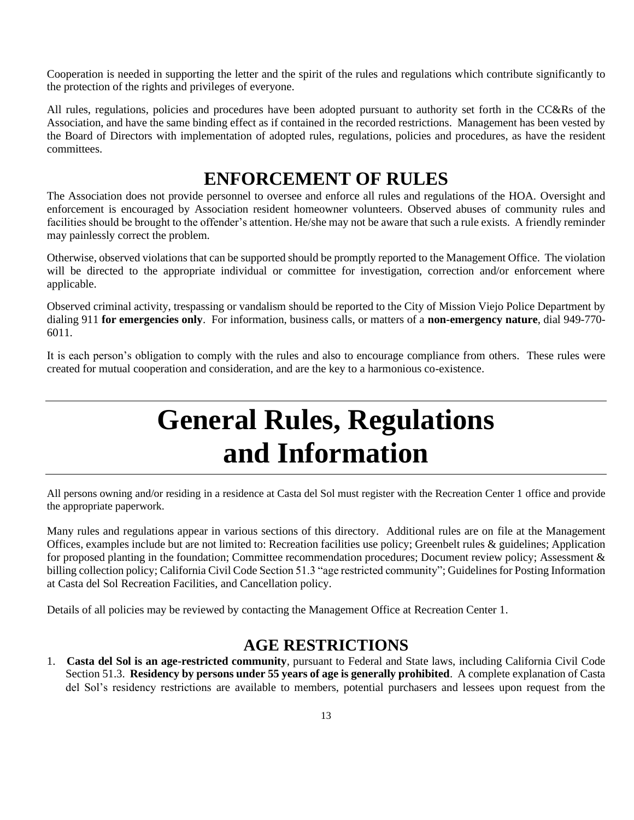Cooperation is needed in supporting the letter and the spirit of the rules and regulations which contribute significantly to the protection of the rights and privileges of everyone.

All rules, regulations, policies and procedures have been adopted pursuant to authority set forth in the CC&Rs of the Association, and have the same binding effect as if contained in the recorded restrictions. Management has been vested by the Board of Directors with implementation of adopted rules, regulations, policies and procedures, as have the resident committees.

## **ENFORCEMENT OF RULES**

The Association does not provide personnel to oversee and enforce all rules and regulations of the HOA. Oversight and enforcement is encouraged by Association resident homeowner volunteers. Observed abuses of community rules and facilities should be brought to the offender's attention. He/she may not be aware that such a rule exists. A friendly reminder may painlessly correct the problem.

Otherwise, observed violations that can be supported should be promptly reported to the Management Office. The violation will be directed to the appropriate individual or committee for investigation, correction and/or enforcement where applicable.

Observed criminal activity, trespassing or vandalism should be reported to the City of Mission Viejo Police Department by dialing 911 **for emergencies only**. For information, business calls, or matters of a **non-emergency nature**, dial 949-770- 6011.

It is each person's obligation to comply with the rules and also to encourage compliance from others. These rules were created for mutual cooperation and consideration, and are the key to a harmonious co-existence.

## **General Rules, Regulations and Information**

All persons owning and/or residing in a residence at Casta del Sol must register with the Recreation Center 1 office and provide the appropriate paperwork.

Many rules and regulations appear in various sections of this directory. Additional rules are on file at the Management Offices, examples include but are not limited to: Recreation facilities use policy; Greenbelt rules & guidelines; Application for proposed planting in the foundation; Committee recommendation procedures; Document review policy; Assessment & billing collection policy; California Civil Code Section 51.3 "age restricted community"; Guidelines for Posting Information at Casta del Sol Recreation Facilities, and Cancellation policy.

Details of all policies may be reviewed by contacting the Management Office at Recreation Center 1.

### **AGE RESTRICTIONS**

1. **Casta del Sol is an age-restricted community**, pursuant to Federal and State laws, including California Civil Code Section 51.3. **Residency by persons under 55 years of age is generally prohibited**. A complete explanation of Casta del Sol's residency restrictions are available to members, potential purchasers and lessees upon request from the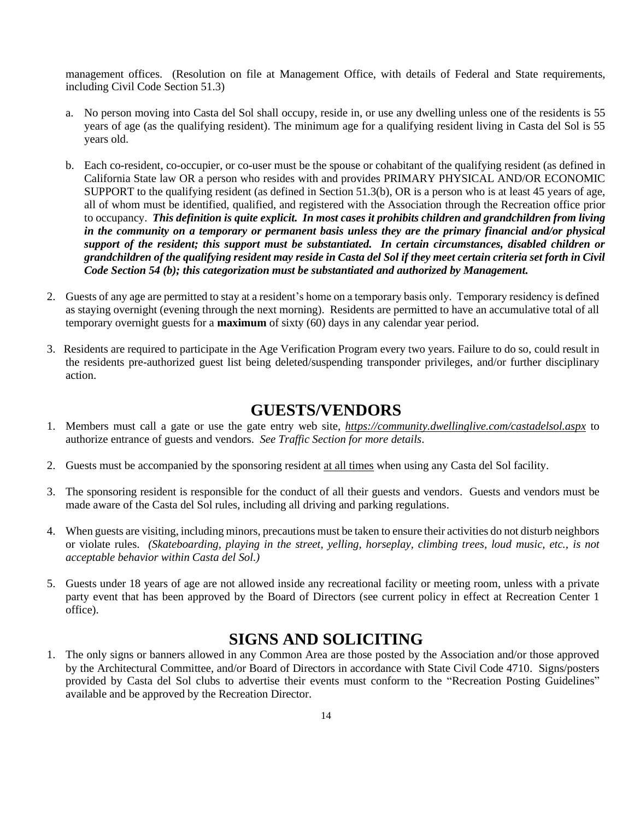management offices. (Resolution on file at Management Office, with details of Federal and State requirements, including Civil Code Section 51.3)

- a. No person moving into Casta del Sol shall occupy, reside in, or use any dwelling unless one of the residents is 55 years of age (as the qualifying resident). The minimum age for a qualifying resident living in Casta del Sol is 55 years old.
- b. Each co-resident, co-occupier, or co-user must be the spouse or cohabitant of the qualifying resident (as defined in California State law OR a person who resides with and provides PRIMARY PHYSICAL AND/OR ECONOMIC SUPPORT to the qualifying resident (as defined in Section 51.3(b), OR is a person who is at least 45 years of age, all of whom must be identified, qualified, and registered with the Association through the Recreation office prior to occupancy. *This definition is quite explicit. In most cases it prohibits children and grandchildren from living in the community on a temporary or permanent basis unless they are the primary financial and/or physical support of the resident; this support must be substantiated. In certain circumstances, disabled children or grandchildren of the qualifying resident may reside in Casta del Sol if they meet certain criteria set forth in Civil Code Section 54 (b); this categorization must be substantiated and authorized by Management.*
- 2. Guests of any age are permitted to stay at a resident's home on a temporary basis only. Temporary residency is defined as staying overnight (evening through the next morning). Residents are permitted to have an accumulative total of all temporary overnight guests for a **maximum** of sixty (60) days in any calendar year period.
- 3. Residents are required to participate in the Age Verification Program every two years. Failure to do so, could result in the residents pre-authorized guest list being deleted/suspending transponder privileges, and/or further disciplinary action.

### **GUESTS/VENDORS**

- 1. Members must call a gate or use the gate entry web site, *https://community.dwellinglive.com/castadelsol.aspx* to authorize entrance of guests and vendors. *See Traffic Section for more details*.
- 2. Guests must be accompanied by the sponsoring resident at all times when using any Casta del Sol facility.
- 3. The sponsoring resident is responsible for the conduct of all their guests and vendors. Guests and vendors must be made aware of the Casta del Sol rules, including all driving and parking regulations.
- 4. When guests are visiting, including minors, precautions must be taken to ensure their activities do not disturb neighbors or violate rules. *(Skateboarding, playing in the street, yelling, horseplay, climbing trees, loud music, etc., is not acceptable behavior within Casta del Sol.)*
- 5. Guests under 18 years of age are not allowed inside any recreational facility or meeting room, unless with a private party event that has been approved by the Board of Directors (see current policy in effect at Recreation Center 1 office).

### **SIGNS AND SOLICITING**

1. The only signs or banners allowed in any Common Area are those posted by the Association and/or those approved by the Architectural Committee, and/or Board of Directors in accordance with State Civil Code 4710. Signs/posters provided by Casta del Sol clubs to advertise their events must conform to the "Recreation Posting Guidelines" available and be approved by the Recreation Director.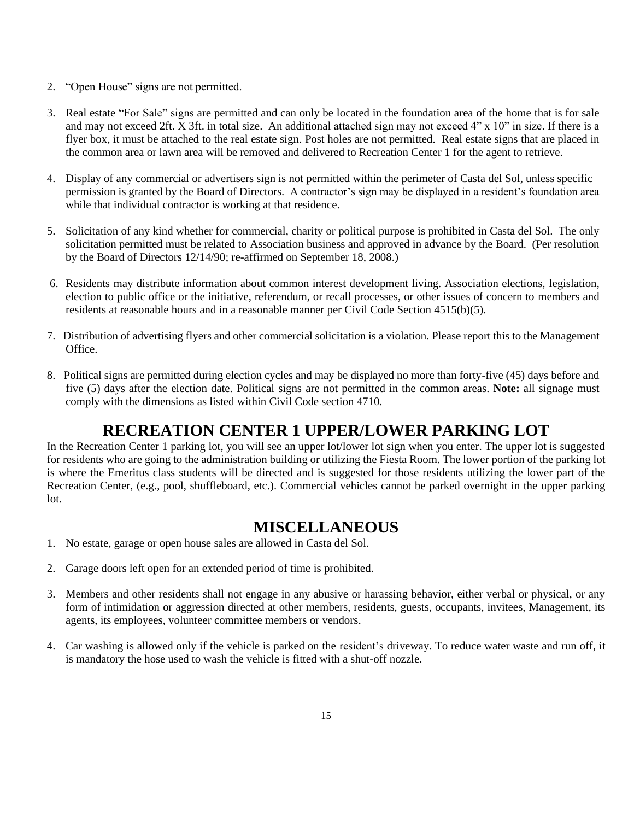- 2. "Open House" signs are not permitted.
- 3. Real estate "For Sale" signs are permitted and can only be located in the foundation area of the home that is for sale and may not exceed 2ft. X 3ft. in total size. An additional attached sign may not exceed 4" x 10" in size. If there is a flyer box, it must be attached to the real estate sign. Post holes are not permitted. Real estate signs that are placed in the common area or lawn area will be removed and delivered to Recreation Center 1 for the agent to retrieve.
- 4. Display of any commercial or advertisers sign is not permitted within the perimeter of Casta del Sol, unless specific permission is granted by the Board of Directors. A contractor's sign may be displayed in a resident's foundation area while that individual contractor is working at that residence.
- 5. Solicitation of any kind whether for commercial, charity or political purpose is prohibited in Casta del Sol. The only solicitation permitted must be related to Association business and approved in advance by the Board. (Per resolution by the Board of Directors 12/14/90; re-affirmed on September 18, 2008.)
- 6. Residents may distribute information about common interest development living. Association elections, legislation, election to public office or the initiative, referendum, or recall processes, or other issues of concern to members and residents at reasonable hours and in a reasonable manner per Civil Code Section 4515(b)(5).
- 7. Distribution of advertising flyers and other commercial solicitation is a violation. Please report this to the Management Office.
- 8. Political signs are permitted during election cycles and may be displayed no more than forty-five (45) days before and five (5) days after the election date. Political signs are not permitted in the common areas. **Note:** all signage must comply with the dimensions as listed within Civil Code section 4710.

## **RECREATION CENTER 1 UPPER/LOWER PARKING LOT**

In the Recreation Center 1 parking lot, you will see an upper lot/lower lot sign when you enter. The upper lot is suggested for residents who are going to the administration building or utilizing the Fiesta Room. The lower portion of the parking lot is where the Emeritus class students will be directed and is suggested for those residents utilizing the lower part of the Recreation Center, (e.g., pool, shuffleboard, etc.). Commercial vehicles cannot be parked overnight in the upper parking lot.

### **MISCELLANEOUS**

- 1. No estate, garage or open house sales are allowed in Casta del Sol.
- 2. Garage doors left open for an extended period of time is prohibited.
- 3. Members and other residents shall not engage in any abusive or harassing behavior, either verbal or physical, or any form of intimidation or aggression directed at other members, residents, guests, occupants, invitees, Management, its agents, its employees, volunteer committee members or vendors.
- 4. Car washing is allowed only if the vehicle is parked on the resident's driveway. To reduce water waste and run off, it is mandatory the hose used to wash the vehicle is fitted with a shut-off nozzle.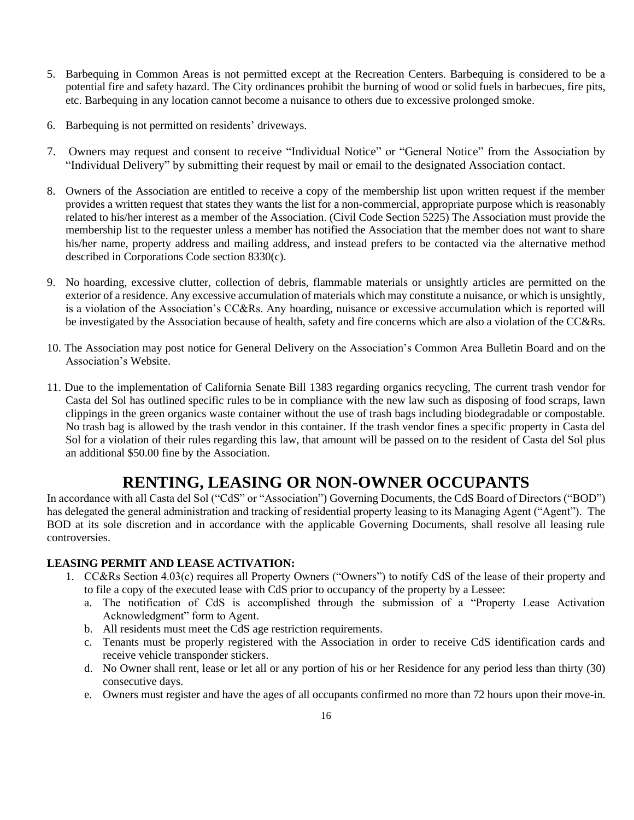- 5. Barbequing in Common Areas is not permitted except at the Recreation Centers. Barbequing is considered to be a potential fire and safety hazard. The City ordinances prohibit the burning of wood or solid fuels in barbecues, fire pits, etc. Barbequing in any location cannot become a nuisance to others due to excessive prolonged smoke.
- 6. Barbequing is not permitted on residents' driveways.
- 7. Owners may request and consent to receive "Individual Notice" or "General Notice" from the Association by "Individual Delivery" by submitting their request by mail or email to the designated Association contact.
- 8. Owners of the Association are entitled to receive a copy of the membership list upon written request if the member provides a written request that states they wants the list for a non-commercial, appropriate purpose which is reasonably related to his/her interest as a member of the Association. (Civil Code Section 5225) The Association must provide the membership list to the requester unless a member has notified the Association that the member does not want to share his/her name, property address and mailing address, and instead prefers to be contacted via the alternative method described in Corporations Code section 8330(c).
- 9. No hoarding, excessive clutter, collection of debris, flammable materials or unsightly articles are permitted on the exterior of a residence. Any excessive accumulation of materials which may constitute a nuisance, or which is unsightly, is a violation of the Association's CC&Rs. Any hoarding, nuisance or excessive accumulation which is reported will be investigated by the Association because of health, safety and fire concerns which are also a violation of the CC&Rs.
- 10. The Association may post notice for General Delivery on the Association's Common Area Bulletin Board and on the Association's Website.
- 11. Due to the implementation of California Senate Bill 1383 regarding organics recycling, The current trash vendor for Casta del Sol has outlined specific rules to be in compliance with the new law such as disposing of food scraps, lawn clippings in the green organics waste container without the use of trash bags including biodegradable or compostable. No trash bag is allowed by the trash vendor in this container. If the trash vendor fines a specific property in Casta del Sol for a violation of their rules regarding this law, that amount will be passed on to the resident of Casta del Sol plus an additional \$50.00 fine by the Association.

### **RENTING, LEASING OR NON-OWNER OCCUPANTS**

In accordance with all Casta del Sol ("CdS" or "Association") Governing Documents, the CdS Board of Directors ("BOD") has delegated the general administration and tracking of residential property leasing to its Managing Agent ("Agent"). The BOD at its sole discretion and in accordance with the applicable Governing Documents, shall resolve all leasing rule controversies.

### **LEASING PERMIT AND LEASE ACTIVATION:**

- 1. CC&Rs Section 4.03(c) requires all Property Owners ("Owners") to notify CdS of the lease of their property and to file a copy of the executed lease with CdS prior to occupancy of the property by a Lessee:
	- a. The notification of CdS is accomplished through the submission of a "Property Lease Activation Acknowledgment" form to Agent.
	- b. All residents must meet the CdS age restriction requirements.
	- c. Tenants must be properly registered with the Association in order to receive CdS identification cards and receive vehicle transponder stickers.
	- d. No Owner shall rent, lease or let all or any portion of his or her Residence for any period less than thirty (30) consecutive days.
	- e. Owners must register and have the ages of all occupants confirmed no more than 72 hours upon their move-in.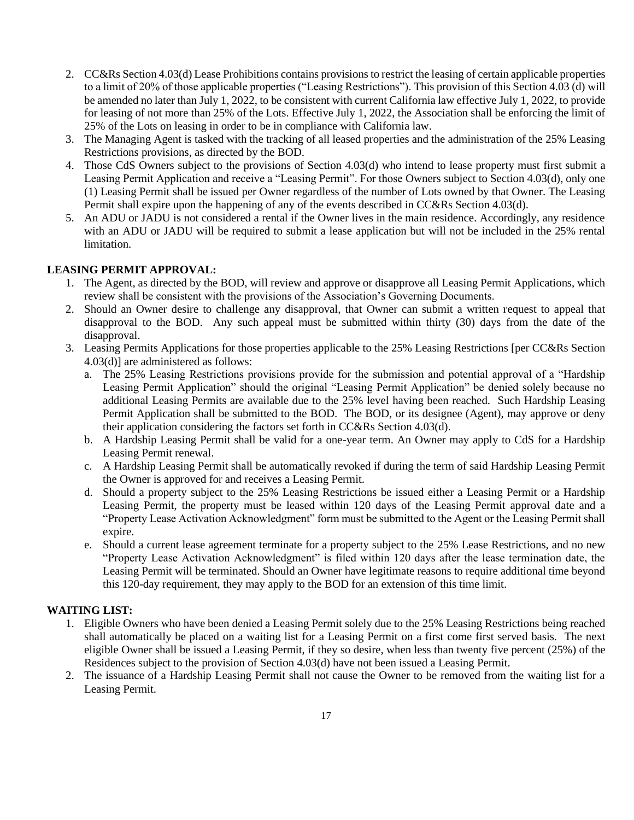- 2. CC&Rs Section 4.03(d) Lease Prohibitions contains provisions to restrict the leasing of certain applicable properties to a limit of 20% of those applicable properties ("Leasing Restrictions"). This provision of this Section 4.03 (d) will be amended no later than July 1, 2022, to be consistent with current California law effective July 1, 2022, to provide for leasing of not more than 25% of the Lots. Effective July 1, 2022, the Association shall be enforcing the limit of 25% of the Lots on leasing in order to be in compliance with California law.
- 3. The Managing Agent is tasked with the tracking of all leased properties and the administration of the 25% Leasing Restrictions provisions, as directed by the BOD.
- 4. Those CdS Owners subject to the provisions of Section 4.03(d) who intend to lease property must first submit a Leasing Permit Application and receive a "Leasing Permit". For those Owners subject to Section 4.03(d), only one (1) Leasing Permit shall be issued per Owner regardless of the number of Lots owned by that Owner. The Leasing Permit shall expire upon the happening of any of the events described in CC&Rs Section 4.03(d).
- 5. An ADU or JADU is not considered a rental if the Owner lives in the main residence. Accordingly, any residence with an ADU or JADU will be required to submit a lease application but will not be included in the 25% rental limitation.

### **LEASING PERMIT APPROVAL:**

- 1. The Agent, as directed by the BOD, will review and approve or disapprove all Leasing Permit Applications, which review shall be consistent with the provisions of the Association's Governing Documents.
- 2. Should an Owner desire to challenge any disapproval, that Owner can submit a written request to appeal that disapproval to the BOD. Any such appeal must be submitted within thirty (30) days from the date of the disapproval.
- 3. Leasing Permits Applications for those properties applicable to the 25% Leasing Restrictions [per CC&Rs Section 4.03(d)] are administered as follows:
	- a. The 25% Leasing Restrictions provisions provide for the submission and potential approval of a "Hardship Leasing Permit Application" should the original "Leasing Permit Application" be denied solely because no additional Leasing Permits are available due to the 25% level having been reached. Such Hardship Leasing Permit Application shall be submitted to the BOD. The BOD, or its designee (Agent), may approve or deny their application considering the factors set forth in CC&Rs Section 4.03(d).
	- b. A Hardship Leasing Permit shall be valid for a one-year term. An Owner may apply to CdS for a Hardship Leasing Permit renewal.
	- c. A Hardship Leasing Permit shall be automatically revoked if during the term of said Hardship Leasing Permit the Owner is approved for and receives a Leasing Permit.
	- d. Should a property subject to the 25% Leasing Restrictions be issued either a Leasing Permit or a Hardship Leasing Permit, the property must be leased within 120 days of the Leasing Permit approval date and a "Property Lease Activation Acknowledgment" form must be submitted to the Agent or the Leasing Permit shall expire.
	- e. Should a current lease agreement terminate for a property subject to the 25% Lease Restrictions, and no new "Property Lease Activation Acknowledgment" is filed within 120 days after the lease termination date, the Leasing Permit will be terminated. Should an Owner have legitimate reasons to require additional time beyond this 120-day requirement, they may apply to the BOD for an extension of this time limit.

### **WAITING LIST:**

- 1. Eligible Owners who have been denied a Leasing Permit solely due to the 25% Leasing Restrictions being reached shall automatically be placed on a waiting list for a Leasing Permit on a first come first served basis. The next eligible Owner shall be issued a Leasing Permit, if they so desire, when less than twenty five percent (25%) of the Residences subject to the provision of Section 4.03(d) have not been issued a Leasing Permit.
- 2. The issuance of a Hardship Leasing Permit shall not cause the Owner to be removed from the waiting list for a Leasing Permit.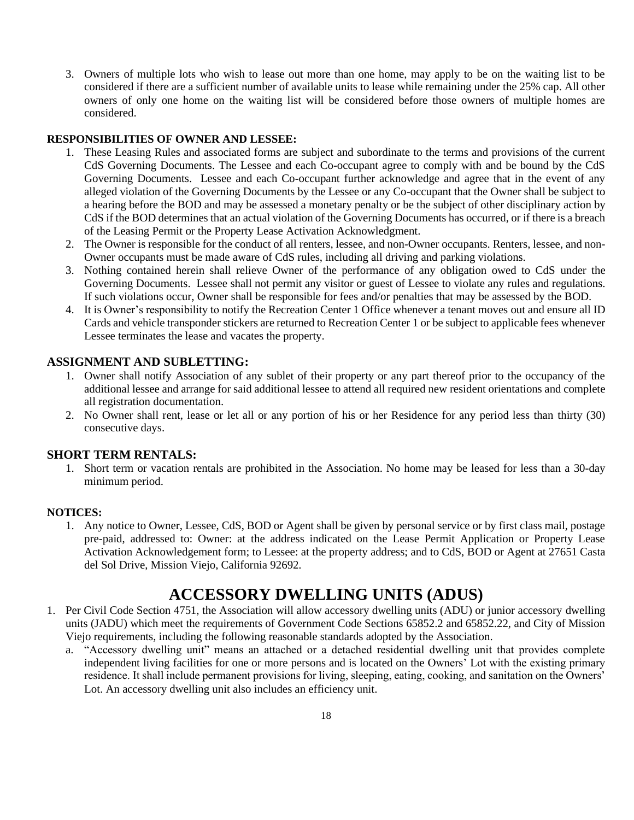3. Owners of multiple lots who wish to lease out more than one home, may apply to be on the waiting list to be considered if there are a sufficient number of available units to lease while remaining under the 25% cap. All other owners of only one home on the waiting list will be considered before those owners of multiple homes are considered.

### **RESPONSIBILITIES OF OWNER AND LESSEE:**

- 1. These Leasing Rules and associated forms are subject and subordinate to the terms and provisions of the current CdS Governing Documents. The Lessee and each Co-occupant agree to comply with and be bound by the CdS Governing Documents. Lessee and each Co-occupant further acknowledge and agree that in the event of any alleged violation of the Governing Documents by the Lessee or any Co-occupant that the Owner shall be subject to a hearing before the BOD and may be assessed a monetary penalty or be the subject of other disciplinary action by CdS if the BOD determines that an actual violation of the Governing Documents has occurred, or if there is a breach of the Leasing Permit or the Property Lease Activation Acknowledgment.
- 2. The Owner is responsible for the conduct of all renters, lessee, and non-Owner occupants. Renters, lessee, and non-Owner occupants must be made aware of CdS rules, including all driving and parking violations.
- 3. Nothing contained herein shall relieve Owner of the performance of any obligation owed to CdS under the Governing Documents. Lessee shall not permit any visitor or guest of Lessee to violate any rules and regulations. If such violations occur, Owner shall be responsible for fees and/or penalties that may be assessed by the BOD.
- 4. It is Owner's responsibility to notify the Recreation Center 1 Office whenever a tenant moves out and ensure all ID Cards and vehicle transponder stickers are returned to Recreation Center 1 or be subject to applicable fees whenever Lessee terminates the lease and vacates the property.

### **ASSIGNMENT AND SUBLETTING:**

- 1. Owner shall notify Association of any sublet of their property or any part thereof prior to the occupancy of the additional lessee and arrange for said additional lessee to attend all required new resident orientations and complete all registration documentation.
- 2. No Owner shall rent, lease or let all or any portion of his or her Residence for any period less than thirty (30) consecutive days.

### **SHORT TERM RENTALS:**

1. Short term or vacation rentals are prohibited in the Association. No home may be leased for less than a 30-day minimum period.

### **NOTICES:**

1. Any notice to Owner, Lessee, CdS, BOD or Agent shall be given by personal service or by first class mail, postage pre-paid, addressed to: Owner: at the address indicated on the Lease Permit Application or Property Lease Activation Acknowledgement form; to Lessee: at the property address; and to CdS, BOD or Agent at 27651 Casta del Sol Drive, Mission Viejo, California 92692.

### **ACCESSORY DWELLING UNITS (ADUS)**

- 1. Per Civil Code Section 4751, the Association will allow accessory dwelling units (ADU) or junior accessory dwelling units (JADU) which meet the requirements of Government Code Sections 65852.2 and 65852.22, and City of Mission Viejo requirements, including the following reasonable standards adopted by the Association.
	- a. "Accessory dwelling unit" means an attached or a detached residential dwelling unit that provides complete independent living facilities for one or more persons and is located on the Owners' Lot with the existing primary residence. It shall include permanent provisions for living, sleeping, eating, cooking, and sanitation on the Owners' Lot. An accessory dwelling unit also includes an efficiency unit.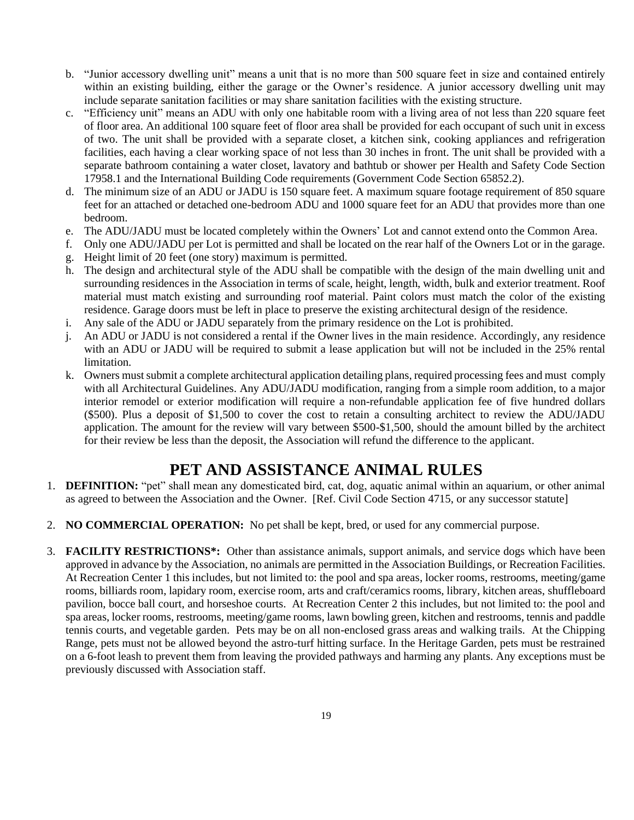- b. "Junior accessory dwelling unit" means a unit that is no more than 500 square feet in size and contained entirely within an existing building, either the garage or the Owner's residence. A junior accessory dwelling unit may include separate sanitation facilities or may share sanitation facilities with the existing structure.
- c. "Efficiency unit" means an ADU with only one habitable room with a living area of not less than 220 square feet of floor area. An additional 100 square feet of floor area shall be provided for each occupant of such unit in excess of two. The unit shall be provided with a separate closet, a kitchen sink, cooking appliances and refrigeration facilities, each having a clear working space of not less than 30 inches in front. The unit shall be provided with a separate bathroom containing a water closet, lavatory and bathtub or shower per Health and Safety Code Section 17958.1 and the International Building Code requirements (Government Code Section 65852.2).
- d. The minimum size of an ADU or JADU is 150 square feet. A maximum square footage requirement of 850 square feet for an attached or detached one-bedroom ADU and 1000 square feet for an ADU that provides more than one bedroom.
- e. The ADU/JADU must be located completely within the Owners' Lot and cannot extend onto the Common Area.
- f. Only one ADU/JADU per Lot is permitted and shall be located on the rear half of the Owners Lot or in the garage.
- g. Height limit of 20 feet (one story) maximum is permitted.
- h. The design and architectural style of the ADU shall be compatible with the design of the main dwelling unit and surrounding residences in the Association in terms of scale, height, length, width, bulk and exterior treatment. Roof material must match existing and surrounding roof material. Paint colors must match the color of the existing residence. Garage doors must be left in place to preserve the existing architectural design of the residence.
- i. Any sale of the ADU or JADU separately from the primary residence on the Lot is prohibited.
- j. An ADU or JADU is not considered a rental if the Owner lives in the main residence. Accordingly, any residence with an ADU or JADU will be required to submit a lease application but will not be included in the 25% rental limitation.
- k. Owners must submit a complete architectural application detailing plans, required processing fees and must comply with all Architectural Guidelines. Any ADU/JADU modification, ranging from a simple room addition, to a major interior remodel or exterior modification will require a non-refundable application fee of five hundred dollars (\$500). Plus a deposit of \$1,500 to cover the cost to retain a consulting architect to review the ADU/JADU application. The amount for the review will vary between \$500-\$1,500, should the amount billed by the architect for their review be less than the deposit, the Association will refund the difference to the applicant.

### **PET AND ASSISTANCE ANIMAL RULES**

- 1. **DEFINITION:** "pet" shall mean any domesticated bird, cat, dog, aquatic animal within an aquarium, or other animal as agreed to between the Association and the Owner. [Ref. Civil Code Section 4715, or any successor statute]
- 2. **NO COMMERCIAL OPERATION:** No pet shall be kept, bred, or used for any commercial purpose.
- 3. **FACILITY RESTRICTIONS\*:** Other than assistance animals, support animals, and service dogs which have been approved in advance by the Association, no animals are permitted in the Association Buildings, or Recreation Facilities. At Recreation Center 1 this includes, but not limited to: the pool and spa areas, locker rooms, restrooms, meeting/game rooms, billiards room, lapidary room, exercise room, arts and craft/ceramics rooms, library, kitchen areas, shuffleboard pavilion, bocce ball court, and horseshoe courts. At Recreation Center 2 this includes, but not limited to: the pool and spa areas, locker rooms, restrooms, meeting/game rooms, lawn bowling green, kitchen and restrooms, tennis and paddle tennis courts, and vegetable garden. Pets may be on all non-enclosed grass areas and walking trails. At the Chipping Range, pets must not be allowed beyond the astro-turf hitting surface. In the Heritage Garden, pets must be restrained on a 6-foot leash to prevent them from leaving the provided pathways and harming any plants. Any exceptions must be previously discussed with Association staff.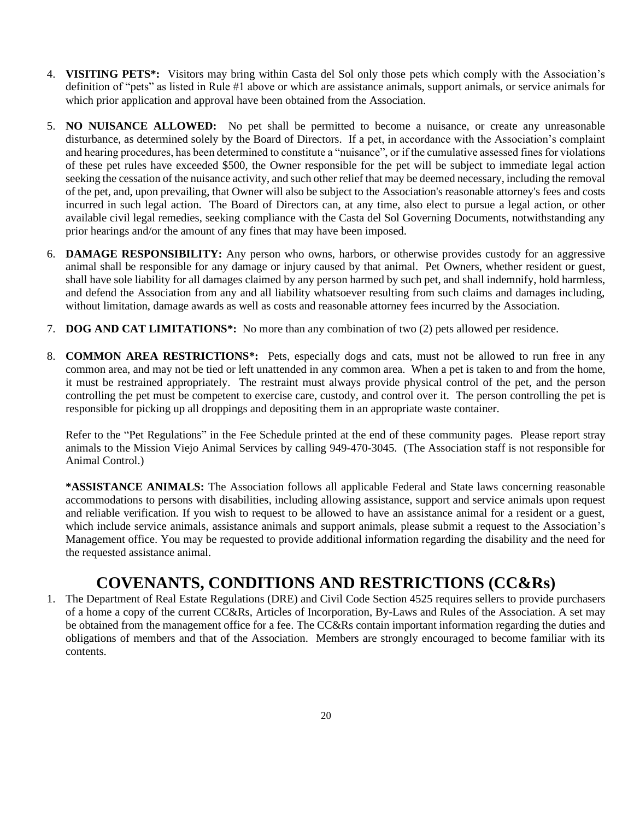- 4. **VISITING PETS\*:** Visitors may bring within Casta del Sol only those pets which comply with the Association's definition of "pets" as listed in Rule #1 above or which are assistance animals, support animals, or service animals for which prior application and approval have been obtained from the Association.
- 5. **NO NUISANCE ALLOWED:** No pet shall be permitted to become a nuisance, or create any unreasonable disturbance, as determined solely by the Board of Directors. If a pet, in accordance with the Association's complaint and hearing procedures, has been determined to constitute a "nuisance", or if the cumulative assessed fines for violations of these pet rules have exceeded \$500, the Owner responsible for the pet will be subject to immediate legal action seeking the cessation of the nuisance activity, and such other relief that may be deemed necessary, including the removal of the pet, and, upon prevailing, that Owner will also be subject to the Association's reasonable attorney's fees and costs incurred in such legal action. The Board of Directors can, at any time, also elect to pursue a legal action, or other available civil legal remedies, seeking compliance with the Casta del Sol Governing Documents, notwithstanding any prior hearings and/or the amount of any fines that may have been imposed.
- 6. **DAMAGE RESPONSIBILITY:** Any person who owns, harbors, or otherwise provides custody for an aggressive animal shall be responsible for any damage or injury caused by that animal. Pet Owners, whether resident or guest, shall have sole liability for all damages claimed by any person harmed by such pet, and shall indemnify, hold harmless, and defend the Association from any and all liability whatsoever resulting from such claims and damages including, without limitation, damage awards as well as costs and reasonable attorney fees incurred by the Association.
- 7. **DOG AND CAT LIMITATIONS\*:** No more than any combination of two (2) pets allowed per residence.
- 8. **COMMON AREA RESTRICTIONS\*:** Pets, especially dogs and cats, must not be allowed to run free in any common area, and may not be tied or left unattended in any common area. When a pet is taken to and from the home, it must be restrained appropriately. The restraint must always provide physical control of the pet, and the person controlling the pet must be competent to exercise care, custody, and control over it. The person controlling the pet is responsible for picking up all droppings and depositing them in an appropriate waste container.

Refer to the "Pet Regulations" in the Fee Schedule printed at the end of these community pages. Please report stray animals to the Mission Viejo Animal Services by calling 949-470-3045. (The Association staff is not responsible for Animal Control.)

**\*ASSISTANCE ANIMALS:** The Association follows all applicable Federal and State laws concerning reasonable accommodations to persons with disabilities, including allowing assistance, support and service animals upon request and reliable verification. If you wish to request to be allowed to have an assistance animal for a resident or a guest, which include service animals, assistance animals and support animals, please submit a request to the Association's Management office. You may be requested to provide additional information regarding the disability and the need for the requested assistance animal.

### **COVENANTS, CONDITIONS AND RESTRICTIONS (CC&Rs)**

1. The Department of Real Estate Regulations (DRE) and Civil Code Section 4525 requires sellers to provide purchasers of a home a copy of the current CC&Rs, Articles of Incorporation, By-Laws and Rules of the Association. A set may be obtained from the management office for a fee. The CC&Rs contain important information regarding the duties and obligations of members and that of the Association. Members are strongly encouraged to become familiar with its contents.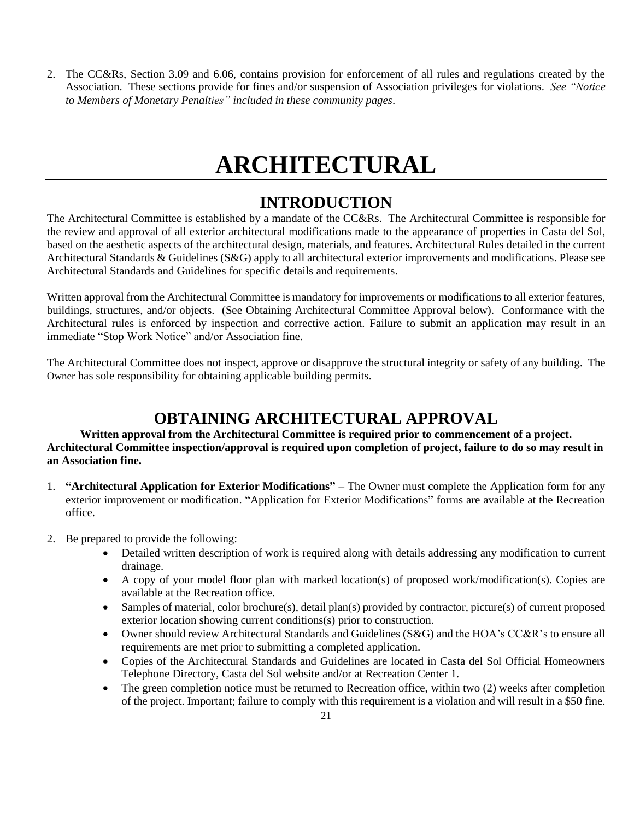2. The CC&Rs, Section 3.09 and 6.06, contains provision for enforcement of all rules and regulations created by the Association. These sections provide for fines and/or suspension of Association privileges for violations. *See "Notice to Members of Monetary Penalties" included in these community pages*.

## **ARCHITECTURAL**

### **INTRODUCTION**

The Architectural Committee is established by a mandate of the CC&Rs. The Architectural Committee is responsible for the review and approval of all exterior architectural modifications made to the appearance of properties in Casta del Sol, based on the aesthetic aspects of the architectural design, materials, and features. Architectural Rules detailed in the current Architectural Standards & Guidelines (S&G) apply to all architectural exterior improvements and modifications. Please see Architectural Standards and Guidelines for specific details and requirements.

Written approval from the Architectural Committee is mandatory for improvements or modifications to all exterior features, buildings, structures, and/or objects. (See Obtaining Architectural Committee Approval below). Conformance with the Architectural rules is enforced by inspection and corrective action. Failure to submit an application may result in an immediate "Stop Work Notice" and/or Association fine.

The Architectural Committee does not inspect, approve or disapprove the structural integrity or safety of any building. The Owner has sole responsibility for obtaining applicable building permits.

### **OBTAINING ARCHITECTURAL APPROVAL**

### **Written approval from the Architectural Committee is required prior to commencement of a project. Architectural Committee inspection/approval is required upon completion of project, failure to do so may result in an Association fine.**

- 1. **"Architectural Application for Exterior Modifications"** The Owner must complete the Application form for any exterior improvement or modification. "Application for Exterior Modifications" forms are available at the Recreation office.
- 2. Be prepared to provide the following:
	- Detailed written description of work is required along with details addressing any modification to current drainage.
	- A copy of your model floor plan with marked location(s) of proposed work/modification(s). Copies are available at the Recreation office.
	- Samples of material, color brochure(s), detail plan(s) provided by contractor, picture(s) of current proposed exterior location showing current conditions(s) prior to construction.
	- Owner should review Architectural Standards and Guidelines (S&G) and the HOA's CC&R's to ensure all requirements are met prior to submitting a completed application.
	- Copies of the Architectural Standards and Guidelines are located in Casta del Sol Official Homeowners Telephone Directory, Casta del Sol website and/or at Recreation Center 1.
	- The green completion notice must be returned to Recreation office, within two (2) weeks after completion of the project. Important; failure to comply with this requirement is a violation and will result in a \$50 fine.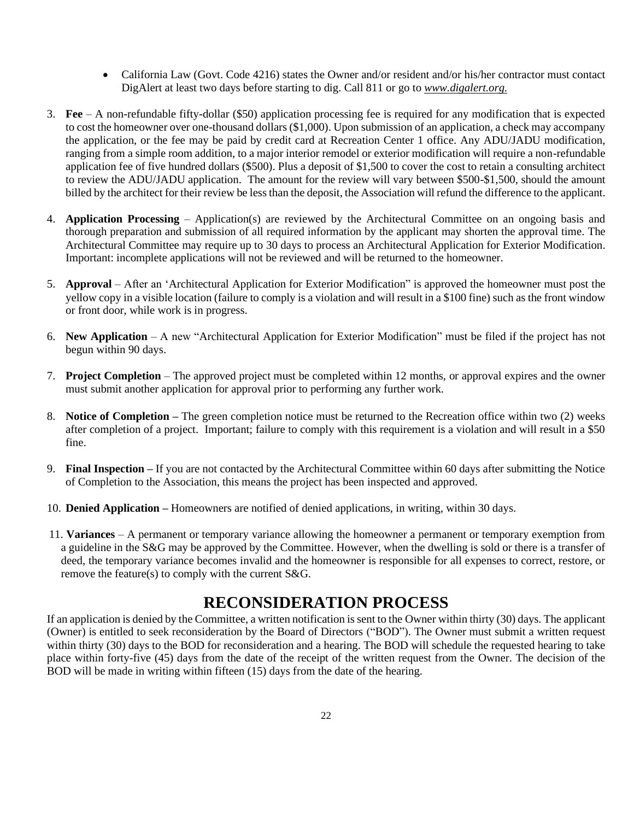- California Law (Govt. Code 4216) states the Owner and/or resident and/or his/her contractor must contact DigAlert at least two days before starting to dig. Call 811 or go to *www.digalert.org.*
- 3. **Fee** A non-refundable fifty-dollar (\$50) application processing fee is required for any modification that is expected to cost the homeowner over one-thousand dollars (\$1,000). Upon submission of an application, a check may accompany the application, or the fee may be paid by credit card at Recreation Center 1 office. Any ADU/JADU modification, ranging from a simple room addition, to a major interior remodel or exterior modification will require a non-refundable application fee of five hundred dollars (\$500). Plus a deposit of \$1,500 to cover the cost to retain a consulting architect to review the ADU/JADU application. The amount for the review will vary between \$500-\$1,500, should the amount billed by the architect for their review be less than the deposit, the Association will refund the difference to the applicant.
- 4. **Application Processing** Application(s) are reviewed by the Architectural Committee on an ongoing basis and thorough preparation and submission of all required information by the applicant may shorten the approval time. The Architectural Committee may require up to 30 days to process an Architectural Application for Exterior Modification. Important: incomplete applications will not be reviewed and will be returned to the homeowner.
- 5. **Approval**  After an 'Architectural Application for Exterior Modification" is approved the homeowner must post the yellow copy in a visible location (failure to comply is a violation and will result in a \$100 fine) such as the front window or front door, while work is in progress.
- 6. **New Application** A new "Architectural Application for Exterior Modification" must be filed if the project has not begun within 90 days.
- 7. **Project Completion** The approved project must be completed within 12 months, or approval expires and the owner must submit another application for approval prior to performing any further work.
- 8. **Notice of Completion –** The green completion notice must be returned to the Recreation office within two (2) weeks after completion of a project. Important; failure to comply with this requirement is a violation and will result in a \$50 fine.
- 9. **Final Inspection –** If you are not contacted by the Architectural Committee within 60 days after submitting the Notice of Completion to the Association, this means the project has been inspected and approved.
- 10. **Denied Application –** Homeowners are notified of denied applications, in writing, within 30 days.
- 11. **Variances**  A permanent or temporary variance allowing the homeowner a permanent or temporary exemption from a guideline in the S&G may be approved by the Committee. However, when the dwelling is sold or there is a transfer of deed, the temporary variance becomes invalid and the homeowner is responsible for all expenses to correct, restore, or remove the feature(s) to comply with the current S&G.

### **RECONSIDERATION PROCESS**

If an application is denied by the Committee, a written notification is sent to the Owner within thirty (30) days. The applicant (Owner) is entitled to seek reconsideration by the Board of Directors ("BOD"). The Owner must submit a written request within thirty (30) days to the BOD for reconsideration and a hearing. The BOD will schedule the requested hearing to take place within forty-five (45) days from the date of the receipt of the written request from the Owner. The decision of the BOD will be made in writing within fifteen (15) days from the date of the hearing.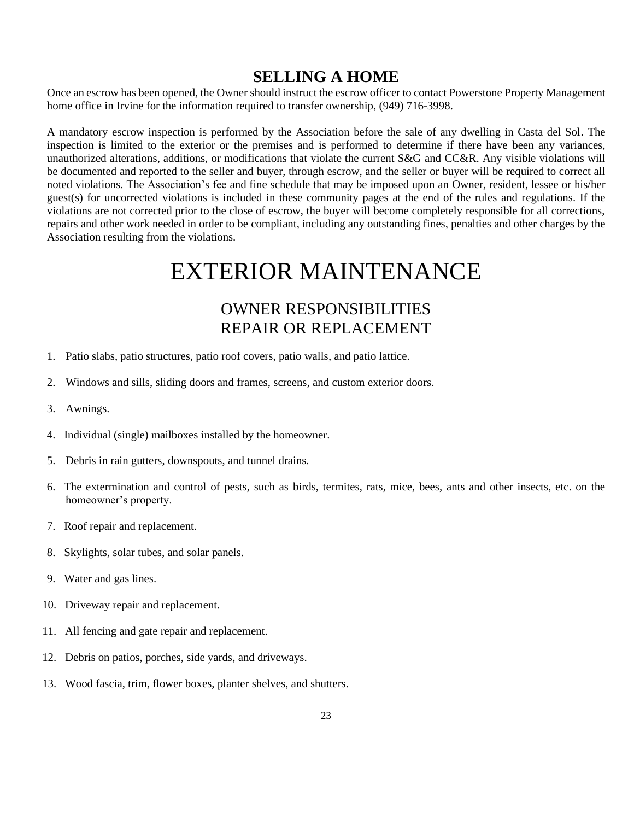### **SELLING A HOME**

Once an escrow has been opened, the Owner should instruct the escrow officer to contact Powerstone Property Management home office in Irvine for the information required to transfer ownership, (949) 716-3998.

A mandatory escrow inspection is performed by the Association before the sale of any dwelling in Casta del Sol. The inspection is limited to the exterior or the premises and is performed to determine if there have been any variances, unauthorized alterations, additions, or modifications that violate the current S&G and CC&R. Any visible violations will be documented and reported to the seller and buyer, through escrow, and the seller or buyer will be required to correct all noted violations. The Association's fee and fine schedule that may be imposed upon an Owner, resident, lessee or his/her guest(s) for uncorrected violations is included in these community pages at the end of the rules and regulations. If the violations are not corrected prior to the close of escrow, the buyer will become completely responsible for all corrections, repairs and other work needed in order to be compliant, including any outstanding fines, penalties and other charges by the Association resulting from the violations.

## EXTERIOR MAINTENANCE

## OWNER RESPONSIBILITIES REPAIR OR REPLACEMENT

- 1. Patio slabs, patio structures, patio roof covers, patio walls, and patio lattice.
- 2. Windows and sills, sliding doors and frames, screens, and custom exterior doors.
- 3. Awnings.
- 4. Individual (single) mailboxes installed by the homeowner.
- 5. Debris in rain gutters, downspouts, and tunnel drains.
- 6. The extermination and control of pests, such as birds, termites, rats, mice, bees, ants and other insects, etc. on the homeowner's property.
- 7. Roof repair and replacement.
- 8. Skylights, solar tubes, and solar panels.
- 9. Water and gas lines.
- 10. Driveway repair and replacement.
- 11. All fencing and gate repair and replacement.
- 12. Debris on patios, porches, side yards, and driveways.
- 13. Wood fascia, trim, flower boxes, planter shelves, and shutters.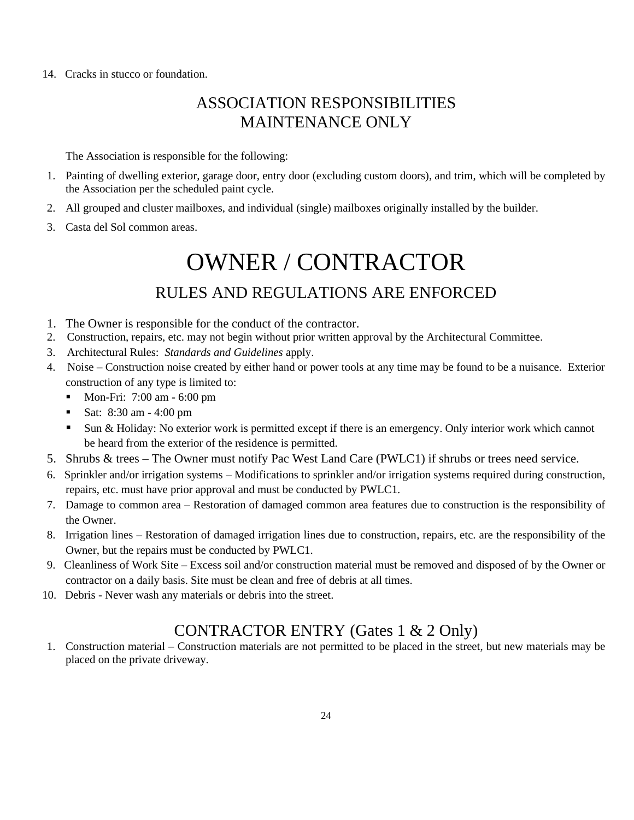14. Cracks in stucco or foundation.

## ASSOCIATION RESPONSIBILITIES MAINTENANCE ONLY

The Association is responsible for the following:

- 1. Painting of dwelling exterior, garage door, entry door (excluding custom doors), and trim, which will be completed by the Association per the scheduled paint cycle.
- 2. All grouped and cluster mailboxes, and individual (single) mailboxes originally installed by the builder.
- 3. Casta del Sol common areas.

## OWNER / CONTRACTOR

## RULES AND REGULATIONS ARE ENFORCED

- 1. The Owner is responsible for the conduct of the contractor.
- 2. Construction, repairs, etc. may not begin without prior written approval by the Architectural Committee.
- 3. Architectural Rules: *Standards and Guidelines* apply.
- 4. Noise Construction noise created by either hand or power tools at any time may be found to be a nuisance. Exterior construction of any type is limited to:
	- Mon-Fri: 7:00 am 6:00 pm
	- Sat: 8:30 am 4:00 pm
	- Sun & Holiday: No exterior work is permitted except if there is an emergency. Only interior work which cannot be heard from the exterior of the residence is permitted.
- 5. Shrubs & trees The Owner must notify Pac West Land Care (PWLC1) if shrubs or trees need service.
- 6. Sprinkler and/or irrigation systems Modifications to sprinkler and/or irrigation systems required during construction, repairs, etc. must have prior approval and must be conducted by PWLC1.
- 7. Damage to common area Restoration of damaged common area features due to construction is the responsibility of the Owner.
- 8. Irrigation lines Restoration of damaged irrigation lines due to construction, repairs, etc. are the responsibility of the Owner, but the repairs must be conducted by PWLC1.
- 9. Cleanliness of Work Site Excess soil and/or construction material must be removed and disposed of by the Owner or contractor on a daily basis. Site must be clean and free of debris at all times.
- 10. Debris Never wash any materials or debris into the street.

### CONTRACTOR ENTRY (Gates 1 & 2 Only)

1. Construction material – Construction materials are not permitted to be placed in the street, but new materials may be placed on the private driveway.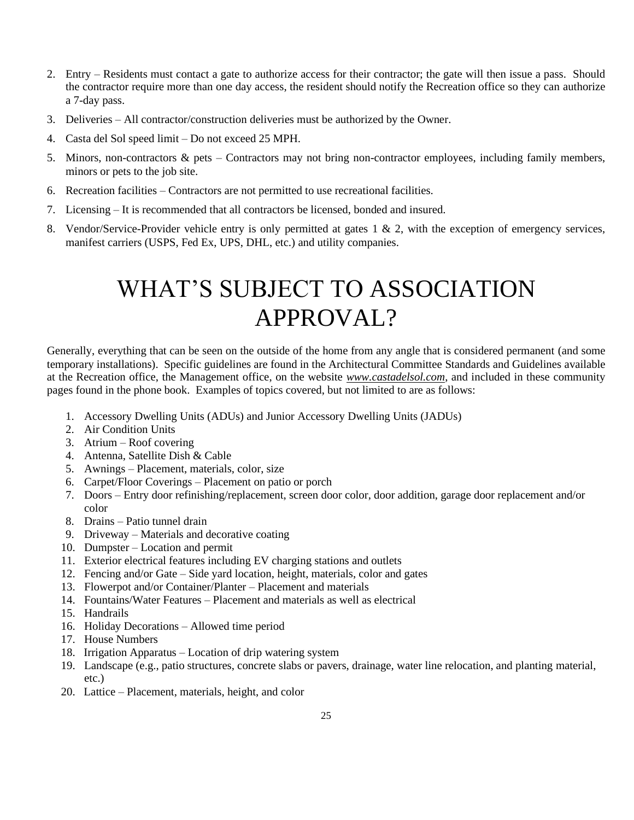- 2. Entry Residents must contact a gate to authorize access for their contractor; the gate will then issue a pass. Should the contractor require more than one day access, the resident should notify the Recreation office so they can authorize a 7-day pass.
- 3. Deliveries All contractor/construction deliveries must be authorized by the Owner.
- 4. Casta del Sol speed limit Do not exceed 25 MPH.
- 5. Minors, non-contractors & pets Contractors may not bring non-contractor employees, including family members, minors or pets to the job site.
- 6. Recreation facilities Contractors are not permitted to use recreational facilities.
- 7. Licensing It is recommended that all contractors be licensed, bonded and insured.
- 8. Vendor/Service-Provider vehicle entry is only permitted at gates 1 & 2, with the exception of emergency services, manifest carriers (USPS, Fed Ex, UPS, DHL, etc.) and utility companies.

## WHAT'S SUBJECT TO ASSOCIATION APPROVAL?

Generally, everything that can be seen on the outside of the home from any angle that is considered permanent (and some temporary installations). Specific guidelines are found in the Architectural Committee Standards and Guidelines available at the Recreation office, the Management office, on the website *www.castadelsol.com*, and included in these community pages found in the phone book. Examples of topics covered, but not limited to are as follows:

- 1. Accessory Dwelling Units (ADUs) and Junior Accessory Dwelling Units (JADUs)
- 2. Air Condition Units
- 3. Atrium Roof covering
- 4. Antenna, Satellite Dish & Cable
- 5. Awnings Placement, materials, color, size
- 6. Carpet/Floor Coverings Placement on patio or porch
- 7. Doors Entry door refinishing/replacement, screen door color, door addition, garage door replacement and/or color
- 8. Drains Patio tunnel drain
- 9. Driveway Materials and decorative coating
- 10. Dumpster Location and permit
- 11. Exterior electrical features including EV charging stations and outlets
- 12. Fencing and/or Gate Side yard location, height, materials, color and gates
- 13. Flowerpot and/or Container/Planter Placement and materials
- 14. Fountains/Water Features Placement and materials as well as electrical
- 15. Handrails
- 16. Holiday Decorations Allowed time period
- 17. House Numbers
- 18. Irrigation Apparatus Location of drip watering system
- 19. Landscape (e.g., patio structures, concrete slabs or pavers, drainage, water line relocation, and planting material, etc.)
- 20. Lattice Placement, materials, height, and color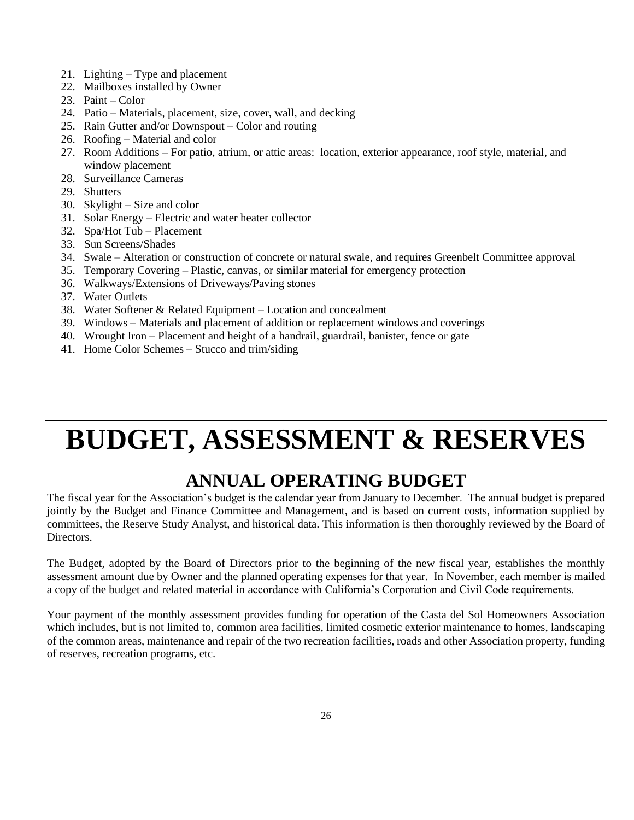- 21. Lighting Type and placement
- 22. Mailboxes installed by Owner
- 23. Paint Color
- 24. Patio Materials, placement, size, cover, wall, and decking
- 25. Rain Gutter and/or Downspout Color and routing
- 26. Roofing Material and color
- 27. Room Additions For patio, atrium, or attic areas: location, exterior appearance, roof style, material, and window placement
- 28. Surveillance Cameras
- 29. Shutters
- 30. Skylight Size and color
- 31. Solar Energy Electric and water heater collector
- 32. Spa/Hot Tub Placement
- 33. Sun Screens/Shades
- 34. Swale Alteration or construction of concrete or natural swale, and requires Greenbelt Committee approval
- 35. Temporary Covering Plastic, canvas, or similar material for emergency protection
- 36. Walkways/Extensions of Driveways/Paving stones
- 37. Water Outlets
- 38. Water Softener & Related Equipment Location and concealment
- 39. Windows Materials and placement of addition or replacement windows and coverings
- 40. Wrought Iron Placement and height of a handrail, guardrail, banister, fence or gate
- 41. Home Color Schemes Stucco and trim/siding

## **BUDGET, ASSESSMENT & RESERVES**

## **ANNUAL OPERATING BUDGET**

The fiscal year for the Association's budget is the calendar year from January to December. The annual budget is prepared jointly by the Budget and Finance Committee and Management, and is based on current costs, information supplied by committees, the Reserve Study Analyst, and historical data. This information is then thoroughly reviewed by the Board of Directors.

The Budget, adopted by the Board of Directors prior to the beginning of the new fiscal year, establishes the monthly assessment amount due by Owner and the planned operating expenses for that year. In November, each member is mailed a copy of the budget and related material in accordance with California's Corporation and Civil Code requirements.

Your payment of the monthly assessment provides funding for operation of the Casta del Sol Homeowners Association which includes, but is not limited to, common area facilities, limited cosmetic exterior maintenance to homes, landscaping of the common areas, maintenance and repair of the two recreation facilities, roads and other Association property, funding of reserves, recreation programs, etc.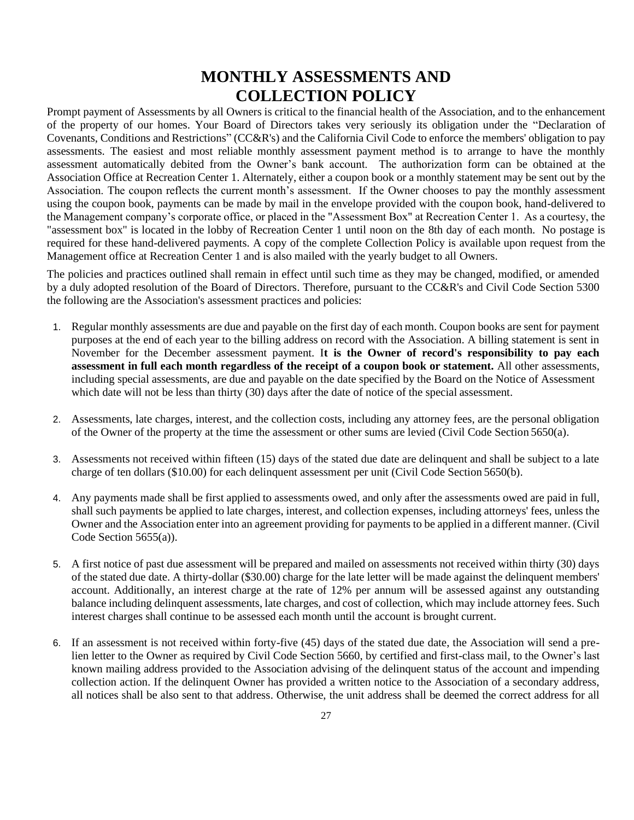## **MONTHLY ASSESSMENTS AND COLLECTION POLICY**

Prompt payment of Assessments by all Owners is critical to the financial health of the Association, and to the enhancement of the property of our homes. Your Board of Directors takes very seriously its obligation under the "Declaration of Covenants, Conditions and Restrictions" (CC&R's) and the California Civil Code to enforce the members' obligation to pay assessments. The easiest and most reliable monthly assessment payment method is to arrange to have the monthly assessment automatically debited from the Owner's bank account. The authorization form can be obtained at the Association Office at Recreation Center 1. Alternately, either a coupon book or a monthly statement may be sent out by the Association. The coupon reflects the current month's assessment. If the Owner chooses to pay the monthly assessment using the coupon book, payments can be made by mail in the envelope provided with the coupon book, hand-delivered to the Management company's corporate office, or placed in the "Assessment Box" at Recreation Center 1. As a courtesy, the "assessment box" is located in the lobby of Recreation Center 1 until noon on the 8th day of each month. No postage is required for these hand-delivered payments. A copy of the complete Collection Policy is available upon request from the Management office at Recreation Center 1 and is also mailed with the yearly budget to all Owners.

The policies and practices outlined shall remain in effect until such time as they may be changed, modified, or amended by a duly adopted resolution of the Board of Directors. Therefore, pursuant to the CC&R's and Civil Code Section 5300 the following are the Association's assessment practices and policies:

- 1. Regular monthly assessments are due and payable on the first day of each month. Coupon books are sent for payment purposes at the end of each year to the billing address on record with the Association. A billing statement is sent in November for the December assessment payment. I**t is the Owner of record's responsibility to pay each assessment in full each month regardless of the receipt of a coupon book or statement.** All other assessments, including special assessments, are due and payable on the date specified by the Board on the Notice of Assessment which date will not be less than thirty (30) days after the date of notice of the special assessment.
- 2. Assessments, late charges, interest, and the collection costs, including any attorney fees, are the personal obligation of the Owner of the property at the time the assessment or other sums are levied (Civil Code Section 5650(a).
- 3. Assessments not received within fifteen (15) days of the stated due date are delinquent and shall be subject to a late charge of ten dollars (\$10.00) for each delinquent assessment per unit (Civil Code Section 5650(b).
- 4. Any payments made shall be first applied to assessments owed, and only after the assessments owed are paid in full, shall such payments be applied to late charges, interest, and collection expenses, including attorneys' fees, unless the Owner and the Association enter into an agreement providing for payments to be applied in a different manner. (Civil Code Section 5655(a)).
- 5. A first notice of past due assessment will be prepared and mailed on assessments not received within thirty (30) days of the stated due date. A thirty-dollar (\$30.00) charge for the late letter will be made against the delinquent members' account. Additionally, an interest charge at the rate of 12% per annum will be assessed against any outstanding balance including delinquent assessments, late charges, and cost of collection, which may include attorney fees. Such interest charges shall continue to be assessed each month until the account is brought current.
- 6. If an assessment is not received within forty-five (45) days of the stated due date, the Association will send a prelien letter to the Owner as required by Civil Code Section 5660, by certified and first-class mail, to the Owner's last known mailing address provided to the Association advising of the delinquent status of the account and impending collection action. If the delinquent Owner has provided a written notice to the Association of a secondary address, all notices shall be also sent to that address. Otherwise, the unit address shall be deemed the correct address for all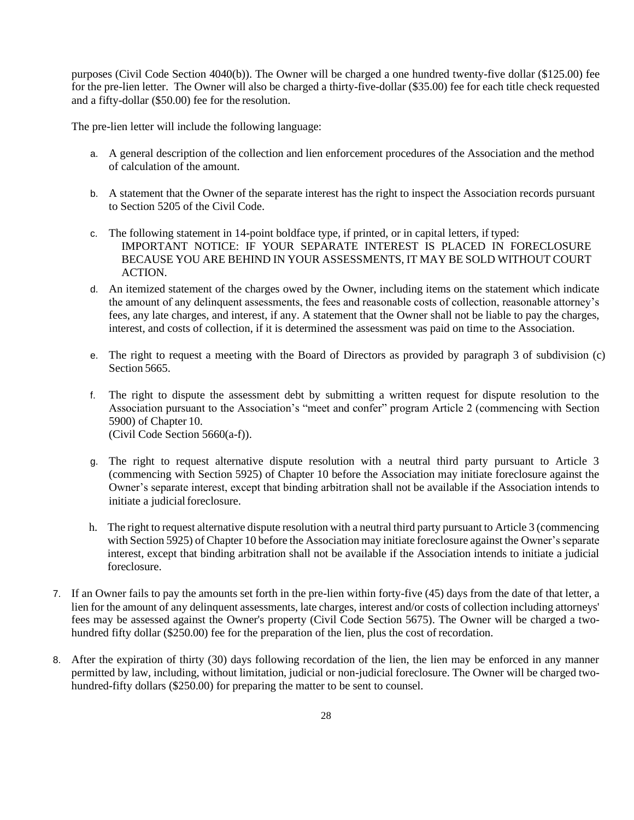purposes (Civil Code Section 4040(b)). The Owner will be charged a one hundred twenty-five dollar (\$125.00) fee for the pre-lien letter. The Owner will also be charged a thirty-five-dollar (\$35.00) fee for each title check requested and a fifty-dollar (\$50.00) fee for the resolution.

The pre-lien letter will include the following language:

- a. A general description of the collection and lien enforcement procedures of the Association and the method of calculation of the amount.
- b. A statement that the Owner of the separate interest has the right to inspect the Association records pursuant to Section 5205 of the Civil Code.
- c. The following statement in 14-point boldface type, if printed, or in capital letters, if typed: IMPORTANT NOTICE: IF YOUR SEPARATE INTEREST IS PLACED IN FORECLOSURE BECAUSE YOU ARE BEHIND IN YOUR ASSESSMENTS, IT MAY BE SOLD WITHOUT COURT ACTION.
- d. An itemized statement of the charges owed by the Owner, including items on the statement which indicate the amount of any delinquent assessments, the fees and reasonable costs of collection, reasonable attorney's fees, any late charges, and interest, if any. A statement that the Owner shall not be liable to pay the charges, interest, and costs of collection, if it is determined the assessment was paid on time to the Association.
- e. The right to request a meeting with the Board of Directors as provided by paragraph 3 of subdivision (c) Section 5665.
- f. The right to dispute the assessment debt by submitting a written request for dispute resolution to the Association pursuant to the Association's "meet and confer" program Article 2 (commencing with [Section](http://www.davis-stirling.com/MainIndex/Statutes/CivilCode5900/tabid/3856/Default.aspx#axzz2CgHrcBrn)  [5900\)](http://www.davis-stirling.com/MainIndex/Statutes/CivilCode5900/tabid/3856/Default.aspx#axzz2CgHrcBrn) of Chapter 10. (Civil Code Section 5660(a-f)).
- g. The right to request alternative dispute resolution with a neutral third party pursuant to Article 3 (commencing with [Section 5925\)](http://www.davis-stirling.com/MainIndex/Statutes/CivilCode5925/tabid/3861/Default.aspx#axzz2CgHrcBrn) of Chapter 10 before the Association may initiate foreclosure against the Owner's separate interest, except that binding arbitration shall not be available if the Association intends to initiate a judicial foreclosure.
- h. The right to request alternative dispute resolution with a neutral third party pursuant to Article 3 (commencing with Section 5925) of Chapter 10 before the Association may initiate foreclosure against the Owner's separate interest, except that binding arbitration shall not be available if the Association intends to initiate a judicial foreclosure.
- 7. If an Owner fails to pay the amounts set forth in the pre-lien within forty-five (45) days from the date of that letter, a lien for the amount of any delinquent assessments, late charges, interest and/or costs of collection including attorneys' fees may be assessed against the Owner's property (Civil Code Section 5675). The Owner will be charged a twohundred fifty dollar (\$250.00) fee for the preparation of the lien, plus the cost of recordation.
- 8. After the expiration of thirty (30) days following recordation of the lien, the lien may be enforced in any manner permitted by law, including, without limitation, judicial or non-judicial foreclosure. The Owner will be charged twohundred-fifty dollars (\$250.00) for preparing the matter to be sent to counsel.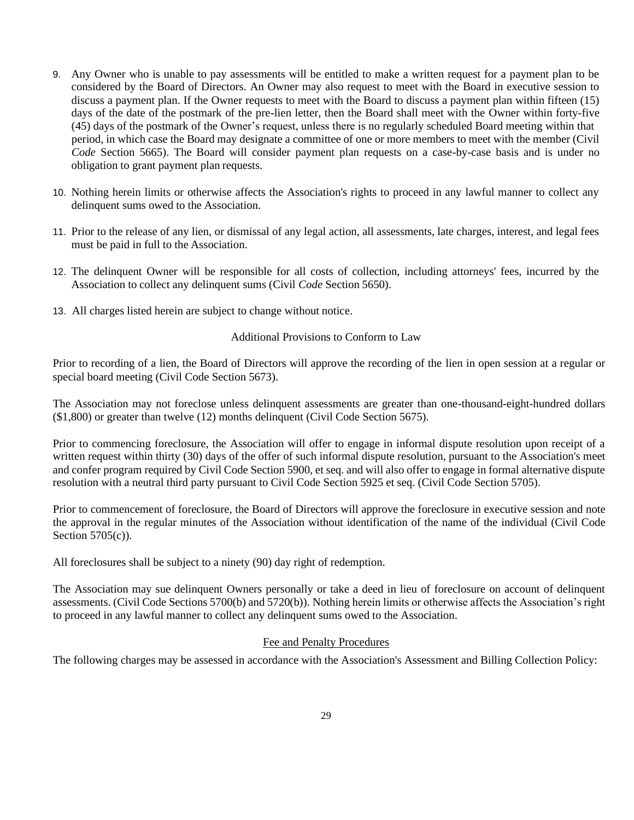- 9. Any Owner who is unable to pay assessments will be entitled to make a written request for a payment plan to be considered by the Board of Directors. An Owner may also request to meet with the Board in executive session to discuss a payment plan. If the Owner requests to meet with the Board to discuss a payment plan within fifteen (15) days of the date of the postmark of the pre-lien letter, then the Board shall meet with the Owner within forty-five (45) days of the postmark of the Owner's request, unless there is no regularly scheduled Board meeting within that period, in which case the Board may designate a committee of one or more members to meet with the member (Civil *Code* Section 5665). The Board will consider payment plan requests on a case-by-case basis and is under no obligation to grant payment plan requests.
- 10. Nothing herein limits or otherwise affects the Association's rights to proceed in any lawful manner to collect any delinquent sums owed to the Association.
- 11. Prior to the release of any lien, or dismissal of any legal action, all assessments, late charges, interest, and legal fees must be paid in full to the Association.
- 12. The delinquent Owner will be responsible for all costs of collection, including attorneys' fees, incurred by the Association to collect any delinquent sums (Civil *Code* Section 5650).
- 13. All charges listed herein are subject to change without notice.

#### Additional Provisions to Conform to Law

Prior to recording of a lien, the Board of Directors will approve the recording of the lien in open session at a regular or special board meeting (Civil Code Section 5673).

The Association may not foreclose unless delinquent assessments are greater than one-thousand-eight-hundred dollars (\$1,800) or greater than twelve (12) months delinquent (Civil Code Section 5675).

Prior to commencing foreclosure, the Association will offer to engage in informal dispute resolution upon receipt of a written request within thirty (30) days of the offer of such informal dispute resolution, pursuant to the Association's meet and confer program required by Civil Code Section 5900, et seq. and will also offer to engage in formal alternative dispute resolution with a neutral third party pursuant to Civil Code Section 5925 et seq. (Civil Code Section 5705).

Prior to commencement of foreclosure, the Board of Directors will approve the foreclosure in executive session and note the approval in the regular minutes of the Association without identification of the name of the individual (Civil Code Section  $5705(c)$ ).

All foreclosures shall be subject to a ninety (90) day right of redemption.

The Association may sue delinquent Owners personally or take a deed in lieu of foreclosure on account of delinquent assessments. (Civil Code Sections 5700(b) and 5720(b)). Nothing herein limits or otherwise affects the Association's right to proceed in any lawful manner to collect any delinquent sums owed to the Association.

#### Fee and Penalty Procedures

The following charges may be assessed in accordance with the Association's Assessment and Billing Collection Policy: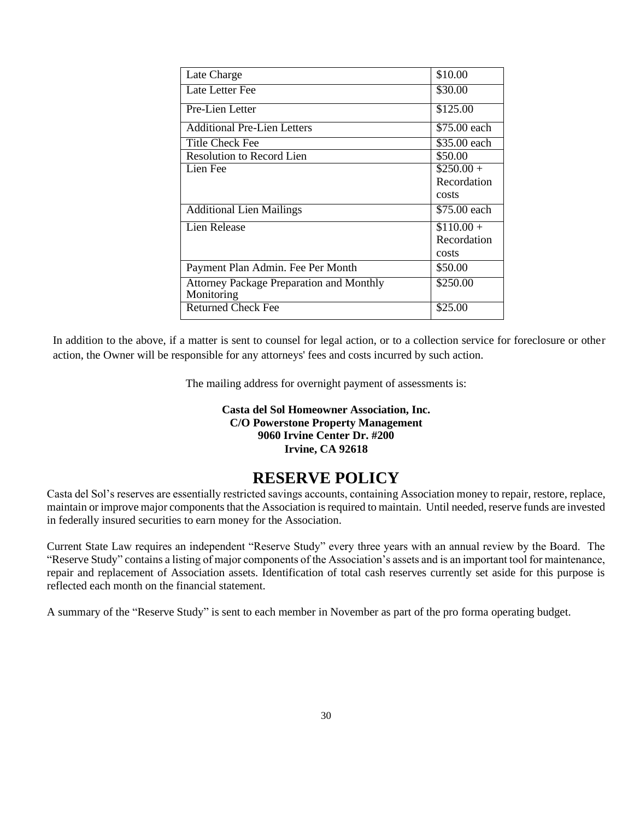| Late Charge                                     | \$10.00      |
|-------------------------------------------------|--------------|
| Late Letter Fee                                 | \$30.00      |
| Pre-Lien Letter                                 | \$125.00     |
| Additional Pre-Lien Letters                     | \$75.00 each |
| Title Check Fee                                 | \$35.00 each |
| <b>Resolution to Record Lien</b>                | \$50.00      |
| Lien Fee                                        | $$250.00+$   |
|                                                 | Recordation  |
|                                                 | costs        |
| <b>Additional Lien Mailings</b>                 | \$75.00 each |
| Lien Release                                    | $$110.00+$   |
|                                                 | Recordation  |
|                                                 | costs        |
| Payment Plan Admin. Fee Per Month               | \$50.00      |
| <b>Attorney Package Preparation and Monthly</b> | \$250.00     |
| Monitoring                                      |              |
| <b>Returned Check Fee</b>                       | \$25.00      |

In addition to the above, if a matter is sent to counsel for legal action, or to a collection service for foreclosure or other action, the Owner will be responsible for any attorneys' fees and costs incurred by such action.

The mailing address for overnight payment of assessments is:

### **Casta del Sol Homeowner Association, Inc. C/O Powerstone Property Management 9060 Irvine Center Dr. #200 Irvine, CA 92618**

### **RESERVE POLICY**

Casta del Sol's reserves are essentially restricted savings accounts, containing Association money to repair, restore, replace, maintain or improve major components that the Association is required to maintain. Until needed, reserve funds are invested in federally insured securities to earn money for the Association.

Current State Law requires an independent "Reserve Study" every three years with an annual review by the Board. The "Reserve Study" contains a listing of major components of the Association's assets and is an important tool for maintenance, repair and replacement of Association assets. Identification of total cash reserves currently set aside for this purpose is reflected each month on the financial statement.

A summary of the "Reserve Study" is sent to each member in November as part of the pro forma operating budget.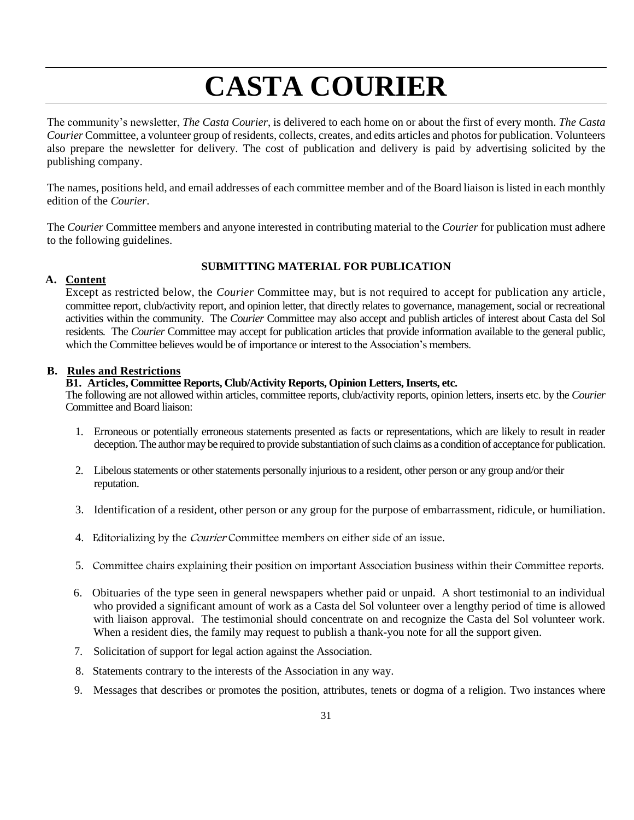## **CASTA COURIER**

The community's newsletter, *The Casta Courier*, is delivered to each home on or about the first of every month. *The Casta Courier* Committee, a volunteer group of residents, collects, creates, and edits articles and photos for publication. Volunteers also prepare the newsletter for delivery. The cost of publication and delivery is paid by advertising solicited by the publishing company.

The names, positions held, and email addresses of each committee member and of the Board liaison is listed in each monthly edition of the *Courier*.

The *Courier* Committee members and anyone interested in contributing material to the *Courier* for publication must adhere to the following guidelines.

### **SUBMITTING MATERIAL FOR PUBLICATION**

### **A. Content**

Except as restricted below, the *Courier* Committee may, but is not required to accept for publication any article, committee report, club/activity report, and opinion letter, that directly relates to governance, management, social or recreational activities within the community. The *Courier* Committee may also accept and publish articles of interest about Casta del Sol residents*.* The *Courier* Committee may accept for publication articles that provide information available to the general public, which the Committee believes would be of importance or interest to the Association's members.

#### **B. Rules and Restrictions**

### **B1. Articles, Committee Reports, Club/Activity Reports, Opinion Letters,Inserts, etc.**

The following are not allowed within articles, committee reports, club/activity reports, opinion letters, inserts etc. by the *Courier* Committee and Board liaison:

- 1. Erroneous or potentially erroneous statements presented as facts or representations, which are likely to result in reader deception. The author may be required to provide substantiation of such claims as a condition of acceptance for publication.
- 2. Libelous statements or other statements personally injurious to a resident, other person or any group and/or their reputation.
- 3. Identification of a resident, other person or any group for the purpose of embarrassment, ridicule, or humiliation.
- 4. Editorializing by the Courier Committee members on either side of an issue.
- 5. Committee chairs explaining their position on important Association business within their Committee reports.
- 6. Obituaries of the type seen in general newspapers whether paid or unpaid. A short testimonial to an individual who provided a significant amount of work as a Casta del Sol volunteer over a lengthy period of time is allowed with liaison approval. The testimonial should concentrate on and recognize the Casta del Sol volunteer work. When a resident dies, the family may request to publish a thank-you note for all the support given.
- 7. Solicitation of support for legal action against the Association.
- 8. Statements contrary to the interests of the Association in any way.
- 9. Messages that describes or promotes the position, attributes, tenets or dogma of a religion. Two instances where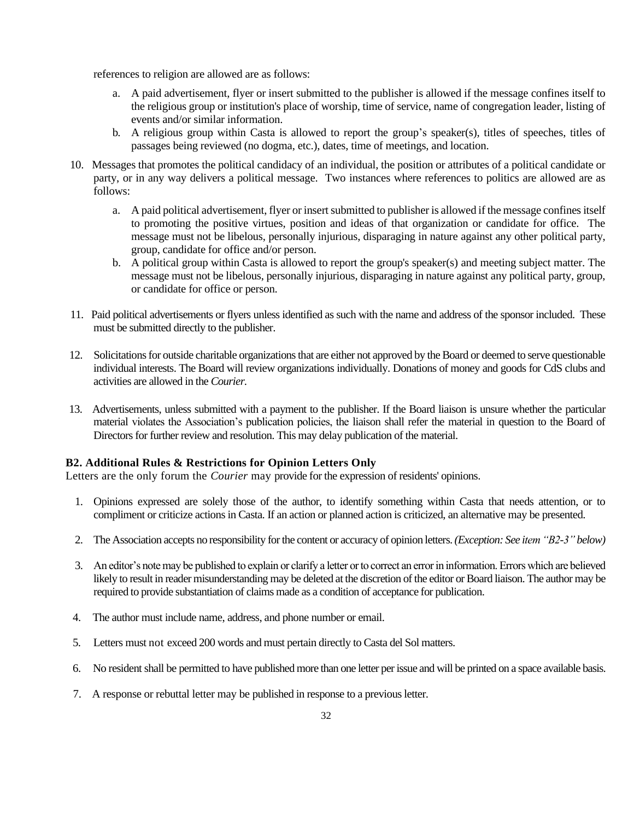references to religion are allowed are as follows:

- a. A paid advertisement, flyer or insert submitted to the publisher is allowed if the message confines itself to the religious group or institution's place of worship, time of service, name of congregation leader, listing of events and/or similar information.
- b. A religious group within Casta is allowed to report the group's speaker(s), titles of speeches, titles of passages being reviewed (no dogma, etc.), dates, time of meetings, and location.
- 10. Messages that promotes the political candidacy of an individual, the position or attributes of a political candidate or party, or in any way delivers a political message. Two instances where references to politics are allowed are as follows:
	- a. A paid political advertisement, flyer or insert submitted to publisher is allowed if the message confines itself to promoting the positive virtues, position and ideas of that organization or candidate for office. The message must not be libelous, personally injurious, disparaging in nature against any other political party, group, candidate for office and/or person.
	- b. A political group within Casta is allowed to report the group's speaker(s) and meeting subject matter. The message must not be libelous, personally injurious, disparaging in nature against any political party, group, or candidate for office or person.
- 11. Paid political advertisements or flyers unless identified as such with the name and address of the sponsor included. These must be submitted directly to the publisher.
- 12. Solicitations for outside charitable organizations that are either not approved by the Board or deemed to serve questionable individual interests. The Board will review organizations individually. Donations of money and goods for CdS clubs and activities are allowed in the *Courier.*
- 13. Advertisements, unless submitted with a payment to the publisher. If the Board liaison is unsure whether the particular material violates the Association's publication policies, the liaison shall refer the material in question to the Board of Directors for further review and resolution. This may delay publication of the material.

### **B2. Additional Rules & Restrictions for Opinion Letters Only**

Letters are the only forum the *Courier* may provide for the expression of residents' opinions.

- 1. Opinions expressed are solely those of the author, to identify something within Casta that needs attention, or to compliment or criticize actions in Casta. If an action or planned action is criticized, an alternative may be presented.
- 2. The Association accepts no responsibility for the content or accuracy of opinion letters. *(Exception: See item "B2-3" below)*
- 3. An editor's note may be published to explain or clarify a letter or to correct an error in information. Errors which are believed likely to result in reader misunderstanding may be deleted at the discretion of the editor or Board liaison. The author may be required to provide substantiation of claims made as a condition of acceptance for publication.
- 4. The author must include name, address, and phone number or email.
- 5. Letters must not exceed 200 words and must pertain directly to Casta del Sol matters.
- 6. No resident shall be permitted to have published more than one letter per issue and will be printed on a space available basis.
- 7. A response or rebuttal letter may be published in response to a previous letter.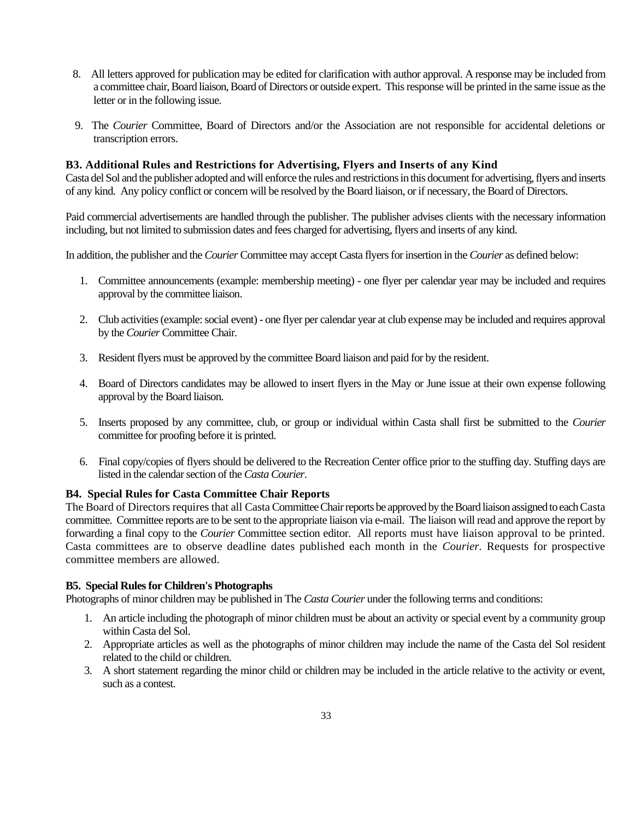- 8. All letters approved for publication may be edited for clarification with author approval. A response may be included from a committee chair, Board liaison, Board of Directors or outside expert. This response will be printed in the same issue as the letter or in the following issue.
- 9. The *Courier* Committee, Board of Directors and/or the Association are not responsible for accidental deletions or transcription errors.

#### **B3. Additional Rules and Restrictions for Advertising, Flyers and Inserts of any Kind**

Casta del Sol and the publisher adopted and will enforce the rules and restrictions in this document for advertising, flyers and inserts of any kind. Any policy conflict or concern will be resolved by the Board liaison, or if necessary, the Board of Directors.

Paid commercial advertisements are handled through the publisher. The publisher advises clients with the necessary information including, but not limited to submission dates and fees charged for advertising, flyers and inserts of any kind.

In addition, the publisher and the *Courier* Committee may accept Casta flyers for insertion in the *Courier* as defined below:

- 1. Committee announcements (example: membership meeting) one flyer per calendar year may be included and requires approval by the committee liaison.
- 2. Club activities(example: social event) one flyer per calendar year at club expense may be included and requires approval by the *Courier* Committee Chair.
- 3. Resident flyers must be approved by the committee Board liaison and paid for by the resident.
- 4. Board of Directors candidates may be allowed to insert flyers in the May or June issue at their own expense following approval by the Board liaison.
- 5. Inserts proposed by any committee, club, or group or individual within Casta shall first be submitted to the *Courier* committee for proofing before it is printed.
- 6. Final copy/copies of flyers should be delivered to the Recreation Center office prior to the stuffing day. Stuffing days are listed in the calendar section of the *Casta Courier*.

#### **B4. Special Rules for Casta Committee Chair Reports**

The Board of Directors requires that all Casta Committee Chair reports be approved by the Board liaison assigned to each Casta committee. Committee reports are to be sent to the appropriate liaison via e-mail. The liaison will read and approve the report by forwarding a final copy to the *Courier* Committee section editor. All reports must have liaison approval to be printed. Casta committees are to observe deadline dates published each month in the *Courier.* Requests for prospective committee members are allowed.

#### **B5. Special Rules for Children's Photographs**

Photographs of minor children may be published in The *Casta Courier* under the following terms and conditions:

- 1. An article including the photograph of minor children must be about an activity or special event by a community group within Casta del Sol.
- 2. Appropriate articles as well as the photographs of minor children may include the name of the Casta del Sol resident related to the child or children.
- 3. A short statement regarding the minor child or children may be included in the article relative to the activity or event, such as a contest.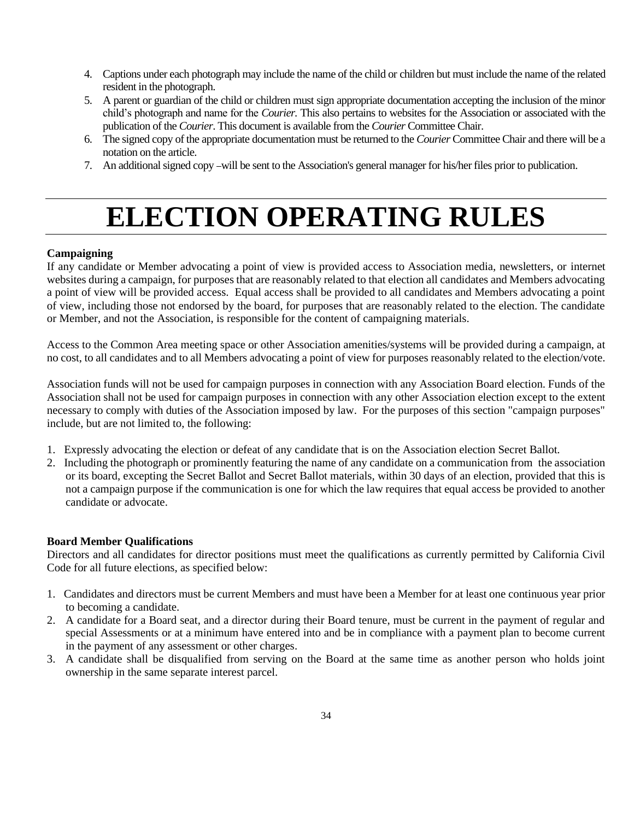- 4. Captions under each photograph may include the name of the child or children but must include the name of the related resident in the photograph.
- 5. A parent or guardian of the child or children must sign appropriate documentation accepting the inclusion of the minor child's photograph and name for the *Courier.* This also pertains to websites for the Association or associated with the publication of the *Courier*. This document is available from the *Courier* Committee Chair.
- 6. The signed copy of the appropriate documentation must be returned to the *Courier* Committee Chair and there will be a notation on the article.
- 7. An additional signed copy will be sent to the Association's general manager for his/her files prior to publication.

## **ELECTION OPERATING RULES**

### **Campaigning**

If any candidate or Member advocating a point of view is provided access to Association media, newsletters, or internet websites during a campaign, for purposes that are reasonably related to that election all candidates and Members advocating a point of view will be provided access. Equal access shall be provided to all candidates and Members advocating a point of view, including those not endorsed by the board, for purposes that are reasonably related to the election. The candidate or Member, and not the Association, is responsible for the content of campaigning materials.

Access to the Common Area meeting space or other Association amenities/systems will be provided during a campaign, at no cost, to all candidates and to all Members advocating a point of view for purposes reasonably related to the election/vote.

Association funds will not be used for campaign purposes in connection with any Association Board election. Funds of the Association shall not be used for campaign purposes in connection with any other Association election except to the extent necessary to comply with duties of the Association imposed by law. For the purposes of this section "campaign purposes" include, but are not limited to, the following:

- 1. Expressly advocating the election or defeat of any candidate that is on the Association election Secret Ballot.
- 2. Including the photograph or prominently featuring the name of any candidate on a communication from the association or its board, excepting the Secret Ballot and Secret Ballot materials, within 30 days of an election, provided that this is not a campaign purpose if the communication is one for which the law requires that equal access be provided to another candidate or advocate.

#### **Board Member Qualifications**

Directors and all candidates for director positions must meet the qualifications as currently permitted by California Civil Code for all future elections, as specified below:

- 1. Candidates and directors must be current Members and must have been a Member for at least one continuous year prior to becoming a candidate.
- 2. A candidate for a Board seat, and a director during their Board tenure, must be current in the payment of regular and special Assessments or at a minimum have entered into and be in compliance with a payment plan to become current in the payment of any assessment or other charges.
- 3. A candidate shall be disqualified from serving on the Board at the same time as another person who holds joint ownership in the same separate interest parcel.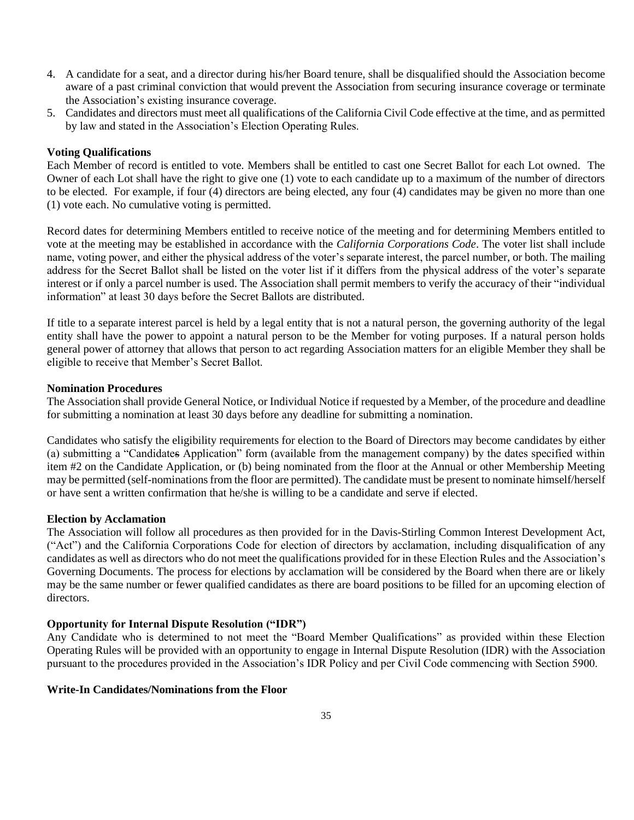- 4. A candidate for a seat, and a director during his/her Board tenure, shall be disqualified should the Association become aware of a past criminal conviction that would prevent the Association from securing insurance coverage or terminate the Association's existing insurance coverage.
- 5. Candidates and directors must meet all qualifications of the California Civil Code effective at the time, and as permitted by law and stated in the Association's Election Operating Rules.

#### **Voting Qualifications**

Each Member of record is entitled to vote. Members shall be entitled to cast one Secret Ballot for each Lot owned. The Owner of each Lot shall have the right to give one (1) vote to each candidate up to a maximum of the number of directors to be elected. For example, if four (4) directors are being elected, any four (4) candidates may be given no more than one (1) vote each. No cumulative voting is permitted.

Record dates for determining Members entitled to receive notice of the meeting and for determining Members entitled to vote at the meeting may be established in accordance with the *California Corporations Code*. The voter list shall include name, voting power, and either the physical address of the voter's separate interest, the parcel number, or both. The mailing address for the Secret Ballot shall be listed on the voter list if it differs from the physical address of the voter's separate interest or if only a parcel number is used. The Association shall permit members to verify the accuracy of their "individual information" at least 30 days before the Secret Ballots are distributed.

If title to a separate interest parcel is held by a legal entity that is not a natural person, the governing authority of the legal entity shall have the power to appoint a natural person to be the Member for voting purposes. If a natural person holds general power of attorney that allows that person to act regarding Association matters for an eligible Member they shall be eligible to receive that Member's Secret Ballot.

#### **Nomination Procedures**

The Association shall provide General Notice, or Individual Notice if requested by a Member, of the procedure and deadline for submitting a nomination at least 30 days before any deadline for submitting a nomination.

Candidates who satisfy the eligibility requirements for election to the Board of Directors may become candidates by either (a) submitting a "Candidates Application" form (available from the management company) by the dates specified within item #2 on the Candidate Application, or (b) being nominated from the floor at the Annual or other Membership Meeting may be permitted (self-nominations from the floor are permitted). The candidate must be present to nominate himself/herself or have sent a written confirmation that he/she is willing to be a candidate and serve if elected.

#### **Election by Acclamation**

The Association will follow all procedures as then provided for in the Davis-Stirling Common Interest Development Act, ("Act") and the California Corporations Code for election of directors by acclamation, including disqualification of any candidates as well as directors who do not meet the qualifications provided for in these Election Rules and the Association's Governing Documents. The process for elections by acclamation will be considered by the Board when there are or likely may be the same number or fewer qualified candidates as there are board positions to be filled for an upcoming election of directors.

### **Opportunity for Internal Dispute Resolution ("IDR")**

Any Candidate who is determined to not meet the "Board Member Qualifications" as provided within these Election Operating Rules will be provided with an opportunity to engage in Internal Dispute Resolution (IDR) with the Association pursuant to the procedures provided in the Association's IDR Policy and per Civil Code commencing with Section 5900.

#### **Write-In Candidates/Nominations from the Floor**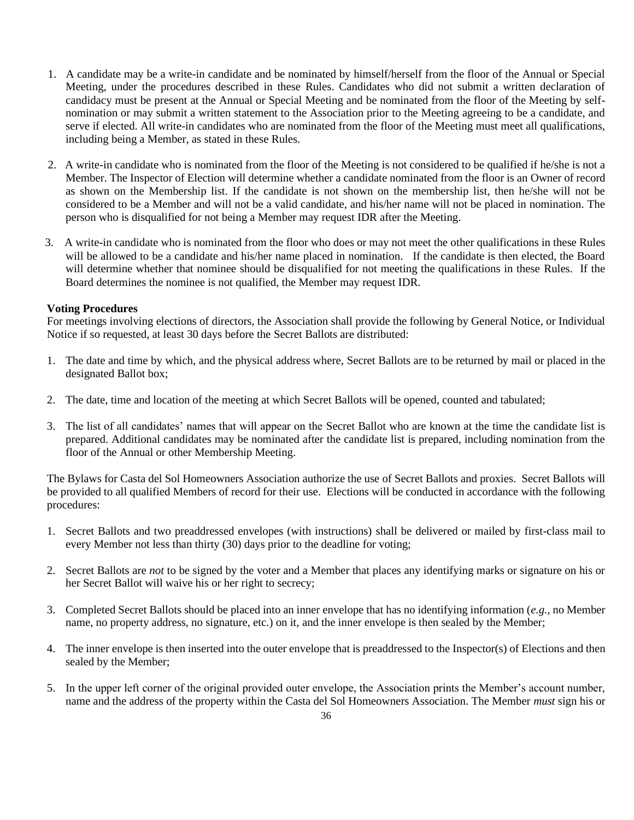- 1. A candidate may be a write-in candidate and be nominated by himself/herself from the floor of the Annual or Special Meeting, under the procedures described in these Rules. Candidates who did not submit a written declaration of candidacy must be present at the Annual or Special Meeting and be nominated from the floor of the Meeting by selfnomination or may submit a written statement to the Association prior to the Meeting agreeing to be a candidate, and serve if elected. All write-in candidates who are nominated from the floor of the Meeting must meet all qualifications, including being a Member, as stated in these Rules.
- 2. A write-in candidate who is nominated from the floor of the Meeting is not considered to be qualified if he/she is not a Member. The Inspector of Election will determine whether a candidate nominated from the floor is an Owner of record as shown on the Membership list. If the candidate is not shown on the membership list, then he/she will not be considered to be a Member and will not be a valid candidate, and his/her name will not be placed in nomination. The person who is disqualified for not being a Member may request IDR after the Meeting.
- 3. A write-in candidate who is nominated from the floor who does or may not meet the other qualifications in these Rules will be allowed to be a candidate and his/her name placed in nomination. If the candidate is then elected, the Board will determine whether that nominee should be disqualified for not meeting the qualifications in these Rules. If the Board determines the nominee is not qualified, the Member may request IDR.

### **Voting Procedures**

For meetings involving elections of directors, the Association shall provide the following by General Notice, or Individual Notice if so requested, at least 30 days before the Secret Ballots are distributed:

- 1. The date and time by which, and the physical address where, Secret Ballots are to be returned by mail or placed in the designated Ballot box;
- 2. The date, time and location of the meeting at which Secret Ballots will be opened, counted and tabulated;
- 3. The list of all candidates' names that will appear on the Secret Ballot who are known at the time the candidate list is prepared. Additional candidates may be nominated after the candidate list is prepared, including nomination from the floor of the Annual or other Membership Meeting.

The Bylaws for Casta del Sol Homeowners Association authorize the use of Secret Ballots and proxies. Secret Ballots will be provided to all qualified Members of record for their use. Elections will be conducted in accordance with the following procedures:

- 1. Secret Ballots and two preaddressed envelopes (with instructions) shall be delivered or mailed by first-class mail to every Member not less than thirty (30) days prior to the deadline for voting;
- 2. Secret Ballots are *not* to be signed by the voter and a Member that places any identifying marks or signature on his or her Secret Ballot will waive his or her right to secrecy;
- 3. Completed Secret Ballots should be placed into an inner envelope that has no identifying information (*e.g.,* no Member name, no property address, no signature, etc.) on it, and the inner envelope is then sealed by the Member;
- 4. The inner envelope is then inserted into the outer envelope that is preaddressed to the Inspector(s) of Elections and then sealed by the Member;
- 5. In the upper left corner of the original provided outer envelope, the Association prints the Member's account number, name and the address of the property within the Casta del Sol Homeowners Association. The Member *must* sign his or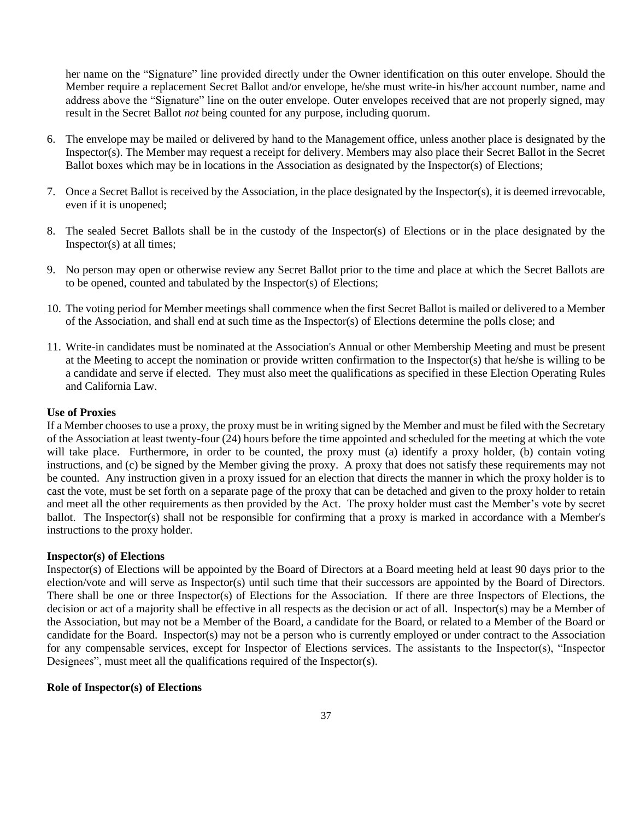her name on the "Signature" line provided directly under the Owner identification on this outer envelope. Should the Member require a replacement Secret Ballot and/or envelope, he/she must write-in his/her account number, name and address above the "Signature" line on the outer envelope. Outer envelopes received that are not properly signed, may result in the Secret Ballot *not* being counted for any purpose, including quorum.

- 6. The envelope may be mailed or delivered by hand to the Management office, unless another place is designated by the Inspector(s). The Member may request a receipt for delivery. Members may also place their Secret Ballot in the Secret Ballot boxes which may be in locations in the Association as designated by the Inspector(s) of Elections;
- 7. Once a Secret Ballot is received by the Association, in the place designated by the Inspector(s), it is deemed irrevocable, even if it is unopened;
- 8. The sealed Secret Ballots shall be in the custody of the Inspector(s) of Elections or in the place designated by the Inspector(s) at all times;
- 9. No person may open or otherwise review any Secret Ballot prior to the time and place at which the Secret Ballots are to be opened, counted and tabulated by the Inspector(s) of Elections;
- 10. The voting period for Member meetings shall commence when the first Secret Ballot is mailed or delivered to a Member of the Association, and shall end at such time as the Inspector(s) of Elections determine the polls close; and
- 11. Write-in candidates must be nominated at the Association's Annual or other Membership Meeting and must be present at the Meeting to accept the nomination or provide written confirmation to the Inspector(s) that he/she is willing to be a candidate and serve if elected. They must also meet the qualifications as specified in these Election Operating Rules and California Law.

#### **Use of Proxies**

If a Member chooses to use a proxy, the proxy must be in writing signed by the Member and must be filed with the Secretary of the Association at least twenty-four (24) hours before the time appointed and scheduled for the meeting at which the vote will take place. Furthermore, in order to be counted, the proxy must (a) identify a proxy holder, (b) contain voting instructions, and (c) be signed by the Member giving the proxy. A proxy that does not satisfy these requirements may not be counted. Any instruction given in a proxy issued for an election that directs the manner in which the proxy holder is to cast the vote, must be set forth on a separate page of the proxy that can be detached and given to the proxy holder to retain and meet all the other requirements as then provided by the Act. The proxy holder must cast the Member's vote by secret ballot. The Inspector(s) shall not be responsible for confirming that a proxy is marked in accordance with a Member's instructions to the proxy holder.

#### **Inspector(s) of Elections**

Inspector(s) of Elections will be appointed by the Board of Directors at a Board meeting held at least 90 days prior to the election/vote and will serve as Inspector(s) until such time that their successors are appointed by the Board of Directors. There shall be one or three Inspector(s) of Elections for the Association. If there are three Inspectors of Elections, the decision or act of a majority shall be effective in all respects as the decision or act of all. Inspector(s) may be a Member of the Association, but may not be a Member of the Board, a candidate for the Board, or related to a Member of the Board or candidate for the Board. Inspector(s) may not be a person who is currently employed or under contract to the Association for any compensable services, except for Inspector of Elections services. The assistants to the Inspector(s), "Inspector Designees", must meet all the qualifications required of the Inspector(s).

#### **Role of Inspector(s) of Elections**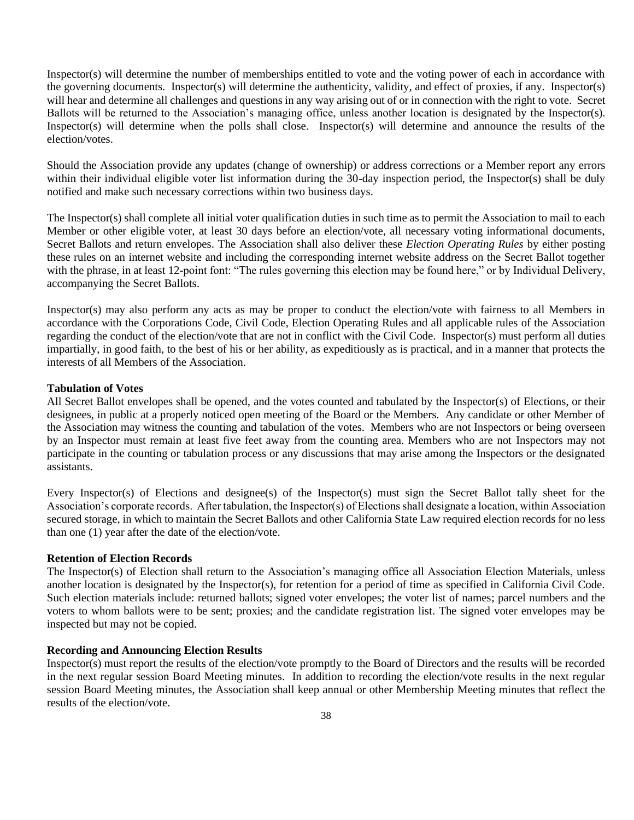Inspector(s) will determine the number of memberships entitled to vote and the voting power of each in accordance with the governing documents. Inspector(s) will determine the authenticity, validity, and effect of proxies, if any. Inspector(s) will hear and determine all challenges and questions in any way arising out of or in connection with the right to vote. Secret Ballots will be returned to the Association's managing office, unless another location is designated by the Inspector(s). Inspector(s) will determine when the polls shall close. Inspector(s) will determine and announce the results of the election/votes.

Should the Association provide any updates (change of ownership) or address corrections or a Member report any errors within their individual eligible voter list information during the 30-day inspection period, the Inspector(s) shall be duly notified and make such necessary corrections within two business days.

The Inspector(s) shall complete all initial voter qualification duties in such time as to permit the Association to mail to each Member or other eligible voter, at least 30 days before an election/vote, all necessary voting informational documents, Secret Ballots and return envelopes. The Association shall also deliver these *Election Operating Rules* by either posting these rules on an internet website and including the corresponding internet website address on the Secret Ballot together with the phrase, in at least 12-point font: "The rules governing this election may be found here," or by Individual Delivery, accompanying the Secret Ballots.

Inspector(s) may also perform any acts as may be proper to conduct the election/vote with fairness to all Members in accordance with the Corporations Code, Civil Code, Election Operating Rules and all applicable rules of the Association regarding the conduct of the election/vote that are not in conflict with the Civil Code. Inspector(s) must perform all duties impartially, in good faith, to the best of his or her ability, as expeditiously as is practical, and in a manner that protects the interests of all Members of the Association.

#### **Tabulation of Votes**

All Secret Ballot envelopes shall be opened, and the votes counted and tabulated by the Inspector(s) of Elections, or their designees, in public at a properly noticed open meeting of the Board or the Members. Any candidate or other Member of the Association may witness the counting and tabulation of the votes. Members who are not Inspectors or being overseen by an Inspector must remain at least five feet away from the counting area. Members who are not Inspectors may not participate in the counting or tabulation process or any discussions that may arise among the Inspectors or the designated assistants.

Every Inspector(s) of Elections and designee(s) of the Inspector(s) must sign the Secret Ballot tally sheet for the Association's corporate records. After tabulation, the Inspector(s) of Elections shall designate a location, within Association secured storage, in which to maintain the Secret Ballots and other California State Law required election records for no less than one (1) year after the date of the election/vote.

#### **Retention of Election Records**

The Inspector(s) of Election shall return to the Association's managing office all Association Election Materials, unless another location is designated by the Inspector(s), for retention for a period of time as specified in California Civil Code. Such election materials include: returned ballots; signed voter envelopes; the voter list of names; parcel numbers and the voters to whom ballots were to be sent; proxies; and the candidate registration list. The signed voter envelopes may be inspected but may not be copied.

### **Recording and Announcing Election Results**

Inspector(s) must report the results of the election/vote promptly to the Board of Directors and the results will be recorded in the next regular session Board Meeting minutes. In addition to recording the election/vote results in the next regular session Board Meeting minutes, the Association shall keep annual or other Membership Meeting minutes that reflect the results of the election/vote.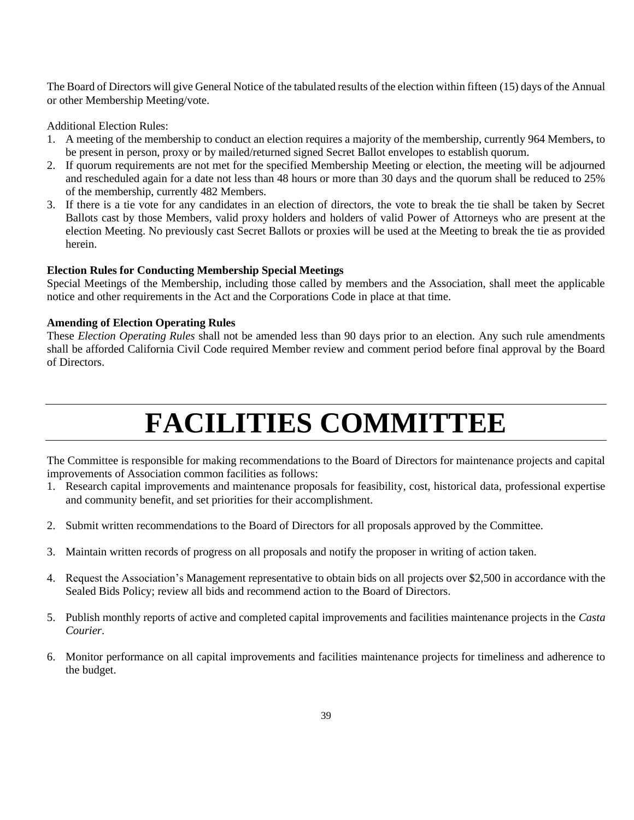The Board of Directors will give General Notice of the tabulated results of the election within fifteen (15) days of the Annual or other Membership Meeting/vote.

Additional Election Rules:

- 1. A meeting of the membership to conduct an election requires a majority of the membership, currently 964 Members, to be present in person, proxy or by mailed/returned signed Secret Ballot envelopes to establish quorum.
- 2. If quorum requirements are not met for the specified Membership Meeting or election, the meeting will be adjourned and rescheduled again for a date not less than 48 hours or more than 30 days and the quorum shall be reduced to 25% of the membership, currently 482 Members.
- 3. If there is a tie vote for any candidates in an election of directors, the vote to break the tie shall be taken by Secret Ballots cast by those Members, valid proxy holders and holders of valid Power of Attorneys who are present at the election Meeting. No previously cast Secret Ballots or proxies will be used at the Meeting to break the tie as provided herein.

#### **Election Rules for Conducting Membership Special Meetings**

Special Meetings of the Membership, including those called by members and the Association, shall meet the applicable notice and other requirements in the Act and the Corporations Code in place at that time.

#### **Amending of Election Operating Rules**

These *Election Operating Rules* shall not be amended less than 90 days prior to an election. Any such rule amendments shall be afforded California Civil Code required Member review and comment period before final approval by the Board of Directors.

# **FACILITIES COMMITTEE**

The Committee is responsible for making recommendations to the Board of Directors for maintenance projects and capital improvements of Association common facilities as follows:

- 1. Research capital improvements and maintenance proposals for feasibility, cost, historical data, professional expertise and community benefit, and set priorities for their accomplishment.
- 2. Submit written recommendations to the Board of Directors for all proposals approved by the Committee.
- 3. Maintain written records of progress on all proposals and notify the proposer in writing of action taken.
- 4. Request the Association's Management representative to obtain bids on all projects over \$2,500 in accordance with the Sealed Bids Policy; review all bids and recommend action to the Board of Directors.
- 5. Publish monthly reports of active and completed capital improvements and facilities maintenance projects in the *Casta Courier*.
- 6. Monitor performance on all capital improvements and facilities maintenance projects for timeliness and adherence to the budget.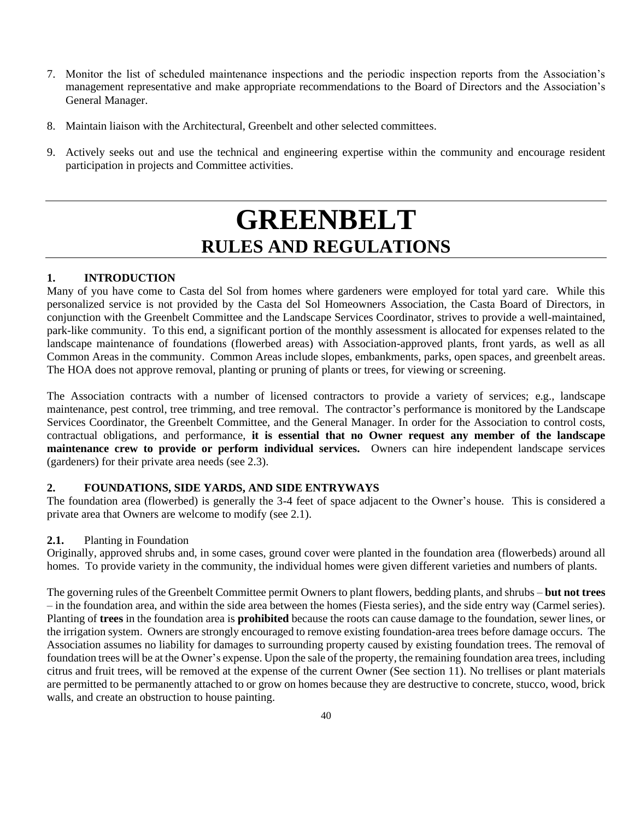- 7. Monitor the list of scheduled maintenance inspections and the periodic inspection reports from the Association's management representative and make appropriate recommendations to the Board of Directors and the Association's General Manager.
- 8. Maintain liaison with the Architectural, Greenbelt and other selected committees.
- 9. Actively seeks out and use the technical and engineering expertise within the community and encourage resident participation in projects and Committee activities.

# **GREENBELT RULES AND REGULATIONS**

### **1. INTRODUCTION**

Many of you have come to Casta del Sol from homes where gardeners were employed for total yard care. While this personalized service is not provided by the Casta del Sol Homeowners Association, the Casta Board of Directors, in conjunction with the Greenbelt Committee and the Landscape Services Coordinator, strives to provide a well-maintained, park-like community. To this end, a significant portion of the monthly assessment is allocated for expenses related to the landscape maintenance of foundations (flowerbed areas) with Association-approved plants, front yards, as well as all Common Areas in the community. Common Areas include slopes, embankments, parks, open spaces, and greenbelt areas. The HOA does not approve removal, planting or pruning of plants or trees, for viewing or screening.

The Association contracts with a number of licensed contractors to provide a variety of services; e.g., landscape maintenance, pest control, tree trimming, and tree removal. The contractor's performance is monitored by the Landscape Services Coordinator, the Greenbelt Committee, and the General Manager. In order for the Association to control costs, contractual obligations, and performance, **it is essential that no Owner request any member of the landscape maintenance crew to provide or perform individual services.** Owners can hire independent landscape services (gardeners) for their private area needs (see 2.3).

### **2. FOUNDATIONS, SIDE YARDS, AND SIDE ENTRYWAYS**

The foundation area (flowerbed) is generally the 3-4 feet of space adjacent to the Owner's house. This is considered a private area that Owners are welcome to modify (see 2.1).

### **2.1.** Planting in Foundation

Originally, approved shrubs and, in some cases, ground cover were planted in the foundation area (flowerbeds) around all homes. To provide variety in the community, the individual homes were given different varieties and numbers of plants.

The governing rules of the Greenbelt Committee permit Owners to plant flowers, bedding plants, and shrubs – **but not trees** – in the foundation area, and within the side area between the homes (Fiesta series), and the side entry way (Carmel series). Planting of **trees** in the foundation area is **prohibited** because the roots can cause damage to the foundation, sewer lines, or the irrigation system. Owners are strongly encouraged to remove existing foundation-area trees before damage occurs. The Association assumes no liability for damages to surrounding property caused by existing foundation trees. The removal of foundation trees will be at the Owner's expense. Upon the sale of the property, the remaining foundation area trees, including citrus and fruit trees, will be removed at the expense of the current Owner (See section 11). No trellises or plant materials are permitted to be permanently attached to or grow on homes because they are destructive to concrete, stucco, wood, brick walls, and create an obstruction to house painting.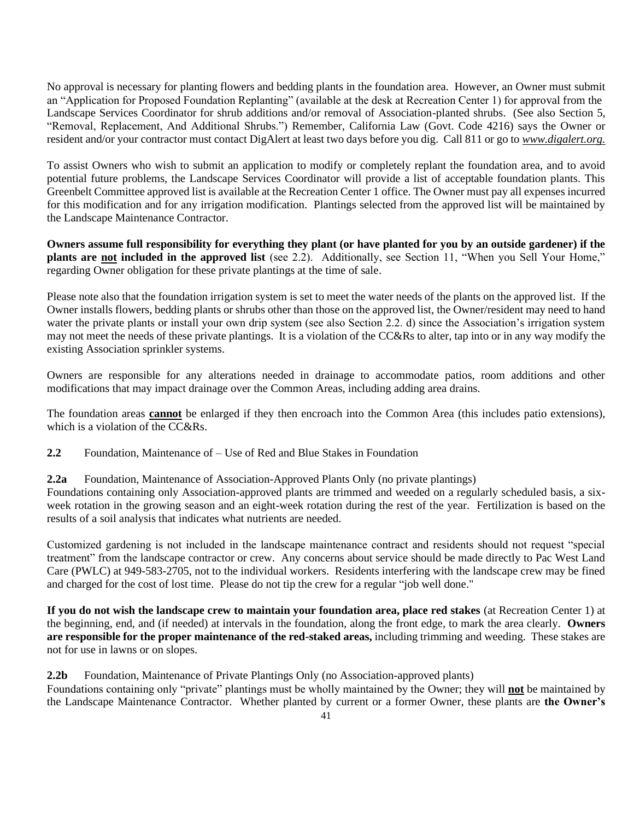No approval is necessary for planting flowers and bedding plants in the foundation area. However, an Owner must submit an "Application for Proposed Foundation Replanting" (available at the desk at Recreation Center 1) for approval from the Landscape Services Coordinator for shrub additions and/or removal of Association-planted shrubs. (See also Section 5, "Removal, Replacement, And Additional Shrubs.") Remember, California Law (Govt. Code 4216) says the Owner or resident and/or your contractor must contact DigAlert at least two days before you dig. Call 811 or go to *www.digalert.org.*

To assist Owners who wish to submit an application to modify or completely replant the foundation area, and to avoid potential future problems, the Landscape Services Coordinator will provide a list of acceptable foundation plants. This Greenbelt Committee approved list is available at the Recreation Center 1 office. The Owner must pay all expenses incurred for this modification and for any irrigation modification. Plantings selected from the approved list will be maintained by the Landscape Maintenance Contractor.

**Owners assume full responsibility for everything they plant (or have planted for you by an outside gardener) if the plants are not included in the approved list** (see 2.2). Additionally, see Section 11, "When you Sell Your Home," regarding Owner obligation for these private plantings at the time of sale.

Please note also that the foundation irrigation system is set to meet the water needs of the plants on the approved list. If the Owner installs flowers, bedding plants or shrubs other than those on the approved list, the Owner/resident may need to hand water the private plants or install your own drip system (see also Section 2.2. d) since the Association's irrigation system may not meet the needs of these private plantings. It is a violation of the CC&Rs to alter, tap into or in any way modify the existing Association sprinkler systems.

Owners are responsible for any alterations needed in drainage to accommodate patios, room additions and other modifications that may impact drainage over the Common Areas, including adding area drains.

The foundation areas **cannot** be enlarged if they then encroach into the Common Area (this includes patio extensions), which is a violation of the CC&Rs.

**2.2** Foundation, Maintenance of – Use of Red and Blue Stakes in Foundation

**2.2a** Foundation, Maintenance of Association-Approved Plants Only (no private plantings)

Foundations containing only Association-approved plants are trimmed and weeded on a regularly scheduled basis, a sixweek rotation in the growing season and an eight-week rotation during the rest of the year. Fertilization is based on the results of a soil analysis that indicates what nutrients are needed.

Customized gardening is not included in the landscape maintenance contract and residents should not request "special treatment" from the landscape contractor or crew. Any concerns about service should be made directly to Pac West Land Care (PWLC) at 949-583-2705, not to the individual workers. Residents interfering with the landscape crew may be fined and charged for the cost of lost time. Please do not tip the crew for a regular "job well done."

**If you do not wish the landscape crew to maintain your foundation area, place red stakes** (at Recreation Center 1) at the beginning, end, and (if needed) at intervals in the foundation, along the front edge, to mark the area clearly. **Owners are responsible for the proper maintenance of the red-staked areas,** including trimming and weeding. These stakes are not for use in lawns or on slopes.

**2.2b** Foundation, Maintenance of Private Plantings Only (no Association-approved plants)

Foundations containing only "private" plantings must be wholly maintained by the Owner; they will **not** be maintained by the Landscape Maintenance Contractor. Whether planted by current or a former Owner, these plants are **the Owner's**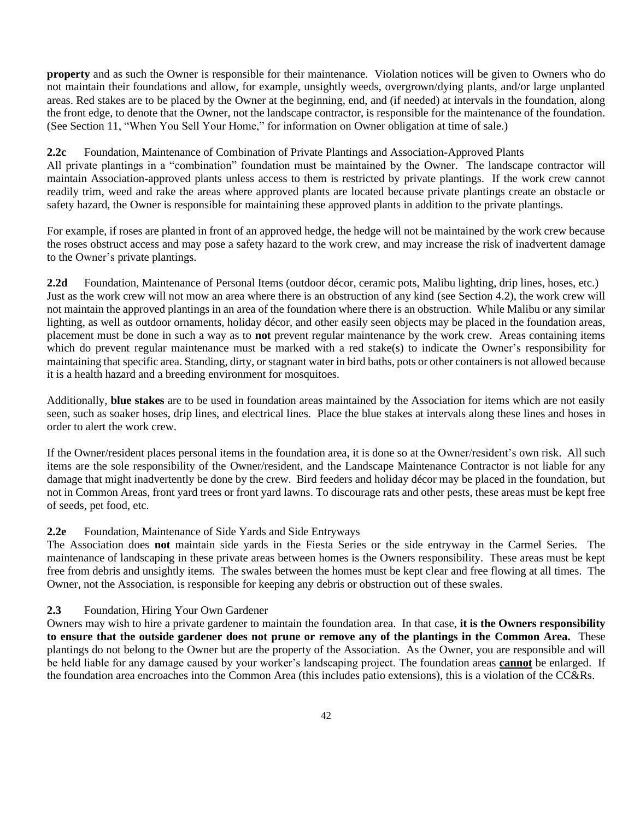**property** and as such the Owner is responsible for their maintenance. Violation notices will be given to Owners who do not maintain their foundations and allow, for example, unsightly weeds, overgrown/dying plants, and/or large unplanted areas. Red stakes are to be placed by the Owner at the beginning, end, and (if needed) at intervals in the foundation, along the front edge, to denote that the Owner, not the landscape contractor, is responsible for the maintenance of the foundation. (See Section 11, "When You Sell Your Home," for information on Owner obligation at time of sale.)

**2.2c** Foundation, Maintenance of Combination of Private Plantings and Association-Approved Plants

All private plantings in a "combination" foundation must be maintained by the Owner. The landscape contractor will maintain Association-approved plants unless access to them is restricted by private plantings. If the work crew cannot readily trim, weed and rake the areas where approved plants are located because private plantings create an obstacle or safety hazard, the Owner is responsible for maintaining these approved plants in addition to the private plantings.

For example, if roses are planted in front of an approved hedge, the hedge will not be maintained by the work crew because the roses obstruct access and may pose a safety hazard to the work crew, and may increase the risk of inadvertent damage to the Owner's private plantings.

**2.2d** Foundation, Maintenance of Personal Items (outdoor décor, ceramic pots, Malibu lighting, drip lines, hoses, etc.) Just as the work crew will not mow an area where there is an obstruction of any kind (see Section 4.2), the work crew will not maintain the approved plantings in an area of the foundation where there is an obstruction. While Malibu or any similar lighting, as well as outdoor ornaments, holiday décor, and other easily seen objects may be placed in the foundation areas, placement must be done in such a way as to **not** prevent regular maintenance by the work crew. Areas containing items which do prevent regular maintenance must be marked with a red stake(s) to indicate the Owner's responsibility for maintaining that specific area. Standing, dirty, or stagnant water in bird baths, pots or other containers is not allowed because it is a health hazard and a breeding environment for mosquitoes.

Additionally, **blue stakes** are to be used in foundation areas maintained by the Association for items which are not easily seen, such as soaker hoses, drip lines, and electrical lines. Place the blue stakes at intervals along these lines and hoses in order to alert the work crew.

If the Owner/resident places personal items in the foundation area, it is done so at the Owner/resident's own risk. All such items are the sole responsibility of the Owner/resident, and the Landscape Maintenance Contractor is not liable for any damage that might inadvertently be done by the crew. Bird feeders and holiday décor may be placed in the foundation, but not in Common Areas, front yard trees or front yard lawns. To discourage rats and other pests, these areas must be kept free of seeds, pet food, etc.

#### **2.2e** Foundation, Maintenance of Side Yards and Side Entryways

The Association does **not** maintain side yards in the Fiesta Series or the side entryway in the Carmel Series. The maintenance of landscaping in these private areas between homes is the Owners responsibility. These areas must be kept free from debris and unsightly items. The swales between the homes must be kept clear and free flowing at all times. The Owner, not the Association, is responsible for keeping any debris or obstruction out of these swales.

### **2.3** Foundation, Hiring Your Own Gardener

Owners may wish to hire a private gardener to maintain the foundation area. In that case, **it is the Owners responsibility to ensure that the outside gardener does not prune or remove any of the plantings in the Common Area.** These plantings do not belong to the Owner but are the property of the Association. As the Owner, you are responsible and will be held liable for any damage caused by your worker's landscaping project. The foundation areas **cannot** be enlarged. If the foundation area encroaches into the Common Area (this includes patio extensions), this is a violation of the CC&Rs.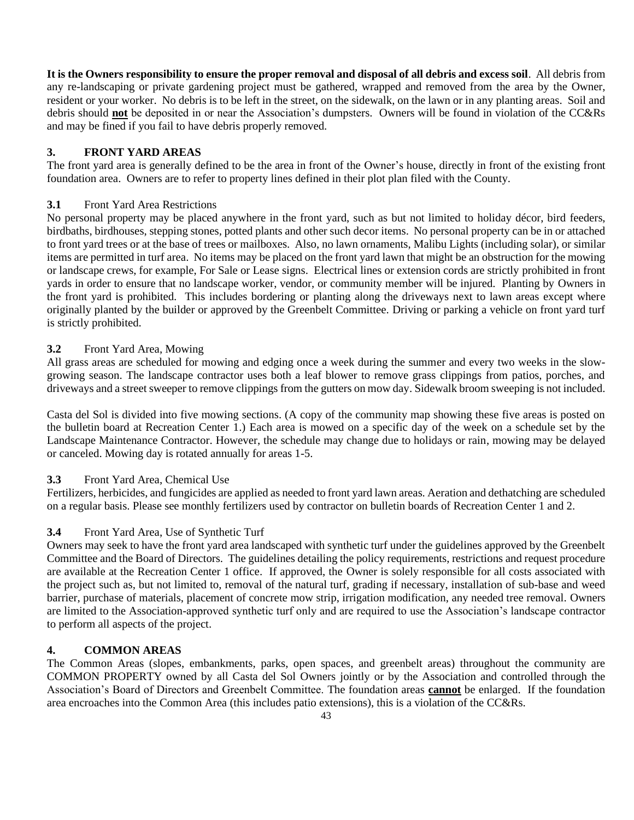**It is the Owners responsibility to ensure the proper removal and disposal of all debris and excess soil**. All debris from any re-landscaping or private gardening project must be gathered, wrapped and removed from the area by the Owner, resident or your worker. No debris is to be left in the street, on the sidewalk, on the lawn or in any planting areas. Soil and debris should **not** be deposited in or near the Association's dumpsters. Owners will be found in violation of the CC&Rs and may be fined if you fail to have debris properly removed.

### **3. FRONT YARD AREAS**

The front yard area is generally defined to be the area in front of the Owner's house, directly in front of the existing front foundation area. Owners are to refer to property lines defined in their plot plan filed with the County.

### **3.1** Front Yard Area Restrictions

No personal property may be placed anywhere in the front yard, such as but not limited to holiday décor, bird feeders, birdbaths, birdhouses, stepping stones, potted plants and other such decor items. No personal property can be in or attached to front yard trees or at the base of trees or mailboxes. Also, no lawn ornaments, Malibu Lights (including solar), or similar items are permitted in turf area. No items may be placed on the front yard lawn that might be an obstruction for the mowing or landscape crews, for example, For Sale or Lease signs. Electrical lines or extension cords are strictly prohibited in front yards in order to ensure that no landscape worker, vendor, or community member will be injured. Planting by Owners in the front yard is prohibited. This includes bordering or planting along the driveways next to lawn areas except where originally planted by the builder or approved by the Greenbelt Committee. Driving or parking a vehicle on front yard turf is strictly prohibited.

### **3.2** Front Yard Area, Mowing

All grass areas are scheduled for mowing and edging once a week during the summer and every two weeks in the slowgrowing season. The landscape contractor uses both a leaf blower to remove grass clippings from patios, porches, and driveways and a street sweeper to remove clippings from the gutters on mow day. Sidewalk broom sweeping is not included.

Casta del Sol is divided into five mowing sections. (A copy of the community map showing these five areas is posted on the bulletin board at Recreation Center 1.) Each area is mowed on a specific day of the week on a schedule set by the Landscape Maintenance Contractor. However, the schedule may change due to holidays or rain, mowing may be delayed or canceled. Mowing day is rotated annually for areas 1-5.

### **3.3** Front Yard Area, Chemical Use

Fertilizers, herbicides, and fungicides are applied as needed to front yard lawn areas. Aeration and dethatching are scheduled on a regular basis. Please see monthly fertilizers used by contractor on bulletin boards of Recreation Center 1 and 2.

### **3.4** Front Yard Area, Use of Synthetic Turf

Owners may seek to have the front yard area landscaped with synthetic turf under the guidelines approved by the Greenbelt Committee and the Board of Directors. The guidelines detailing the policy requirements, restrictions and request procedure are available at the Recreation Center 1 office. If approved, the Owner is solely responsible for all costs associated with the project such as, but not limited to, removal of the natural turf, grading if necessary, installation of sub-base and weed barrier, purchase of materials, placement of concrete mow strip, irrigation modification, any needed tree removal. Owners are limited to the Association-approved synthetic turf only and are required to use the Association's landscape contractor to perform all aspects of the project.

### **4. COMMON AREAS**

The Common Areas (slopes, embankments, parks, open spaces, and greenbelt areas) throughout the community are COMMON PROPERTY owned by all Casta del Sol Owners jointly or by the Association and controlled through the Association's Board of Directors and Greenbelt Committee. The foundation areas **cannot** be enlarged. If the foundation area encroaches into the Common Area (this includes patio extensions), this is a violation of the CC&Rs.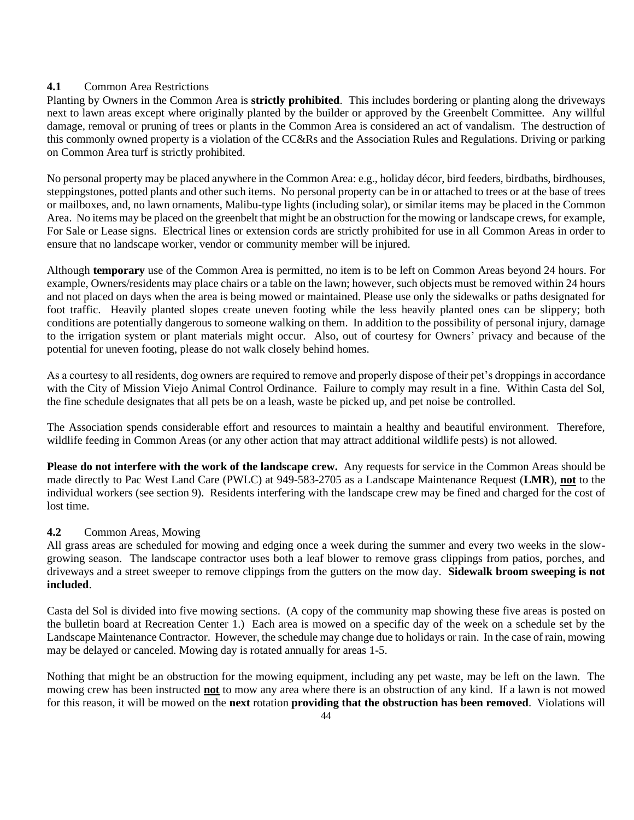### **4.1** Common Area Restrictions

Planting by Owners in the Common Area is **strictly prohibited**. This includes bordering or planting along the driveways next to lawn areas except where originally planted by the builder or approved by the Greenbelt Committee. Any willful damage, removal or pruning of trees or plants in the Common Area is considered an act of vandalism. The destruction of this commonly owned property is a violation of the CC&Rs and the Association Rules and Regulations. Driving or parking on Common Area turf is strictly prohibited.

No personal property may be placed anywhere in the Common Area: e.g., holiday décor, bird feeders, birdbaths, birdhouses, steppingstones, potted plants and other such items. No personal property can be in or attached to trees or at the base of trees or mailboxes, and, no lawn ornaments, Malibu-type lights (including solar), or similar items may be placed in the Common Area. No items may be placed on the greenbelt that might be an obstruction for the mowing or landscape crews, for example, For Sale or Lease signs. Electrical lines or extension cords are strictly prohibited for use in all Common Areas in order to ensure that no landscape worker, vendor or community member will be injured.

Although **temporary** use of the Common Area is permitted, no item is to be left on Common Areas beyond 24 hours. For example, Owners/residents may place chairs or a table on the lawn; however, such objects must be removed within 24 hours and not placed on days when the area is being mowed or maintained. Please use only the sidewalks or paths designated for foot traffic. Heavily planted slopes create uneven footing while the less heavily planted ones can be slippery; both conditions are potentially dangerous to someone walking on them. In addition to the possibility of personal injury, damage to the irrigation system or plant materials might occur. Also, out of courtesy for Owners' privacy and because of the potential for uneven footing, please do not walk closely behind homes.

As a courtesy to all residents, dog owners are required to remove and properly dispose of their pet's droppings in accordance with the City of Mission Viejo Animal Control Ordinance. Failure to comply may result in a fine. Within Casta del Sol, the fine schedule designates that all pets be on a leash, waste be picked up, and pet noise be controlled.

The Association spends considerable effort and resources to maintain a healthy and beautiful environment. Therefore, wildlife feeding in Common Areas (or any other action that may attract additional wildlife pests) is not allowed.

**Please do not interfere with the work of the landscape crew.** Any requests for service in the Common Areas should be made directly to Pac West Land Care (PWLC) at 949-583-2705 as a Landscape Maintenance Request (**LMR**), **not** to the individual workers (see section 9). Residents interfering with the landscape crew may be fined and charged for the cost of lost time.

### **4.2** Common Areas, Mowing

All grass areas are scheduled for mowing and edging once a week during the summer and every two weeks in the slowgrowing season. The landscape contractor uses both a leaf blower to remove grass clippings from patios, porches, and driveways and a street sweeper to remove clippings from the gutters on the mow day. **Sidewalk broom sweeping is not included**.

Casta del Sol is divided into five mowing sections. (A copy of the community map showing these five areas is posted on the bulletin board at Recreation Center 1.) Each area is mowed on a specific day of the week on a schedule set by the Landscape Maintenance Contractor. However, the schedule may change due to holidays or rain. In the case of rain, mowing may be delayed or canceled. Mowing day is rotated annually for areas 1-5.

Nothing that might be an obstruction for the mowing equipment, including any pet waste, may be left on the lawn. The mowing crew has been instructed **not** to mow any area where there is an obstruction of any kind. If a lawn is not mowed for this reason, it will be mowed on the **next** rotation **providing that the obstruction has been removed**. Violations will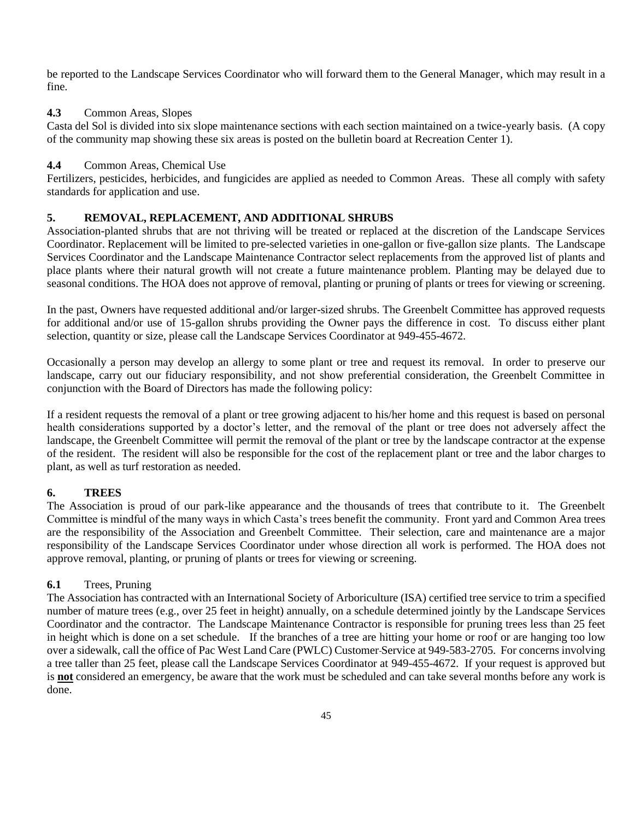be reported to the Landscape Services Coordinator who will forward them to the General Manager, which may result in a fine.

#### **4.3** Common Areas, Slopes

Casta del Sol is divided into six slope maintenance sections with each section maintained on a twice-yearly basis. (A copy of the community map showing these six areas is posted on the bulletin board at Recreation Center 1).

### **4.4** Common Areas, Chemical Use

Fertilizers, pesticides, herbicides, and fungicides are applied as needed to Common Areas. These all comply with safety standards for application and use.

### **5. REMOVAL, REPLACEMENT, AND ADDITIONAL SHRUBS**

Association-planted shrubs that are not thriving will be treated or replaced at the discretion of the Landscape Services Coordinator. Replacement will be limited to pre-selected varieties in one-gallon or five-gallon size plants. The Landscape Services Coordinator and the Landscape Maintenance Contractor select replacements from the approved list of plants and place plants where their natural growth will not create a future maintenance problem. Planting may be delayed due to seasonal conditions. The HOA does not approve of removal, planting or pruning of plants or trees for viewing or screening.

In the past, Owners have requested additional and/or larger-sized shrubs. The Greenbelt Committee has approved requests for additional and/or use of 15-gallon shrubs providing the Owner pays the difference in cost. To discuss either plant selection, quantity or size, please call the Landscape Services Coordinator at 949-455-4672.

Occasionally a person may develop an allergy to some plant or tree and request its removal. In order to preserve our landscape, carry out our fiduciary responsibility, and not show preferential consideration, the Greenbelt Committee in conjunction with the Board of Directors has made the following policy:

If a resident requests the removal of a plant or tree growing adjacent to his/her home and this request is based on personal health considerations supported by a doctor's letter, and the removal of the plant or tree does not adversely affect the landscape, the Greenbelt Committee will permit the removal of the plant or tree by the landscape contractor at the expense of the resident. The resident will also be responsible for the cost of the replacement plant or tree and the labor charges to plant, as well as turf restoration as needed.

### **6. TREES**

The Association is proud of our park-like appearance and the thousands of trees that contribute to it. The Greenbelt Committee is mindful of the many ways in which Casta's trees benefit the community. Front yard and Common Area trees are the responsibility of the Association and Greenbelt Committee. Their selection, care and maintenance are a major responsibility of the Landscape Services Coordinator under whose direction all work is performed. The HOA does not approve removal, planting, or pruning of plants or trees for viewing or screening.

### **6.1** Trees, Pruning

The Association has contracted with an International Society of Arboriculture (ISA) certified tree service to trim a specified number of mature trees (e.g., over 25 feet in height) annually, on a schedule determined jointly by the Landscape Services Coordinator and the contractor. The Landscape Maintenance Contractor is responsible for pruning trees less than 25 feet in height which is done on a set schedule. If the branches of a tree are hitting your home or roof or are hanging too low over a sidewalk, call the office of Pac West Land Care (PWLC) Customer Service at 949-583-2705. For concerns involving a tree taller than 25 feet, please call the Landscape Services Coordinator at 949-455-4672. If your request is approved but is **not** considered an emergency, be aware that the work must be scheduled and can take several months before any work is done.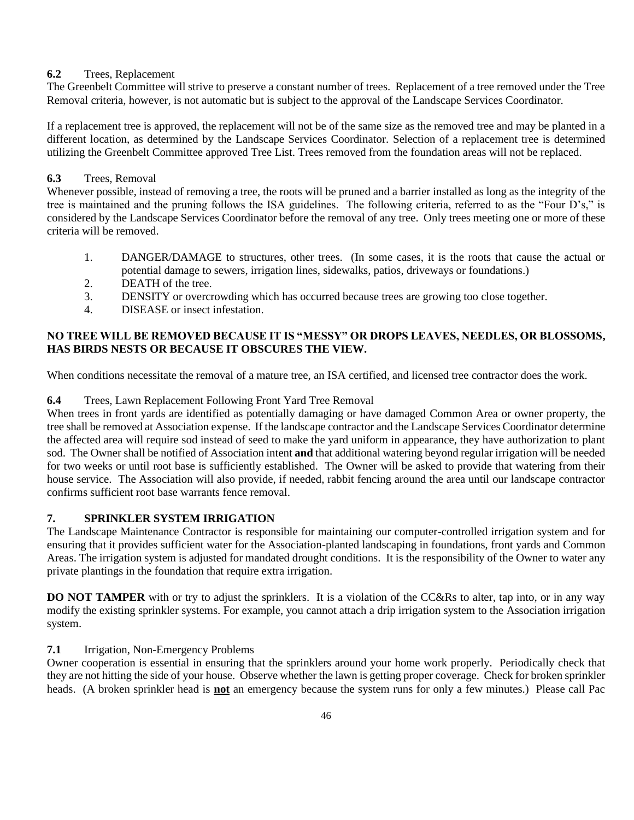### **6.2** Trees, Replacement

The Greenbelt Committee will strive to preserve a constant number of trees. Replacement of a tree removed under the Tree Removal criteria, however, is not automatic but is subject to the approval of the Landscape Services Coordinator.

If a replacement tree is approved, the replacement will not be of the same size as the removed tree and may be planted in a different location, as determined by the Landscape Services Coordinator. Selection of a replacement tree is determined utilizing the Greenbelt Committee approved Tree List. Trees removed from the foundation areas will not be replaced.

### **6.3** Trees, Removal

Whenever possible, instead of removing a tree, the roots will be pruned and a barrier installed as long as the integrity of the tree is maintained and the pruning follows the ISA guidelines. The following criteria, referred to as the "Four D's," is considered by the Landscape Services Coordinator before the removal of any tree. Only trees meeting one or more of these criteria will be removed.

- 1. DANGER/DAMAGE to structures, other trees. (In some cases, it is the roots that cause the actual or potential damage to sewers, irrigation lines, sidewalks, patios, driveways or foundations.)
- 2. DEATH of the tree.
- 3. DENSITY or overcrowding which has occurred because trees are growing too close together.
- 4. DISEASE or insect infestation.

### **NO TREE WILL BE REMOVED BECAUSE IT IS "MESSY" OR DROPS LEAVES, NEEDLES, OR BLOSSOMS, HAS BIRDS NESTS OR BECAUSE IT OBSCURES THE VIEW.**

When conditions necessitate the removal of a mature tree, an ISA certified, and licensed tree contractor does the work.

### **6.4** Trees, Lawn Replacement Following Front Yard Tree Removal

When trees in front yards are identified as potentially damaging or have damaged Common Area or owner property, the tree shall be removed at Association expense. If the landscape contractor and the Landscape Services Coordinator determine the affected area will require sod instead of seed to make the yard uniform in appearance, they have authorization to plant sod. The Owner shall be notified of Association intent **and** that additional watering beyond regular irrigation will be needed for two weeks or until root base is sufficiently established. The Owner will be asked to provide that watering from their house service. The Association will also provide, if needed, rabbit fencing around the area until our landscape contractor confirms sufficient root base warrants fence removal.

### **7. SPRINKLER SYSTEM IRRIGATION**

The Landscape Maintenance Contractor is responsible for maintaining our computer-controlled irrigation system and for ensuring that it provides sufficient water for the Association-planted landscaping in foundations, front yards and Common Areas. The irrigation system is adjusted for mandated drought conditions. It is the responsibility of the Owner to water any private plantings in the foundation that require extra irrigation.

**DO NOT TAMPER** with or try to adjust the sprinklers. It is a violation of the CC&Rs to alter, tap into, or in any way modify the existing sprinkler systems. For example, you cannot attach a drip irrigation system to the Association irrigation system.

### **7.1** Irrigation, Non-Emergency Problems

Owner cooperation is essential in ensuring that the sprinklers around your home work properly. Periodically check that they are not hitting the side of your house. Observe whether the lawn is getting proper coverage. Check for broken sprinkler heads. (A broken sprinkler head is **not** an emergency because the system runs for only a few minutes.) Please call Pac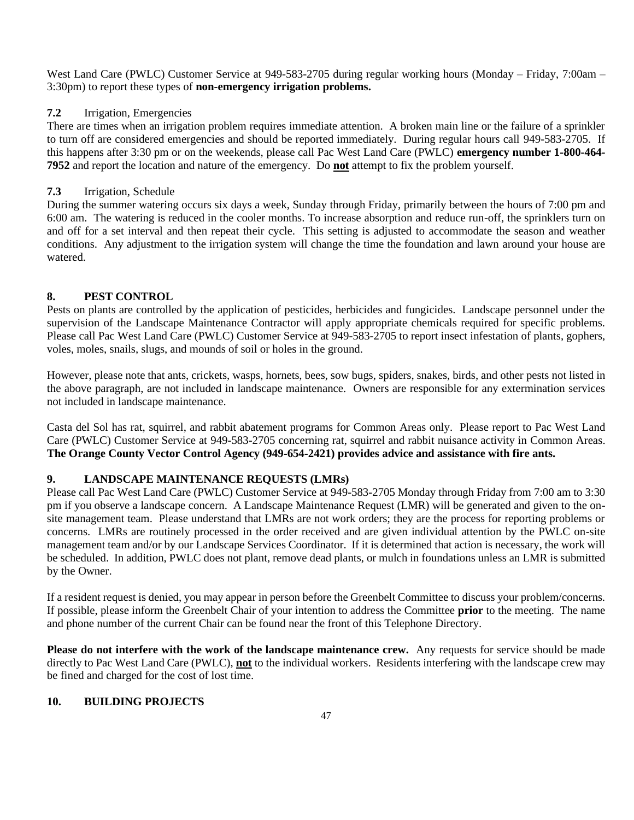West Land Care (PWLC) Customer Service at 949-583-2705 during regular working hours (Monday – Friday, 7:00am – 3:30pm) to report these types of **non-emergency irrigation problems.** 

### **7.2** Irrigation, Emergencies

There are times when an irrigation problem requires immediate attention. A broken main line or the failure of a sprinkler to turn off are considered emergencies and should be reported immediately. During regular hours call 949-583-2705. If this happens after 3:30 pm or on the weekends, please call Pac West Land Care (PWLC) **emergency number 1-800-464- 7952** and report the location and nature of the emergency. Do **not** attempt to fix the problem yourself.

### **7.3** Irrigation, Schedule

During the summer watering occurs six days a week, Sunday through Friday, primarily between the hours of 7:00 pm and 6:00 am. The watering is reduced in the cooler months. To increase absorption and reduce run-off, the sprinklers turn on and off for a set interval and then repeat their cycle. This setting is adjusted to accommodate the season and weather conditions. Any adjustment to the irrigation system will change the time the foundation and lawn around your house are watered.

### **8. PEST CONTROL**

Pests on plants are controlled by the application of pesticides, herbicides and fungicides. Landscape personnel under the supervision of the Landscape Maintenance Contractor will apply appropriate chemicals required for specific problems. Please call Pac West Land Care (PWLC) Customer Service at 949-583-2705 to report insect infestation of plants, gophers, voles, moles, snails, slugs, and mounds of soil or holes in the ground.

However, please note that ants, crickets, wasps, hornets, bees, sow bugs, spiders, snakes, birds, and other pests not listed in the above paragraph, are not included in landscape maintenance. Owners are responsible for any extermination services not included in landscape maintenance.

Casta del Sol has rat, squirrel, and rabbit abatement programs for Common Areas only. Please report to Pac West Land Care (PWLC) Customer Service at 949-583-2705 concerning rat, squirrel and rabbit nuisance activity in Common Areas. **The Orange County Vector Control Agency (949-654-2421) provides advice and assistance with fire ants.**

### **9. LANDSCAPE MAINTENANCE REQUESTS (LMRs)**

Please call Pac West Land Care (PWLC) Customer Service at 949-583-2705 Monday through Friday from 7:00 am to 3:30 pm if you observe a landscape concern. A Landscape Maintenance Request (LMR) will be generated and given to the onsite management team. Please understand that LMRs are not work orders; they are the process for reporting problems or concerns. LMRs are routinely processed in the order received and are given individual attention by the PWLC on-site management team and/or by our Landscape Services Coordinator. If it is determined that action is necessary, the work will be scheduled. In addition, PWLC does not plant, remove dead plants, or mulch in foundations unless an LMR is submitted by the Owner.

If a resident request is denied, you may appear in person before the Greenbelt Committee to discuss your problem/concerns. If possible, please inform the Greenbelt Chair of your intention to address the Committee **prior** to the meeting. The name and phone number of the current Chair can be found near the front of this Telephone Directory.

**Please do not interfere with the work of the landscape maintenance crew.** Any requests for service should be made directly to Pac West Land Care (PWLC), **not** to the individual workers. Residents interfering with the landscape crew may be fined and charged for the cost of lost time.

### **10. BUILDING PROJECTS**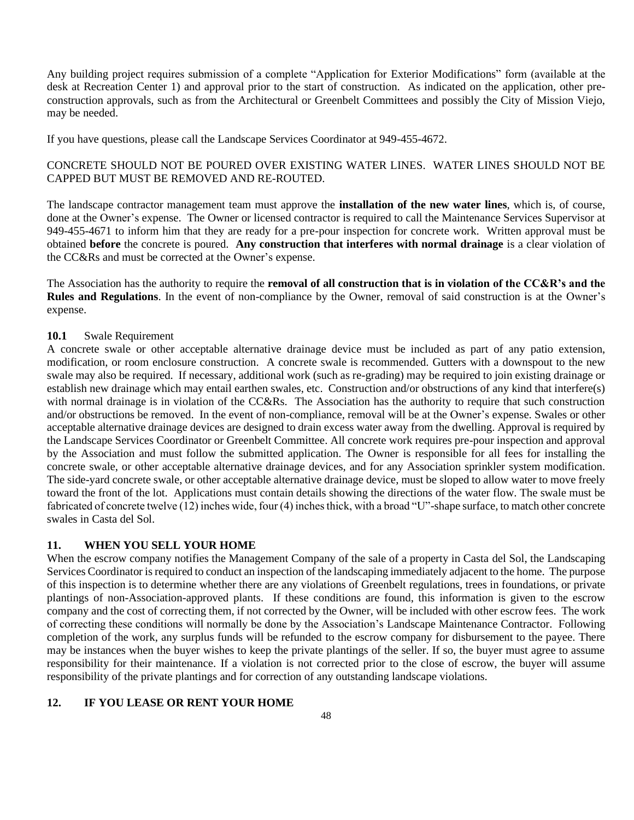Any building project requires submission of a complete "Application for Exterior Modifications" form (available at the desk at Recreation Center 1) and approval prior to the start of construction. As indicated on the application, other preconstruction approvals, such as from the Architectural or Greenbelt Committees and possibly the City of Mission Viejo, may be needed.

If you have questions, please call the Landscape Services Coordinator at 949-455-4672.

### CONCRETE SHOULD NOT BE POURED OVER EXISTING WATER LINES. WATER LINES SHOULD NOT BE CAPPED BUT MUST BE REMOVED AND RE-ROUTED.

The landscape contractor management team must approve the **installation of the new water lines**, which is, of course, done at the Owner's expense. The Owner or licensed contractor is required to call the Maintenance Services Supervisor at 949-455-4671 to inform him that they are ready for a pre-pour inspection for concrete work. Written approval must be obtained **before** the concrete is poured. **Any construction that interferes with normal drainage** is a clear violation of the CC&Rs and must be corrected at the Owner's expense.

The Association has the authority to require the **removal of all construction that is in violation of the CC&R's and the Rules and Regulations**. In the event of non-compliance by the Owner, removal of said construction is at the Owner's expense.

#### **10.1** Swale Requirement

A concrete swale or other acceptable alternative drainage device must be included as part of any patio extension, modification, or room enclosure construction. A concrete swale is recommended. Gutters with a downspout to the new swale may also be required. If necessary, additional work (such as re-grading) may be required to join existing drainage or establish new drainage which may entail earthen swales, etc. Construction and/or obstructions of any kind that interfere(s) with normal drainage is in violation of the CC&Rs. The Association has the authority to require that such construction and/or obstructions be removed. In the event of non-compliance, removal will be at the Owner's expense. Swales or other acceptable alternative drainage devices are designed to drain excess water away from the dwelling. Approval is required by the Landscape Services Coordinator or Greenbelt Committee. All concrete work requires pre-pour inspection and approval by the Association and must follow the submitted application. The Owner is responsible for all fees for installing the concrete swale, or other acceptable alternative drainage devices, and for any Association sprinkler system modification. The side-yard concrete swale, or other acceptable alternative drainage device, must be sloped to allow water to move freely toward the front of the lot. Applications must contain details showing the directions of the water flow. The swale must be fabricated of concrete twelve (12) inches wide, four (4) inches thick, with a broad "U"-shape surface, to match other concrete swales in Casta del Sol.

#### **11. WHEN YOU SELL YOUR HOME**

When the escrow company notifies the Management Company of the sale of a property in Casta del Sol, the Landscaping Services Coordinator is required to conduct an inspection of the landscaping immediately adjacent to the home. The purpose of this inspection is to determine whether there are any violations of Greenbelt regulations, trees in foundations, or private plantings of non-Association-approved plants. If these conditions are found, this information is given to the escrow company and the cost of correcting them, if not corrected by the Owner, will be included with other escrow fees. The work of correcting these conditions will normally be done by the Association's Landscape Maintenance Contractor. Following completion of the work, any surplus funds will be refunded to the escrow company for disbursement to the payee. There may be instances when the buyer wishes to keep the private plantings of the seller. If so, the buyer must agree to assume responsibility for their maintenance. If a violation is not corrected prior to the close of escrow, the buyer will assume responsibility of the private plantings and for correction of any outstanding landscape violations.

### **12. IF YOU LEASE OR RENT YOUR HOME**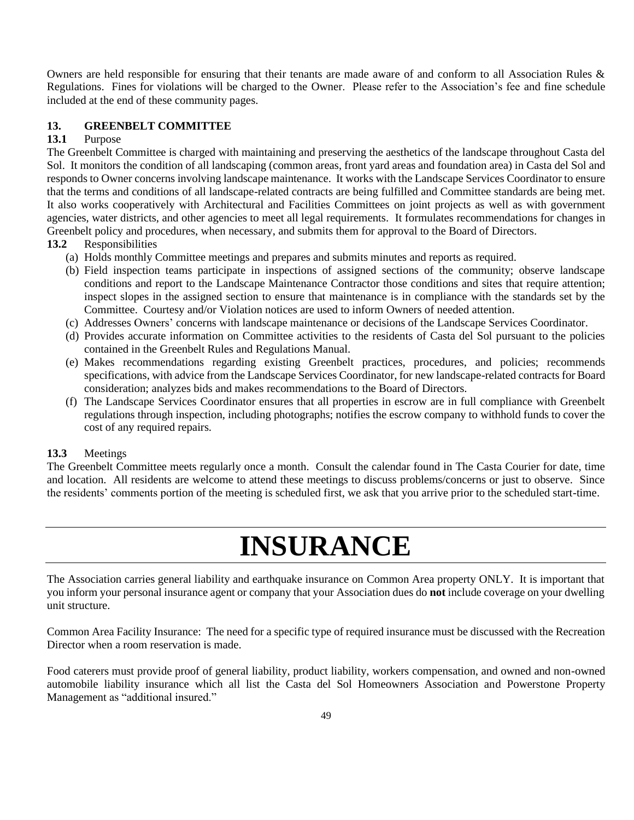Owners are held responsible for ensuring that their tenants are made aware of and conform to all Association Rules & Regulations. Fines for violations will be charged to the Owner. Please refer to the Association's fee and fine schedule included at the end of these community pages.

### **13. GREENBELT COMMITTEE**

### **13.1** Purpose

The Greenbelt Committee is charged with maintaining and preserving the aesthetics of the landscape throughout Casta del Sol. It monitors the condition of all landscaping (common areas, front yard areas and foundation area) in Casta del Sol and responds to Owner concerns involving landscape maintenance. It works with the Landscape Services Coordinator to ensure that the terms and conditions of all landscape-related contracts are being fulfilled and Committee standards are being met. It also works cooperatively with Architectural and Facilities Committees on joint projects as well as with government agencies, water districts, and other agencies to meet all legal requirements. It formulates recommendations for changes in Greenbelt policy and procedures, when necessary, and submits them for approval to the Board of Directors.

### **13.2** Responsibilities

- (a) Holds monthly Committee meetings and prepares and submits minutes and reports as required.
- (b) Field inspection teams participate in inspections of assigned sections of the community; observe landscape conditions and report to the Landscape Maintenance Contractor those conditions and sites that require attention; inspect slopes in the assigned section to ensure that maintenance is in compliance with the standards set by the Committee. Courtesy and/or Violation notices are used to inform Owners of needed attention.
- (c) Addresses Owners' concerns with landscape maintenance or decisions of the Landscape Services Coordinator.
- (d) Provides accurate information on Committee activities to the residents of Casta del Sol pursuant to the policies contained in the Greenbelt Rules and Regulations Manual.
- (e) Makes recommendations regarding existing Greenbelt practices, procedures, and policies; recommends specifications, with advice from the Landscape Services Coordinator, for new landscape-related contracts for Board consideration; analyzes bids and makes recommendations to the Board of Directors.
- (f) The Landscape Services Coordinator ensures that all properties in escrow are in full compliance with Greenbelt regulations through inspection, including photographs; notifies the escrow company to withhold funds to cover the cost of any required repairs.

### **13.3** Meetings

The Greenbelt Committee meets regularly once a month. Consult the calendar found in The Casta Courier for date, time and location. All residents are welcome to attend these meetings to discuss problems/concerns or just to observe. Since the residents' comments portion of the meeting is scheduled first, we ask that you arrive prior to the scheduled start-time.

# **INSURANCE**

The Association carries general liability and earthquake insurance on Common Area property ONLY. It is important that you inform your personal insurance agent or company that your Association dues do **not** include coverage on your dwelling unit structure.

Common Area Facility Insurance: The need for a specific type of required insurance must be discussed with the Recreation Director when a room reservation is made.

Food caterers must provide proof of general liability, product liability, workers compensation, and owned and non-owned automobile liability insurance which all list the Casta del Sol Homeowners Association and Powerstone Property Management as "additional insured."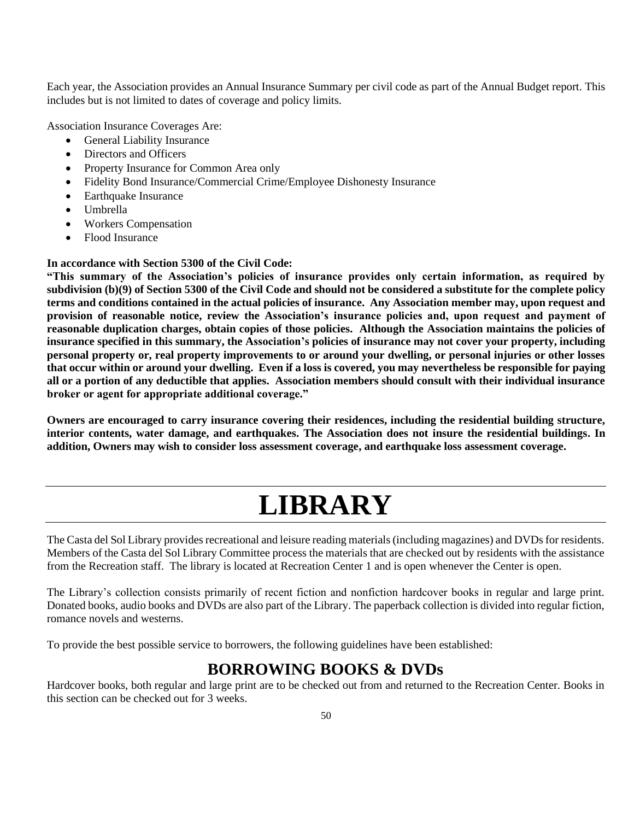Each year, the Association provides an Annual Insurance Summary per civil code as part of the Annual Budget report. This includes but is not limited to dates of coverage and policy limits.

Association Insurance Coverages Are:

- General Liability Insurance
- Directors and Officers
- Property Insurance for Common Area only
- Fidelity Bond Insurance/Commercial Crime/Employee Dishonesty Insurance
- Earthquake Insurance
- Umbrella
- Workers Compensation
- Flood Insurance

### **In accordance with Section 5300 of the Civil Code:**

**"This summary of the Association's policies of insurance provides only certain information, as required by subdivision (b)(9) of Section 5300 of the Civil Code and should not be considered a substitute for the complete policy terms and conditions contained in the actual policies of insurance. Any Association member may, upon request and provision of reasonable notice, review the Association's insurance policies and, upon request and payment of reasonable duplication charges, obtain copies of those policies. Although the Association maintains the policies of insurance specified in this summary, the Association's policies of insurance may not cover your property, including personal property or, real property improvements to or around your dwelling, or personal injuries or other losses that occur within or around your dwelling. Even if a loss is covered, you may nevertheless be responsible for paying all or a portion of any deductible that applies. Association members should consult with their individual insurance broker or agent for appropriate additional coverage."**

**Owners are encouraged to carry insurance covering their residences, including the residential building structure, interior contents, water damage, and earthquakes. The Association does not insure the residential buildings. In addition, Owners may wish to consider loss assessment coverage, and earthquake loss assessment coverage.**

# **LIBRARY**

The Casta del Sol Library provides recreational and leisure reading materials (including magazines) and DVDs for residents. Members of the Casta del Sol Library Committee process the materials that are checked out by residents with the assistance from the Recreation staff. The library is located at Recreation Center 1 and is open whenever the Center is open.

The Library's collection consists primarily of recent fiction and nonfiction hardcover books in regular and large print. Donated books, audio books and DVDs are also part of the Library. The paperback collection is divided into regular fiction, romance novels and westerns.

To provide the best possible service to borrowers, the following guidelines have been established:

## **BORROWING BOOKS & DVDs**

Hardcover books, both regular and large print are to be checked out from and returned to the Recreation Center. Books in this section can be checked out for 3 weeks.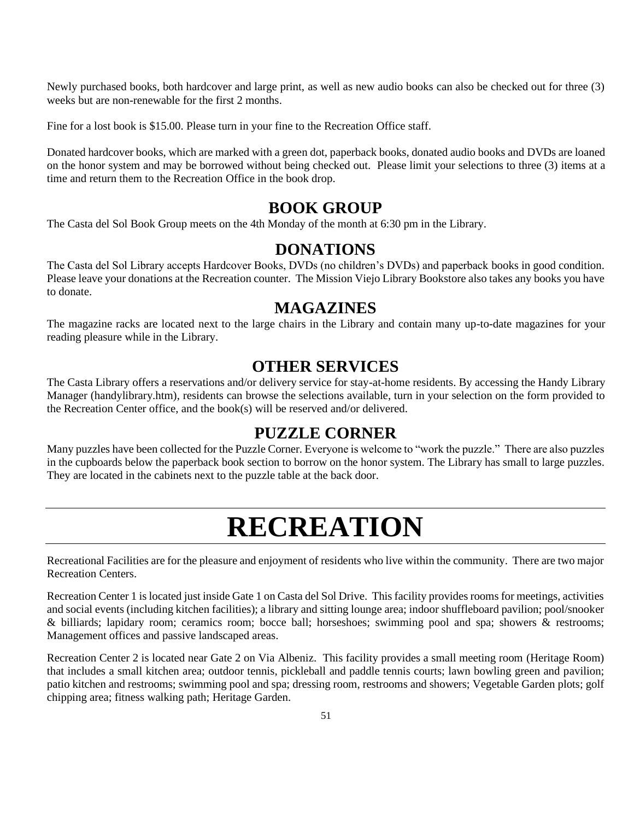Newly purchased books, both hardcover and large print, as well as new audio books can also be checked out for three (3) weeks but are non-renewable for the first 2 months.

Fine for a lost book is \$15.00. Please turn in your fine to the Recreation Office staff.

Donated hardcover books, which are marked with a green dot, paperback books, donated audio books and DVDs are loaned on the honor system and may be borrowed without being checked out. Please limit your selections to three (3) items at a time and return them to the Recreation Office in the book drop.

### **BOOK GROUP**

The Casta del Sol Book Group meets on the 4th Monday of the month at 6:30 pm in the Library.

### **DONATIONS**

The Casta del Sol Library accepts Hardcover Books, DVDs (no children's DVDs) and paperback books in good condition. Please leave your donations at the Recreation counter. The Mission Viejo Library Bookstore also takes any books you have to donate.

### **MAGAZINES**

The magazine racks are located next to the large chairs in the Library and contain many up-to-date magazines for your reading pleasure while in the Library.

### **OTHER SERVICES**

The Casta Library offers a reservations and/or delivery service for stay-at-home residents. By accessing the Handy Library Manager (handylibrary.htm), residents can browse the selections available, turn in your selection on the form provided to the Recreation Center office, and the book(s) will be reserved and/or delivered.

### **PUZZLE CORNER**

Many puzzles have been collected for the Puzzle Corner. Everyone is welcome to "work the puzzle." There are also puzzles in the cupboards below the paperback book section to borrow on the honor system. The Library has small to large puzzles. They are located in the cabinets next to the puzzle table at the back door.

# **RECREATION**

Recreational Facilities are for the pleasure and enjoyment of residents who live within the community. There are two major Recreation Centers.

Recreation Center 1 is located just inside Gate 1 on Casta del Sol Drive. This facility provides rooms for meetings, activities and social events (including kitchen facilities); a library and sitting lounge area; indoor shuffleboard pavilion; pool/snooker & billiards; lapidary room; ceramics room; bocce ball; horseshoes; swimming pool and spa; showers & restrooms; Management offices and passive landscaped areas.

Recreation Center 2 is located near Gate 2 on Via Albeniz. This facility provides a small meeting room (Heritage Room) that includes a small kitchen area; outdoor tennis, pickleball and paddle tennis courts; lawn bowling green and pavilion; patio kitchen and restrooms; swimming pool and spa; dressing room, restrooms and showers; Vegetable Garden plots; golf chipping area; fitness walking path; Heritage Garden.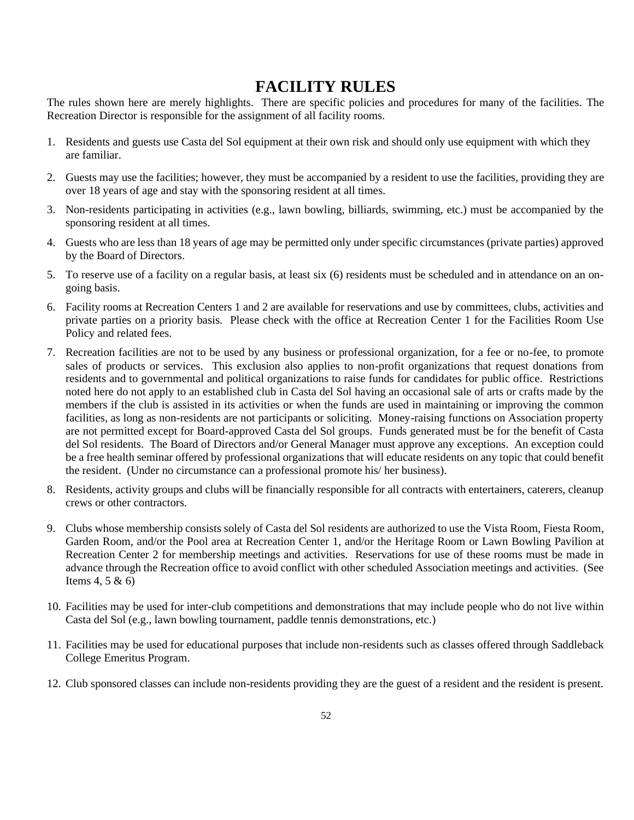## **FACILITY RULES**

The rules shown here are merely highlights. There are specific policies and procedures for many of the facilities. The Recreation Director is responsible for the assignment of all facility rooms.

- 1. Residents and guests use Casta del Sol equipment at their own risk and should only use equipment with which they are familiar.
- 2. Guests may use the facilities; however, they must be accompanied by a resident to use the facilities, providing they are over 18 years of age and stay with the sponsoring resident at all times.
- 3. Non-residents participating in activities (e.g., lawn bowling, billiards, swimming, etc.) must be accompanied by the sponsoring resident at all times.
- 4. Guests who are less than 18 years of age may be permitted only under specific circumstances (private parties) approved by the Board of Directors.
- 5. To reserve use of a facility on a regular basis, at least six (6) residents must be scheduled and in attendance on an ongoing basis.
- 6. Facility rooms at Recreation Centers 1 and 2 are available for reservations and use by committees, clubs, activities and private parties on a priority basis. Please check with the office at Recreation Center 1 for the Facilities Room Use Policy and related fees.
- 7. Recreation facilities are not to be used by any business or professional organization, for a fee or no-fee, to promote sales of products or services. This exclusion also applies to non-profit organizations that request donations from residents and to governmental and political organizations to raise funds for candidates for public office. Restrictions noted here do not apply to an established club in Casta del Sol having an occasional sale of arts or crafts made by the members if the club is assisted in its activities or when the funds are used in maintaining or improving the common facilities, as long as non-residents are not participants or soliciting. Money-raising functions on Association property are not permitted except for Board-approved Casta del Sol groups. Funds generated must be for the benefit of Casta del Sol residents. The Board of Directors and/or General Manager must approve any exceptions. An exception could be a free health seminar offered by professional organizations that will educate residents on any topic that could benefit the resident. (Under no circumstance can a professional promote his/ her business).
- 8. Residents, activity groups and clubs will be financially responsible for all contracts with entertainers, caterers, cleanup crews or other contractors.
- 9. Clubs whose membership consists solely of Casta del Sol residents are authorized to use the Vista Room, Fiesta Room, Garden Room, and/or the Pool area at Recreation Center 1, and/or the Heritage Room or Lawn Bowling Pavilion at Recreation Center 2 for membership meetings and activities. Reservations for use of these rooms must be made in advance through the Recreation office to avoid conflict with other scheduled Association meetings and activities. (See Items 4, 5 & 6)
- 10. Facilities may be used for inter-club competitions and demonstrations that may include people who do not live within Casta del Sol (e.g., lawn bowling tournament, paddle tennis demonstrations, etc.)
- 11. Facilities may be used for educational purposes that include non-residents such as classes offered through Saddleback College Emeritus Program.
- 12. Club sponsored classes can include non-residents providing they are the guest of a resident and the resident is present.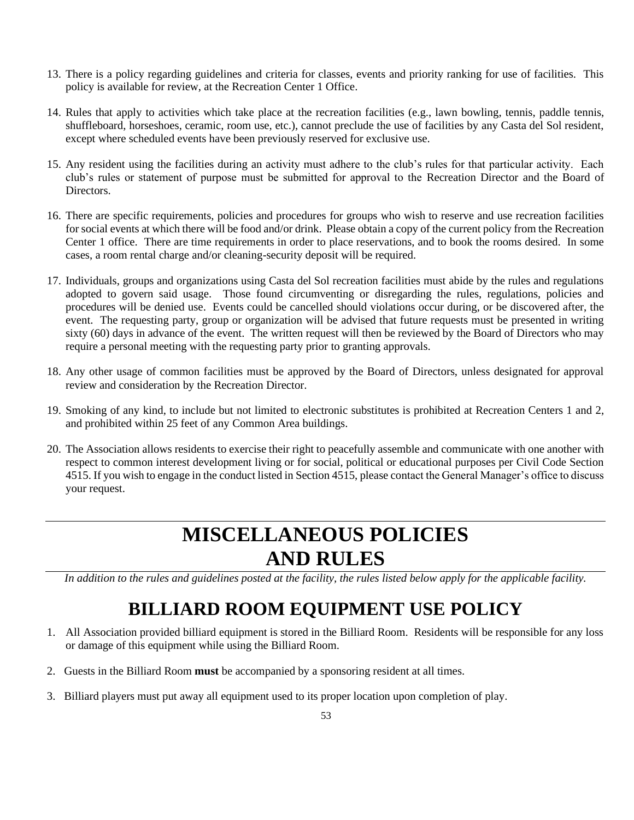- 13. There is a policy regarding guidelines and criteria for classes, events and priority ranking for use of facilities. This policy is available for review, at the Recreation Center 1 Office.
- 14. Rules that apply to activities which take place at the recreation facilities (e.g., lawn bowling, tennis, paddle tennis, shuffleboard, horseshoes, ceramic, room use, etc.), cannot preclude the use of facilities by any Casta del Sol resident, except where scheduled events have been previously reserved for exclusive use.
- 15. Any resident using the facilities during an activity must adhere to the club's rules for that particular activity. Each club's rules or statement of purpose must be submitted for approval to the Recreation Director and the Board of Directors.
- 16. There are specific requirements, policies and procedures for groups who wish to reserve and use recreation facilities for social events at which there will be food and/or drink. Please obtain a copy of the current policy from the Recreation Center 1 office. There are time requirements in order to place reservations, and to book the rooms desired. In some cases, a room rental charge and/or cleaning-security deposit will be required.
- 17. Individuals, groups and organizations using Casta del Sol recreation facilities must abide by the rules and regulations adopted to govern said usage. Those found circumventing or disregarding the rules, regulations, policies and procedures will be denied use. Events could be cancelled should violations occur during, or be discovered after, the event. The requesting party, group or organization will be advised that future requests must be presented in writing sixty (60) days in advance of the event. The written request will then be reviewed by the Board of Directors who may require a personal meeting with the requesting party prior to granting approvals.
- 18. Any other usage of common facilities must be approved by the Board of Directors, unless designated for approval review and consideration by the Recreation Director.
- 19. Smoking of any kind, to include but not limited to electronic substitutes is prohibited at Recreation Centers 1 and 2, and prohibited within 25 feet of any Common Area buildings.
- 20. The Association allows residents to exercise their right to peacefully assemble and communicate with one another with respect to common interest development living or for social, political or educational purposes per Civil Code Section 4515. If you wish to engage in the conduct listed in Section 4515, please contact the General Manager's office to discuss your request.

# **MISCELLANEOUS POLICIES AND RULES**

*In addition to the rules and guidelines posted at the facility, the rules listed below apply for the applicable facility.*

# **BILLIARD ROOM EQUIPMENT USE POLICY**

- 1. All Association provided billiard equipment is stored in the Billiard Room. Residents will be responsible for any loss or damage of this equipment while using the Billiard Room.
- 2. Guests in the Billiard Room **must** be accompanied by a sponsoring resident at all times.
- 3. Billiard players must put away all equipment used to its proper location upon completion of play.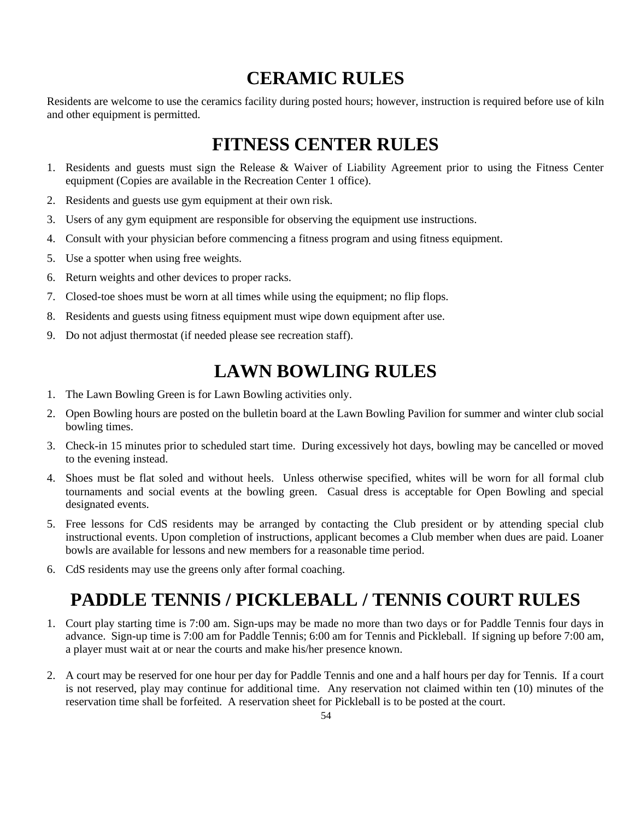# **CERAMIC RULES**

Residents are welcome to use the ceramics facility during posted hours; however, instruction is required before use of kiln and other equipment is permitted.

# **FITNESS CENTER RULES**

- 1. Residents and guests must sign the Release & Waiver of Liability Agreement prior to using the Fitness Center equipment (Copies are available in the Recreation Center 1 office).
- 2. Residents and guests use gym equipment at their own risk.
- 3. Users of any gym equipment are responsible for observing the equipment use instructions.
- 4. Consult with your physician before commencing a fitness program and using fitness equipment.
- 5. Use a spotter when using free weights.
- 6. Return weights and other devices to proper racks.
- 7. Closed-toe shoes must be worn at all times while using the equipment; no flip flops.
- 8. Residents and guests using fitness equipment must wipe down equipment after use.
- 9. Do not adjust thermostat (if needed please see recreation staff).

# **LAWN BOWLING RULES**

- 1. The Lawn Bowling Green is for Lawn Bowling activities only.
- 2. Open Bowling hours are posted on the bulletin board at the Lawn Bowling Pavilion for summer and winter club social bowling times.
- 3. Check-in 15 minutes prior to scheduled start time. During excessively hot days, bowling may be cancelled or moved to the evening instead.
- 4. Shoes must be flat soled and without heels. Unless otherwise specified, whites will be worn for all formal club tournaments and social events at the bowling green. Casual dress is acceptable for Open Bowling and special designated events.
- 5. Free lessons for CdS residents may be arranged by contacting the Club president or by attending special club instructional events. Upon completion of instructions, applicant becomes a Club member when dues are paid. Loaner bowls are available for lessons and new members for a reasonable time period.
- 6. CdS residents may use the greens only after formal coaching.

# **PADDLE TENNIS / PICKLEBALL / TENNIS COURT RULES**

- 1. Court play starting time is 7:00 am. Sign-ups may be made no more than two days or for Paddle Tennis four days in advance. Sign-up time is 7:00 am for Paddle Tennis; 6:00 am for Tennis and Pickleball. If signing up before 7:00 am, a player must wait at or near the courts and make his/her presence known.
- 2. A court may be reserved for one hour per day for Paddle Tennis and one and a half hours per day for Tennis. If a court is not reserved, play may continue for additional time. Any reservation not claimed within ten (10) minutes of the reservation time shall be forfeited. A reservation sheet for Pickleball is to be posted at the court.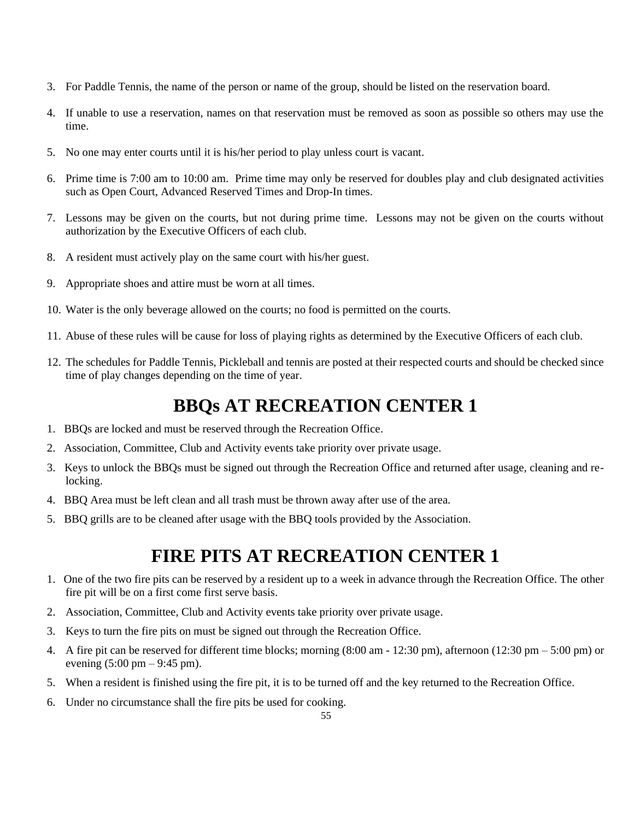- 3. For Paddle Tennis, the name of the person or name of the group, should be listed on the reservation board.
- 4. If unable to use a reservation, names on that reservation must be removed as soon as possible so others may use the time.
- 5. No one may enter courts until it is his/her period to play unless court is vacant.
- 6. Prime time is 7:00 am to 10:00 am. Prime time may only be reserved for doubles play and club designated activities such as Open Court, Advanced Reserved Times and Drop-In times.
- 7. Lessons may be given on the courts, but not during prime time. Lessons may not be given on the courts without authorization by the Executive Officers of each club.
- 8. A resident must actively play on the same court with his/her guest.
- 9. Appropriate shoes and attire must be worn at all times.
- 10. Water is the only beverage allowed on the courts; no food is permitted on the courts.
- 11. Abuse of these rules will be cause for loss of playing rights as determined by the Executive Officers of each club.
- 12. The schedules for Paddle Tennis, Pickleball and tennis are posted at their respected courts and should be checked since time of play changes depending on the time of year.

# **BBQs AT RECREATION CENTER 1**

- 1. BBQs are locked and must be reserved through the Recreation Office.
- 2. Association, Committee, Club and Activity events take priority over private usage.
- 3. Keys to unlock the BBQs must be signed out through the Recreation Office and returned after usage, cleaning and relocking.
- 4. BBQ Area must be left clean and all trash must be thrown away after use of the area.
- 5. BBQ grills are to be cleaned after usage with the BBQ tools provided by the Association.

# **FIRE PITS AT RECREATION CENTER 1**

- 1. One of the two fire pits can be reserved by a resident up to a week in advance through the Recreation Office. The other fire pit will be on a first come first serve basis.
- 2. Association, Committee, Club and Activity events take priority over private usage.
- 3. Keys to turn the fire pits on must be signed out through the Recreation Office.
- 4. A fire pit can be reserved for different time blocks; morning  $(8:00 \text{ am} 12:30 \text{ pm})$ , afternoon  $(12:30 \text{ pm} 5:00 \text{ pm})$  or evening  $(5:00 \text{ pm} - 9:45 \text{ pm})$ .
- 5. When a resident is finished using the fire pit, it is to be turned off and the key returned to the Recreation Office.
- 6. Under no circumstance shall the fire pits be used for cooking.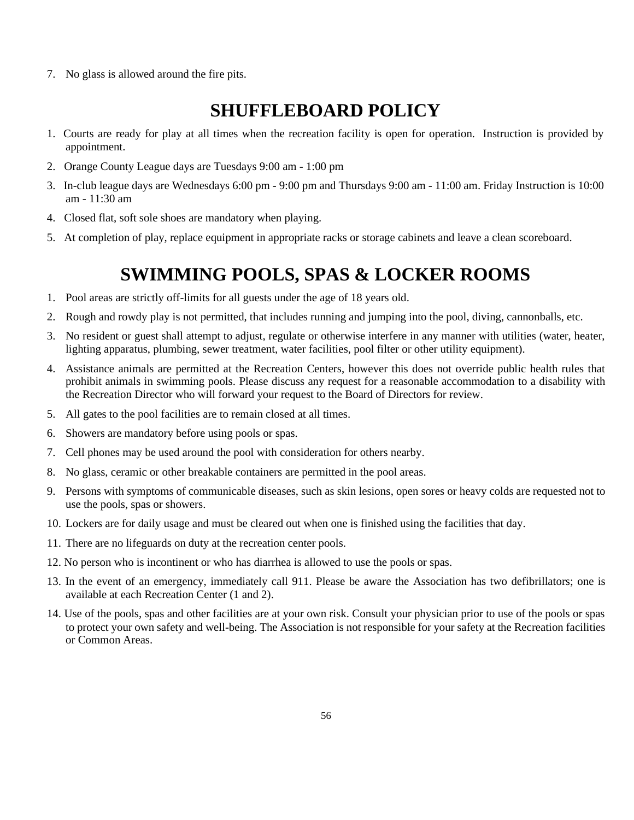7. No glass is allowed around the fire pits.

# **SHUFFLEBOARD POLICY**

- 1. Courts are ready for play at all times when the recreation facility is open for operation. Instruction is provided by appointment.
- 2. Orange County League days are Tuesdays 9:00 am 1:00 pm
- 3. In-club league days are Wednesdays 6:00 pm 9:00 pm and Thursdays 9:00 am 11:00 am. Friday Instruction is 10:00 am - 11:30 am
- 4. Closed flat, soft sole shoes are mandatory when playing.
- 5. At completion of play, replace equipment in appropriate racks or storage cabinets and leave a clean scoreboard.

# **SWIMMING POOLS, SPAS & LOCKER ROOMS**

- 1. Pool areas are strictly off-limits for all guests under the age of 18 years old.
- 2. Rough and rowdy play is not permitted, that includes running and jumping into the pool, diving, cannonballs, etc.
- 3. No resident or guest shall attempt to adjust, regulate or otherwise interfere in any manner with utilities (water, heater, lighting apparatus, plumbing, sewer treatment, water facilities, pool filter or other utility equipment).
- 4. Assistance animals are permitted at the Recreation Centers, however this does not override public health rules that prohibit animals in swimming pools. Please discuss any request for a reasonable accommodation to a disability with the Recreation Director who will forward your request to the Board of Directors for review.
- 5. All gates to the pool facilities are to remain closed at all times.
- 6. Showers are mandatory before using pools or spas.
- 7. Cell phones may be used around the pool with consideration for others nearby.
- 8. No glass, ceramic or other breakable containers are permitted in the pool areas.
- 9. Persons with symptoms of communicable diseases, such as skin lesions, open sores or heavy colds are requested not to use the pools, spas or showers.
- 10. Lockers are for daily usage and must be cleared out when one is finished using the facilities that day.
- 11. There are no lifeguards on duty at the recreation center pools.
- 12. No person who is incontinent or who has diarrhea is allowed to use the pools or spas.
- 13. In the event of an emergency, immediately call 911. Please be aware the Association has two defibrillators; one is available at each Recreation Center (1 and 2).
- 14. Use of the pools, spas and other facilities are at your own risk. Consult your physician prior to use of the pools or spas to protect your own safety and well-being. The Association is not responsible for your safety at the Recreation facilities or Common Areas.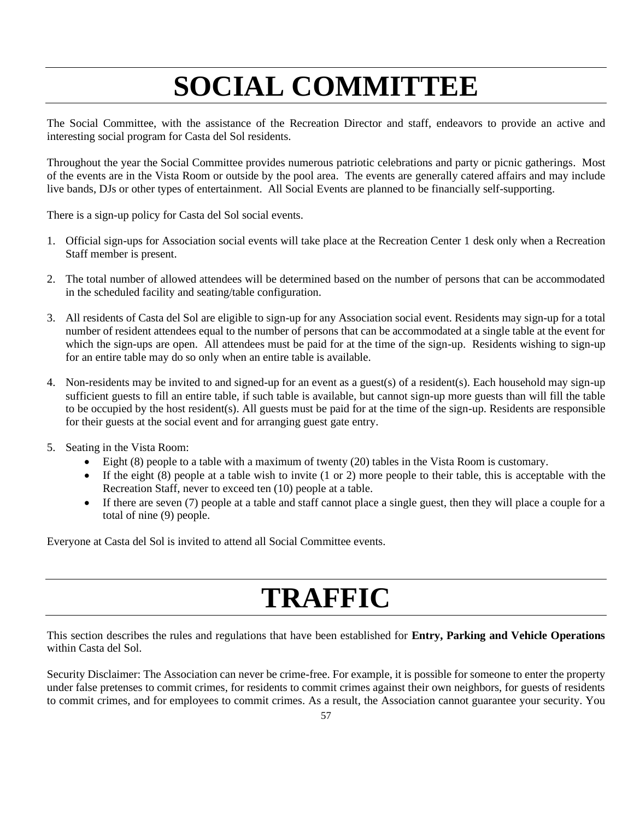# **SOCIAL COMMITTEE**

The Social Committee, with the assistance of the Recreation Director and staff, endeavors to provide an active and interesting social program for Casta del Sol residents.

Throughout the year the Social Committee provides numerous patriotic celebrations and party or picnic gatherings. Most of the events are in the Vista Room or outside by the pool area. The events are generally catered affairs and may include live bands, DJs or other types of entertainment. All Social Events are planned to be financially self-supporting.

There is a sign-up policy for Casta del Sol social events.

- 1. Official sign-ups for Association social events will take place at the Recreation Center 1 desk only when a Recreation Staff member is present.
- 2. The total number of allowed attendees will be determined based on the number of persons that can be accommodated in the scheduled facility and seating/table configuration.
- 3. All residents of Casta del Sol are eligible to sign-up for any Association social event. Residents may sign-up for a total number of resident attendees equal to the number of persons that can be accommodated at a single table at the event for which the sign-ups are open. All attendees must be paid for at the time of the sign-up. Residents wishing to sign-up for an entire table may do so only when an entire table is available.
- 4. Non-residents may be invited to and signed-up for an event as a guest(s) of a resident(s). Each household may sign-up sufficient guests to fill an entire table, if such table is available, but cannot sign-up more guests than will fill the table to be occupied by the host resident(s). All guests must be paid for at the time of the sign-up. Residents are responsible for their guests at the social event and for arranging guest gate entry.
- 5. Seating in the Vista Room:
	- Eight (8) people to a table with a maximum of twenty (20) tables in the Vista Room is customary.
	- If the eight  $(8)$  people at a table wish to invite  $(1 \text{ or } 2)$  more people to their table, this is acceptable with the Recreation Staff, never to exceed ten (10) people at a table.
	- If there are seven (7) people at a table and staff cannot place a single guest, then they will place a couple for a total of nine (9) people.

Everyone at Casta del Sol is invited to attend all Social Committee events.

# **TRAFFIC**

This section describes the rules and regulations that have been established for **Entry, Parking and Vehicle Operations**  within Casta del Sol.

Security Disclaimer: The Association can never be crime-free. For example, it is possible for someone to enter the property under false pretenses to commit crimes, for residents to commit crimes against their own neighbors, for guests of residents to commit crimes, and for employees to commit crimes. As a result, the Association cannot guarantee your security. You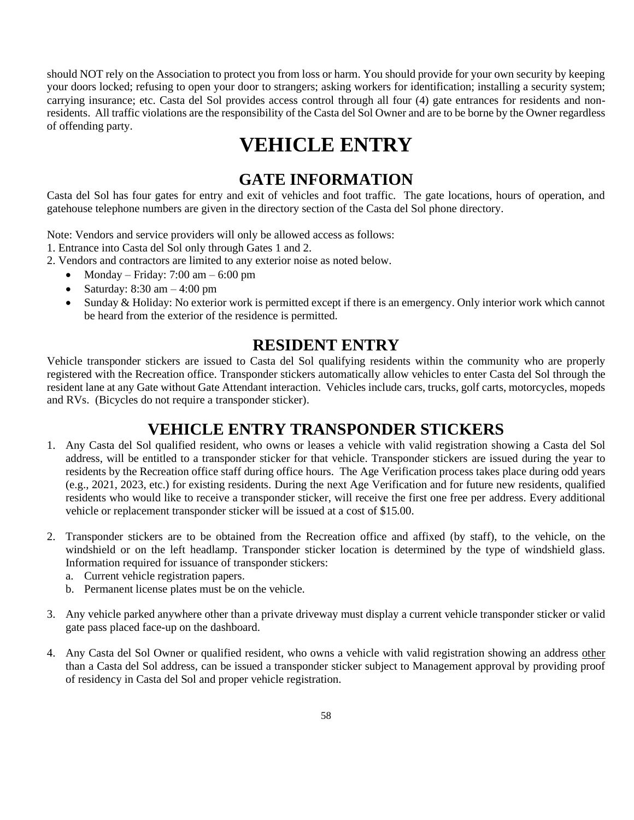should NOT rely on the Association to protect you from loss or harm. You should provide for your own security by keeping your doors locked; refusing to open your door to strangers; asking workers for identification; installing a security system; carrying insurance; etc. Casta del Sol provides access control through all four (4) gate entrances for residents and nonresidents. All traffic violations are the responsibility of the Casta del Sol Owner and are to be borne by the Owner regardless of offending party.

# **VEHICLE ENTRY**

## **GATE INFORMATION**

Casta del Sol has four gates for entry and exit of vehicles and foot traffic. The gate locations, hours of operation, and gatehouse telephone numbers are given in the directory section of the Casta del Sol phone directory.

Note: Vendors and service providers will only be allowed access as follows:

- 1. Entrance into Casta del Sol only through Gates 1 and 2.
- 2. Vendors and contractors are limited to any exterior noise as noted below.
	- Monday Friday: 7:00 am 6:00 pm
	- Saturday:  $8:30 \text{ am} 4:00 \text{ pm}$
	- Sunday & Holiday: No exterior work is permitted except if there is an emergency. Only interior work which cannot be heard from the exterior of the residence is permitted.

## **RESIDENT ENTRY**

Vehicle transponder stickers are issued to Casta del Sol qualifying residents within the community who are properly registered with the Recreation office. Transponder stickers automatically allow vehicles to enter Casta del Sol through the resident lane at any Gate without Gate Attendant interaction. Vehicles include cars, trucks, golf carts, motorcycles, mopeds and RVs. (Bicycles do not require a transponder sticker).

## **VEHICLE ENTRY TRANSPONDER STICKERS**

- 1. Any Casta del Sol qualified resident, who owns or leases a vehicle with valid registration showing a Casta del Sol address, will be entitled to a transponder sticker for that vehicle. Transponder stickers are issued during the year to residents by the Recreation office staff during office hours. The Age Verification process takes place during odd years (e.g., 2021, 2023, etc.) for existing residents. During the next Age Verification and for future new residents, qualified residents who would like to receive a transponder sticker, will receive the first one free per address. Every additional vehicle or replacement transponder sticker will be issued at a cost of \$15.00.
- 2. Transponder stickers are to be obtained from the Recreation office and affixed (by staff), to the vehicle, on the windshield or on the left headlamp. Transponder sticker location is determined by the type of windshield glass. Information required for issuance of transponder stickers:
	- a. Current vehicle registration papers.
	- b. Permanent license plates must be on the vehicle.
- 3. Any vehicle parked anywhere other than a private driveway must display a current vehicle transponder sticker or valid gate pass placed face-up on the dashboard.
- 4. Any Casta del Sol Owner or qualified resident, who owns a vehicle with valid registration showing an address other than a Casta del Sol address, can be issued a transponder sticker subject to Management approval by providing proof of residency in Casta del Sol and proper vehicle registration.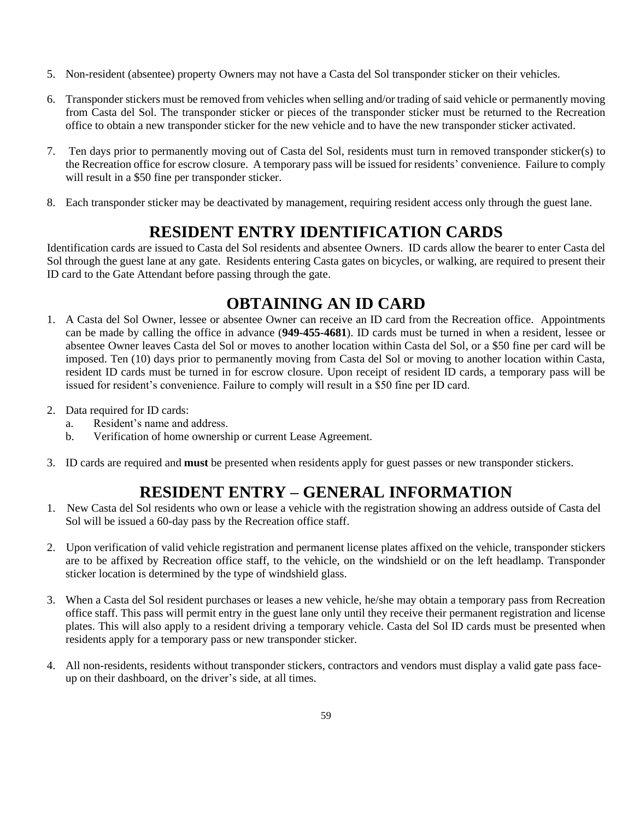- 5. Non-resident (absentee) property Owners may not have a Casta del Sol transponder sticker on their vehicles.
- 6. Transponder stickers must be removed from vehicles when selling and/or trading of said vehicle or permanently moving from Casta del Sol. The transponder sticker or pieces of the transponder sticker must be returned to the Recreation office to obtain a new transponder sticker for the new vehicle and to have the new transponder sticker activated.
- 7. Ten days prior to permanently moving out of Casta del Sol, residents must turn in removed transponder sticker(s) to the Recreation office for escrow closure. A temporary pass will be issued for residents' convenience. Failure to comply will result in a \$50 fine per transponder sticker.
- 8. Each transponder sticker may be deactivated by management, requiring resident access only through the guest lane.

# **RESIDENT ENTRY IDENTIFICATION CARDS**

Identification cards are issued to Casta del Sol residents and absentee Owners. ID cards allow the bearer to enter Casta del Sol through the guest lane at any gate. Residents entering Casta gates on bicycles, or walking, are required to present their ID card to the Gate Attendant before passing through the gate.

# **OBTAINING AN ID CARD**

- 1. A Casta del Sol Owner, lessee or absentee Owner can receive an ID card from the Recreation office. Appointments can be made by calling the office in advance (**949-455-4681**). ID cards must be turned in when a resident, lessee or absentee Owner leaves Casta del Sol or moves to another location within Casta del Sol, or a \$50 fine per card will be imposed. Ten (10) days prior to permanently moving from Casta del Sol or moving to another location within Casta, resident ID cards must be turned in for escrow closure. Upon receipt of resident ID cards, a temporary pass will be issued for resident's convenience. Failure to comply will result in a \$50 fine per ID card.
- 2. Data required for ID cards:
	- a. Resident's name and address.
	- b. Verification of home ownership or current Lease Agreement.
- 3. ID cards are required and **must** be presented when residents apply for guest passes or new transponder stickers.

# **RESIDENT ENTRY – GENERAL INFORMATION**

- 1. New Casta del Sol residents who own or lease a vehicle with the registration showing an address outside of Casta del Sol will be issued a 60-day pass by the Recreation office staff.
- 2. Upon verification of valid vehicle registration and permanent license plates affixed on the vehicle, transponder stickers are to be affixed by Recreation office staff, to the vehicle, on the windshield or on the left headlamp. Transponder sticker location is determined by the type of windshield glass.
- 3. When a Casta del Sol resident purchases or leases a new vehicle, he/she may obtain a temporary pass from Recreation office staff. This pass will permit entry in the guest lane only until they receive their permanent registration and license plates. This will also apply to a resident driving a temporary vehicle. Casta del Sol ID cards must be presented when residents apply for a temporary pass or new transponder sticker.
- 4. All non-residents, residents without transponder stickers, contractors and vendors must display a valid gate pass faceup on their dashboard, on the driver's side, at all times.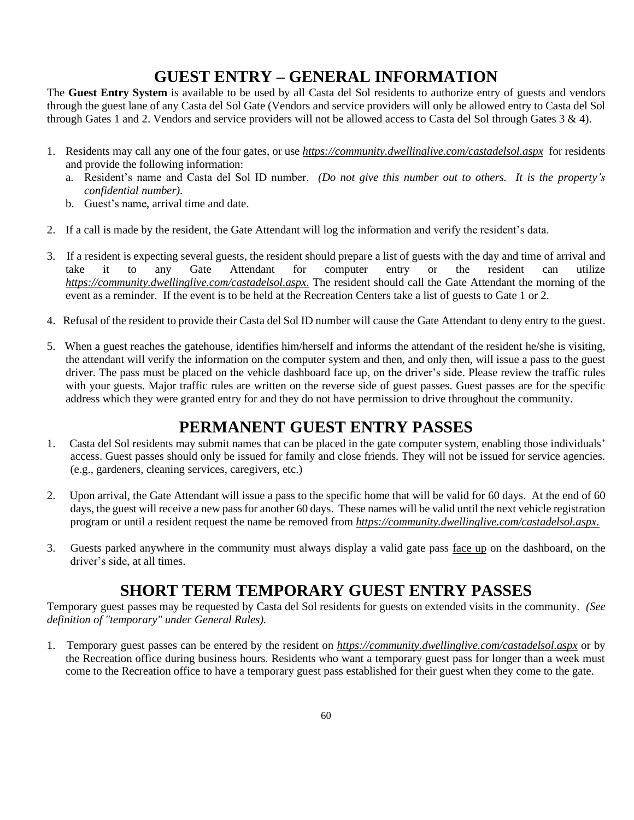# **GUEST ENTRY – GENERAL INFORMATION**

The **Guest Entry System** is available to be used by all Casta del Sol residents to authorize entry of guests and vendors through the guest lane of any Casta del Sol Gate (Vendors and service providers will only be allowed entry to Casta del Sol through Gates 1 and 2. Vendors and service providers will not be allowed access to Casta del Sol through Gates  $3 \& 4$ ).

- 1. Residents may call any one of the four gates, or use *<https://community.dwellinglive.com/>castadelsol.aspx* for residents and provide the following information:
	- a. Resident's name and Casta del Sol ID number. *(Do not give this number out to others. It is the property's confidential number).*
	- b. Guest's name, arrival time and date.
- 2. If a call is made by the resident, the Gate Attendant will log the information and verify the resident's data.
- 3. If a resident is expecting several guests, the resident should prepare a list of guests with the day and time of arrival and take it to any Gate Attendant for computer entry or the resident can utilize *<https://community.dwellinglive.com/>castadelsol.aspx.* The resident should call the Gate Attendant the morning of the event as a reminder. If the event is to be held at the Recreation Centers take a list of guests to Gate 1 or 2.
- 4. Refusal of the resident to provide their Casta del Sol ID number will cause the Gate Attendant to deny entry to the guest.
- 5. When a guest reaches the gatehouse, identifies him/herself and informs the attendant of the resident he/she is visiting, the attendant will verify the information on the computer system and then, and only then, will issue a pass to the guest driver. The pass must be placed on the vehicle dashboard face up, on the driver's side. Please review the traffic rules with your guests. Major traffic rules are written on the reverse side of guest passes. Guest passes are for the specific address which they were granted entry for and they do not have permission to drive throughout the community.

## **PERMANENT GUEST ENTRY PASSES**

- 1. Casta del Sol residents may submit names that can be placed in the gate computer system, enabling those individuals' access. Guest passes should only be issued for family and close friends. They will not be issued for service agencies. (e.g., gardeners, cleaning services, caregivers, etc.)
- 2. Upon arrival, the Gate Attendant will issue a pass to the specific home that will be valid for 60 days. At the end of 60 days, the guest will receive a new pass for another 60 days. These names will be valid until the next vehicle registration program or until a resident request the name be removed from *https://community.dwellinglive.com/castadelsol.aspx.*
- 3. Guests parked anywhere in the community must always display a valid gate pass face up on the dashboard, on the driver's side, at all times.

# **SHORT TERM TEMPORARY GUEST ENTRY PASSES**

Temporary guest passes may be requested by Casta del Sol residents for guests on extended visits in the community. *(See definition of "temporary" under General Rules).*

1. Temporary guest passes can be entered by the resident on *<https://community.dwellinglive.com/>castadelsol.aspx* or by the Recreation office during business hours. Residents who want a temporary guest pass for longer than a week must come to the Recreation office to have a temporary guest pass established for their guest when they come to the gate.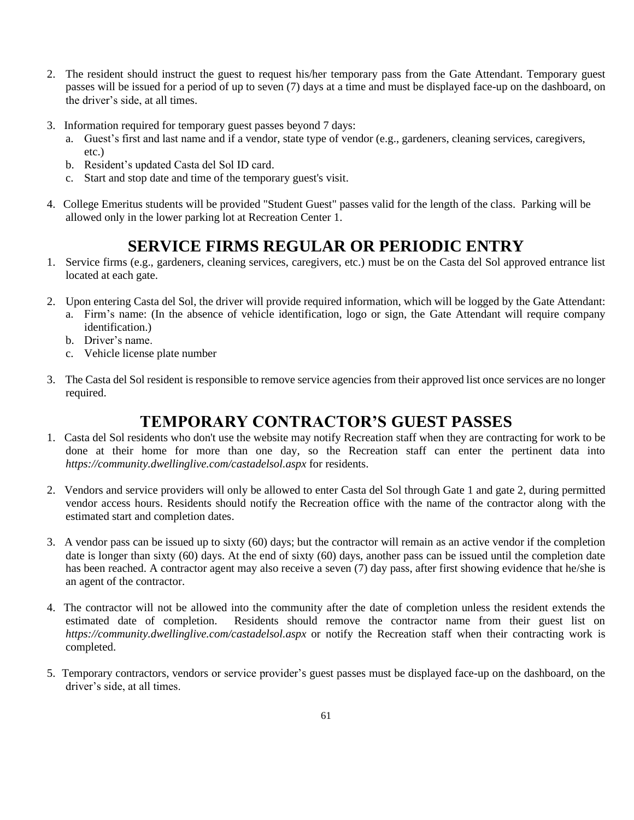- 2. The resident should instruct the guest to request his/her temporary pass from the Gate Attendant. Temporary guest passes will be issued for a period of up to seven (7) days at a time and must be displayed face-up on the dashboard, on the driver's side, at all times.
- 3. Information required for temporary guest passes beyond 7 days:
	- a. Guest's first and last name and if a vendor, state type of vendor (e.g., gardeners, cleaning services, caregivers, etc.)
	- b. Resident's updated Casta del Sol ID card.
	- c. Start and stop date and time of the temporary guest's visit.
- 4. College Emeritus students will be provided "Student Guest" passes valid for the length of the class. Parking will be allowed only in the lower parking lot at Recreation Center 1.

# **SERVICE FIRMS REGULAR OR PERIODIC ENTRY**

- 1. Service firms (e.g., gardeners, cleaning services, caregivers, etc.) must be on the Casta del Sol approved entrance list located at each gate.
- 2. Upon entering Casta del Sol, the driver will provide required information, which will be logged by the Gate Attendant:
	- a. Firm's name: (In the absence of vehicle identification, logo or sign, the Gate Attendant will require company identification.)
	- b. Driver's name.
	- c. Vehicle license plate number
- 3. The Casta del Sol resident is responsible to remove service agencies from their approved list once services are no longer required.

## **TEMPORARY CONTRACTOR'S GUEST PASSES**

- 1. Casta del Sol residents who don't use the website may notify Recreation staff when they are contracting for work to be done at their home for more than one day, so the Recreation staff can enter the pertinent data into *https://community.dwellinglive.com/castadelsol.aspx* for residents.
- 2. Vendors and service providers will only be allowed to enter Casta del Sol through Gate 1 and gate 2, during permitted vendor access hours. Residents should notify the Recreation office with the name of the contractor along with the estimated start and completion dates.
- 3. A vendor pass can be issued up to sixty (60) days; but the contractor will remain as an active vendor if the completion date is longer than sixty (60) days. At the end of sixty (60) days, another pass can be issued until the completion date has been reached. A contractor agent may also receive a seven (7) day pass, after first showing evidence that he/she is an agent of the contractor.
- 4. The contractor will not be allowed into the community after the date of completion unless the resident extends the estimated date of completion. Residents should remove the contractor name from their guest list on *https://community.dwellinglive.com/castadelsol.aspx* or notify the Recreation staff when their contracting work is completed.
- 5. Temporary contractors, vendors or service provider's guest passes must be displayed face-up on the dashboard, on the driver's side, at all times.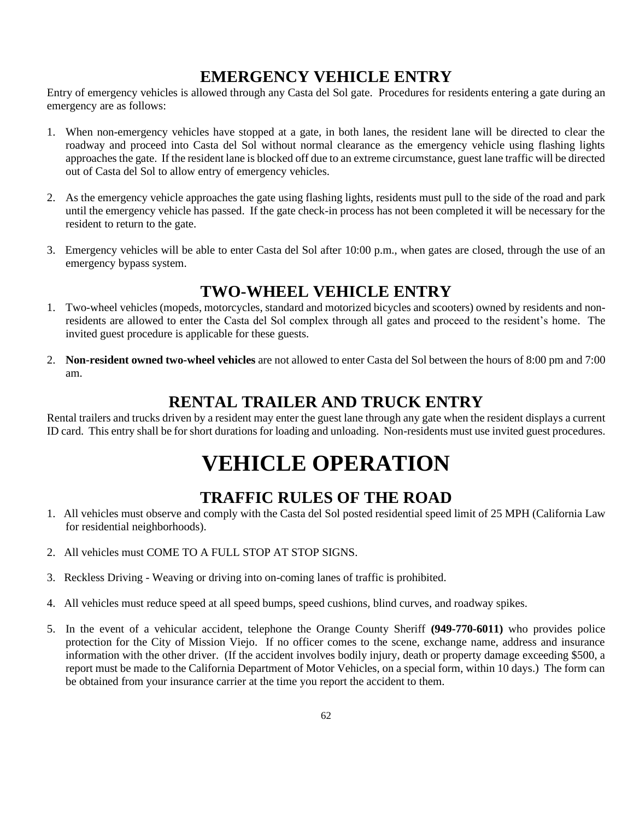# **EMERGENCY VEHICLE ENTRY**

Entry of emergency vehicles is allowed through any Casta del Sol gate. Procedures for residents entering a gate during an emergency are as follows:

- 1. When non-emergency vehicles have stopped at a gate, in both lanes, the resident lane will be directed to clear the roadway and proceed into Casta del Sol without normal clearance as the emergency vehicle using flashing lights approaches the gate. If the resident lane is blocked off due to an extreme circumstance, guest lane traffic will be directed out of Casta del Sol to allow entry of emergency vehicles.
- 2. As the emergency vehicle approaches the gate using flashing lights, residents must pull to the side of the road and park until the emergency vehicle has passed. If the gate check-in process has not been completed it will be necessary for the resident to return to the gate.
- 3. Emergency vehicles will be able to enter Casta del Sol after 10:00 p.m., when gates are closed, through the use of an emergency bypass system.

# **TWO-WHEEL VEHICLE ENTRY**

- 1. Two-wheel vehicles (mopeds, motorcycles, standard and motorized bicycles and scooters) owned by residents and nonresidents are allowed to enter the Casta del Sol complex through all gates and proceed to the resident's home. The invited guest procedure is applicable for these guests.
- 2. **Non-resident owned two-wheel vehicles** are not allowed to enter Casta del Sol between the hours of 8:00 pm and 7:00 am.

# **RENTAL TRAILER AND TRUCK ENTRY**

Rental trailers and trucks driven by a resident may enter the guest lane through any gate when the resident displays a current ID card. This entry shall be for short durations for loading and unloading. Non-residents must use invited guest procedures.

# **VEHICLE OPERATION**

# **TRAFFIC RULES OF THE ROAD**

- 1. All vehicles must observe and comply with the Casta del Sol posted residential speed limit of 25 MPH (California Law for residential neighborhoods).
- 2. All vehicles must COME TO A FULL STOP AT STOP SIGNS.
- 3. Reckless Driving Weaving or driving into on-coming lanes of traffic is prohibited.
- 4. All vehicles must reduce speed at all speed bumps, speed cushions, blind curves, and roadway spikes.
- 5. In the event of a vehicular accident, telephone the Orange County Sheriff **(949-770-6011)** who provides police protection for the City of Mission Viejo. If no officer comes to the scene, exchange name, address and insurance information with the other driver. (If the accident involves bodily injury, death or property damage exceeding \$500, a report must be made to the California Department of Motor Vehicles, on a special form, within 10 days.) The form can be obtained from your insurance carrier at the time you report the accident to them.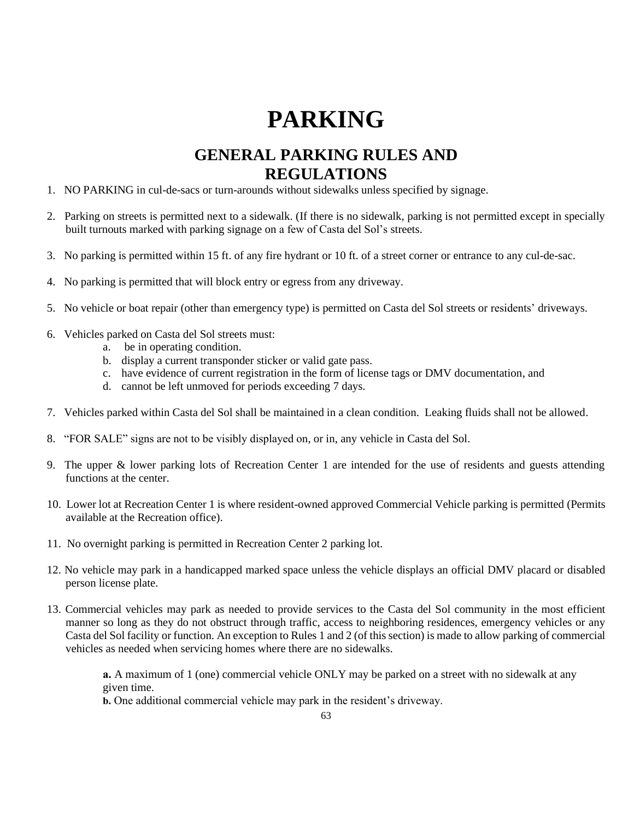# **PARKING**

# **GENERAL PARKING RULES AND REGULATIONS**

- 1. NO PARKING in cul-de-sacs or turn-arounds without sidewalks unless specified by signage.
- 2. Parking on streets is permitted next to a sidewalk. (If there is no sidewalk, parking is not permitted except in specially built turnouts marked with parking signage on a few of Casta del Sol's streets.
- 3. No parking is permitted within 15 ft. of any fire hydrant or 10 ft. of a street corner or entrance to any cul-de-sac.
- 4. No parking is permitted that will block entry or egress from any driveway.
- 5. No vehicle or boat repair (other than emergency type) is permitted on Casta del Sol streets or residents' driveways.
- 6. Vehicles parked on Casta del Sol streets must:
	- a. be in operating condition.
	- b. display a current transponder sticker or valid gate pass.
	- c. have evidence of current registration in the form of license tags or DMV documentation, and
	- d. cannot be left unmoved for periods exceeding 7 days.
- 7. Vehicles parked within Casta del Sol shall be maintained in a clean condition. Leaking fluids shall not be allowed.
- 8. "FOR SALE" signs are not to be visibly displayed on, or in, any vehicle in Casta del Sol.
- 9. The upper & lower parking lots of Recreation Center 1 are intended for the use of residents and guests attending functions at the center.
- 10. Lower lot at Recreation Center 1 is where resident-owned approved Commercial Vehicle parking is permitted (Permits available at the Recreation office).
- 11. No overnight parking is permitted in Recreation Center 2 parking lot.
- 12. No vehicle may park in a handicapped marked space unless the vehicle displays an official DMV placard or disabled person license plate.
- 13. Commercial vehicles may park as needed to provide services to the Casta del Sol community in the most efficient manner so long as they do not obstruct through traffic, access to neighboring residences, emergency vehicles or any Casta del Sol facility or function. An exception to Rules 1 and 2 (of this section) is made to allow parking of commercial vehicles as needed when servicing homes where there are no sidewalks.

**a.** A maximum of 1 (one) commercial vehicle ONLY may be parked on a street with no sidewalk at any given time.

**b.** One additional commercial vehicle may park in the resident's driveway.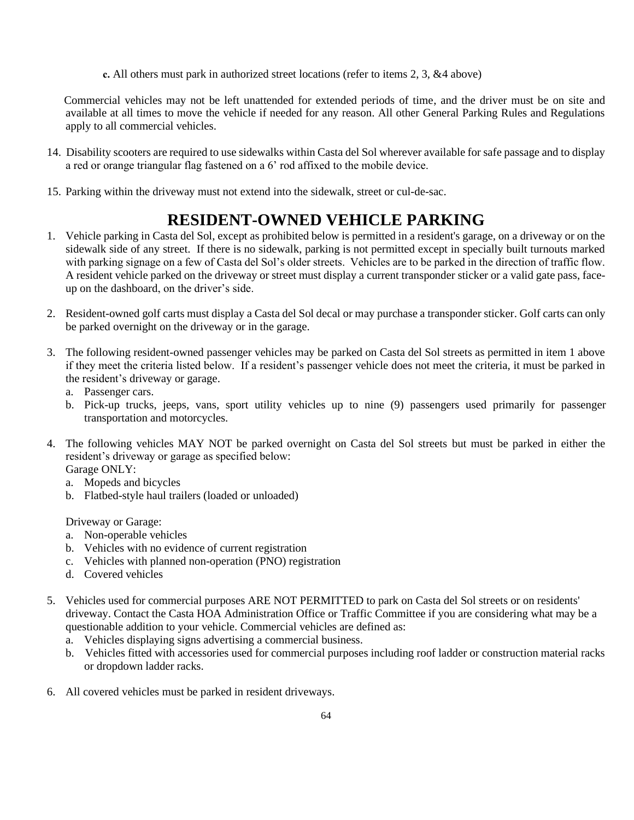**c.** All others must park in authorized street locations (refer to items 2, 3, &4 above)

Commercial vehicles may not be left unattended for extended periods of time, and the driver must be on site and available at all times to move the vehicle if needed for any reason. All other General Parking Rules and Regulations apply to all commercial vehicles.

- 14. Disability scooters are required to use sidewalks within Casta del Sol wherever available for safe passage and to display a red or orange triangular flag fastened on a 6' rod affixed to the mobile device.
- 15. Parking within the driveway must not extend into the sidewalk, street or cul-de-sac.

# **RESIDENT-OWNED VEHICLE PARKING**

- 1. Vehicle parking in Casta del Sol, except as prohibited below is permitted in a resident's garage, on a driveway or on the sidewalk side of any street. If there is no sidewalk, parking is not permitted except in specially built turnouts marked with parking signage on a few of Casta del Sol's older streets. Vehicles are to be parked in the direction of traffic flow. A resident vehicle parked on the driveway or street must display a current transponder sticker or a valid gate pass, faceup on the dashboard, on the driver's side.
- 2. Resident-owned golf carts must display a Casta del Sol decal or may purchase a transponder sticker. Golf carts can only be parked overnight on the driveway or in the garage.
- 3. The following resident-owned passenger vehicles may be parked on Casta del Sol streets as permitted in item 1 above if they meet the criteria listed below. If a resident's passenger vehicle does not meet the criteria, it must be parked in the resident's driveway or garage.
	- a. Passenger cars.
	- b. Pick-up trucks, jeeps, vans, sport utility vehicles up to nine (9) passengers used primarily for passenger transportation and motorcycles.
- 4. The following vehicles MAY NOT be parked overnight on Casta del Sol streets but must be parked in either the resident's driveway or garage as specified below: Garage ONLY:
	- a. Mopeds and bicycles
	- b. Flatbed-style haul trailers (loaded or unloaded)

Driveway or Garage:

- a. Non-operable vehicles
- b. Vehicles with no evidence of current registration
- c. Vehicles with planned non-operation (PNO) registration
- d. Covered vehicles
- 5. Vehicles used for commercial purposes ARE NOT PERMITTED to park on Casta del Sol streets or on residents' driveway. Contact the Casta HOA Administration Office or Traffic Committee if you are considering what may be a questionable addition to your vehicle. Commercial vehicles are defined as:
	- a. Vehicles displaying signs advertising a commercial business.
	- b. Vehicles fitted with accessories used for commercial purposes including roof ladder or construction material racks or dropdown ladder racks.
- 6. All covered vehicles must be parked in resident driveways.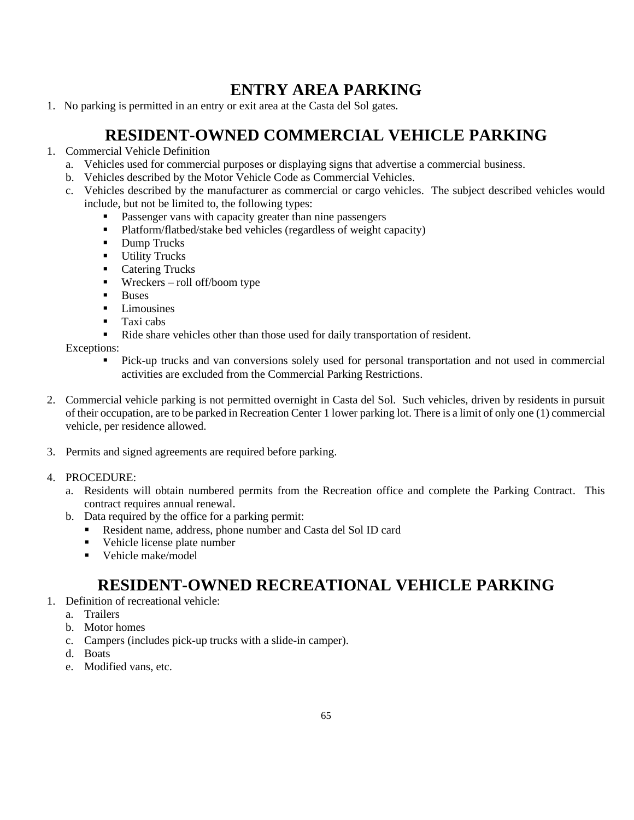# **ENTRY AREA PARKING**

1. No parking is permitted in an entry or exit area at the Casta del Sol gates.

# **RESIDENT-OWNED COMMERCIAL VEHICLE PARKING**

- 1. Commercial Vehicle Definition
	- a. Vehicles used for commercial purposes or displaying signs that advertise a commercial business.
	- b. Vehicles described by the Motor Vehicle Code as Commercial Vehicles.
	- c. Vehicles described by the manufacturer as commercial or cargo vehicles. The subject described vehicles would include, but not be limited to, the following types:
		- **•** Passenger vans with capacity greater than nine passengers
		- Platform/flatbed/stake bed vehicles (regardless of weight capacity)
		- Dump Trucks
		- **■** Utility Trucks
		- Catering Trucks
		- Wreckers roll off/boom type
		- Buses
		- Limousines
		- Taxi cabs
		- Ride share vehicles other than those used for daily transportation of resident.

### Exceptions:

- Pick-up trucks and van conversions solely used for personal transportation and not used in commercial activities are excluded from the Commercial Parking Restrictions.
- 2. Commercial vehicle parking is not permitted overnight in Casta del Sol. Such vehicles, driven by residents in pursuit of their occupation, are to be parked in Recreation Center 1 lower parking lot. There is a limit of only one (1) commercial vehicle, per residence allowed.
- 3. Permits and signed agreements are required before parking.

### 4. PROCEDURE:

- a. Residents will obtain numbered permits from the Recreation office and complete the Parking Contract. This contract requires annual renewal.
- b. Data required by the office for a parking permit:
	- Resident name, address, phone number and Casta del Sol ID card
	- Vehicle license plate number
	- Vehicle make/model

# **RESIDENT-OWNED RECREATIONAL VEHICLE PARKING**

- 1. Definition of recreational vehicle:
	- a. Trailers
	- b. Motor homes
	- c. Campers (includes pick-up trucks with a slide-in camper).
	- d. Boats
	- e. Modified vans, etc.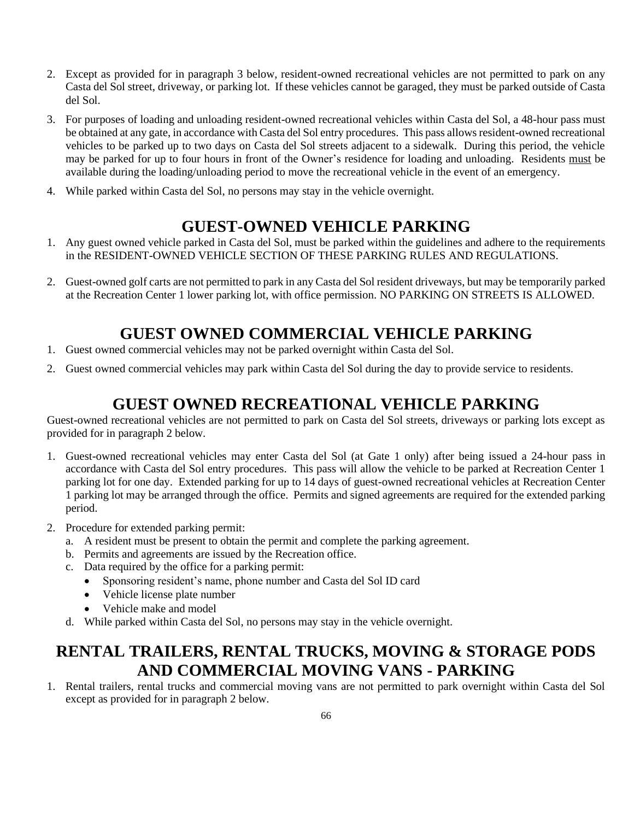- 2. Except as provided for in paragraph 3 below, resident-owned recreational vehicles are not permitted to park on any Casta del Sol street, driveway, or parking lot. If these vehicles cannot be garaged, they must be parked outside of Casta del Sol.
- 3. For purposes of loading and unloading resident-owned recreational vehicles within Casta del Sol, a 48-hour pass must be obtained at any gate, in accordance with Casta del Sol entry procedures. This pass allows resident-owned recreational vehicles to be parked up to two days on Casta del Sol streets adjacent to a sidewalk. During this period, the vehicle may be parked for up to four hours in front of the Owner's residence for loading and unloading. Residents must be available during the loading/unloading period to move the recreational vehicle in the event of an emergency.
- 4. While parked within Casta del Sol, no persons may stay in the vehicle overnight.

# **GUEST-OWNED VEHICLE PARKING**

- 1. Any guest owned vehicle parked in Casta del Sol, must be parked within the guidelines and adhere to the requirements in the RESIDENT-OWNED VEHICLE SECTION OF THESE PARKING RULES AND REGULATIONS.
- 2. Guest-owned golf carts are not permitted to park in any Casta del Sol resident driveways, but may be temporarily parked at the Recreation Center 1 lower parking lot, with office permission. NO PARKING ON STREETS IS ALLOWED.

# **GUEST OWNED COMMERCIAL VEHICLE PARKING**

- 1. Guest owned commercial vehicles may not be parked overnight within Casta del Sol.
- 2. Guest owned commercial vehicles may park within Casta del Sol during the day to provide service to residents.

# **GUEST OWNED RECREATIONAL VEHICLE PARKING**

Guest-owned recreational vehicles are not permitted to park on Casta del Sol streets, driveways or parking lots except as provided for in paragraph 2 below.

- 1. Guest-owned recreational vehicles may enter Casta del Sol (at Gate 1 only) after being issued a 24-hour pass in accordance with Casta del Sol entry procedures. This pass will allow the vehicle to be parked at Recreation Center 1 parking lot for one day. Extended parking for up to 14 days of guest-owned recreational vehicles at Recreation Center 1 parking lot may be arranged through the office. Permits and signed agreements are required for the extended parking period.
- 2. Procedure for extended parking permit:
	- a. A resident must be present to obtain the permit and complete the parking agreement.
	- b. Permits and agreements are issued by the Recreation office.
	- c. Data required by the office for a parking permit:
		- Sponsoring resident's name, phone number and Casta del Sol ID card
		- Vehicle license plate number
		- Vehicle make and model
	- d. While parked within Casta del Sol, no persons may stay in the vehicle overnight.

# **RENTAL TRAILERS, RENTAL TRUCKS, MOVING & STORAGE PODS AND COMMERCIAL MOVING VANS - PARKING**

1. Rental trailers, rental trucks and commercial moving vans are not permitted to park overnight within Casta del Sol except as provided for in paragraph 2 below.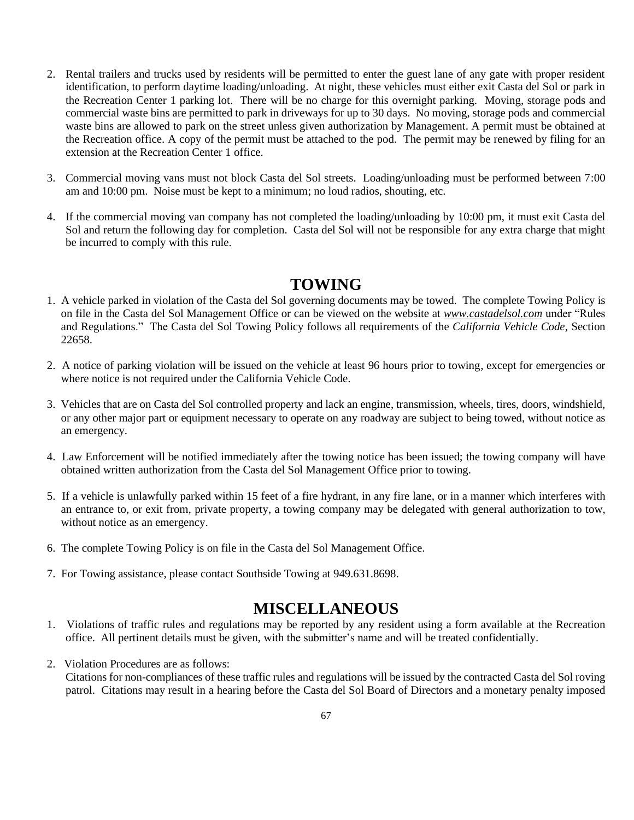- 2. Rental trailers and trucks used by residents will be permitted to enter the guest lane of any gate with proper resident identification, to perform daytime loading/unloading. At night, these vehicles must either exit Casta del Sol or park in the Recreation Center 1 parking lot. There will be no charge for this overnight parking. Moving, storage pods and commercial waste bins are permitted to park in driveways for up to 30 days. No moving, storage pods and commercial waste bins are allowed to park on the street unless given authorization by Management. A permit must be obtained at the Recreation office. A copy of the permit must be attached to the pod. The permit may be renewed by filing for an extension at the Recreation Center 1 office.
- 3. Commercial moving vans must not block Casta del Sol streets. Loading/unloading must be performed between 7:00 am and 10:00 pm. Noise must be kept to a minimum; no loud radios, shouting, etc.
- 4. If the commercial moving van company has not completed the loading/unloading by 10:00 pm, it must exit Casta del Sol and return the following day for completion. Casta del Sol will not be responsible for any extra charge that might be incurred to comply with this rule.

## **TOWING**

- 1. A vehicle parked in violation of the Casta del Sol governing documents may be towed. The complete Towing Policy is on file in the Casta del Sol Management Office or can be viewed on the website at *www.castadelsol.com* under "Rules and Regulations." The Casta del Sol Towing Policy follows all requirements of the *California Vehicle Code*, Section 22658.
- 2. A notice of parking violation will be issued on the vehicle at least 96 hours prior to towing, except for emergencies or where notice is not required under the California Vehicle Code.
- 3. Vehicles that are on Casta del Sol controlled property and lack an engine, transmission, wheels, tires, doors, windshield, or any other major part or equipment necessary to operate on any roadway are subject to being towed, without notice as an emergency.
- 4. Law Enforcement will be notified immediately after the towing notice has been issued; the towing company will have obtained written authorization from the Casta del Sol Management Office prior to towing.
- 5. If a vehicle is unlawfully parked within 15 feet of a fire hydrant, in any fire lane, or in a manner which interferes with an entrance to, or exit from, private property, a towing company may be delegated with general authorization to tow, without notice as an emergency.
- 6. The complete Towing Policy is on file in the Casta del Sol Management Office.
- 7. For Towing assistance, please contact Southside Towing at 949.631.8698.

## **MISCELLANEOUS**

- 1. Violations of traffic rules and regulations may be reported by any resident using a form available at the Recreation office. All pertinent details must be given, with the submitter's name and will be treated confidentially.
- 2.Violation Procedures are as follows:
	- Citations for non-compliances of these traffic rules and regulations will be issued by the contracted Casta del Sol roving patrol. Citations may result in a hearing before the Casta del Sol Board of Directors and a monetary penalty imposed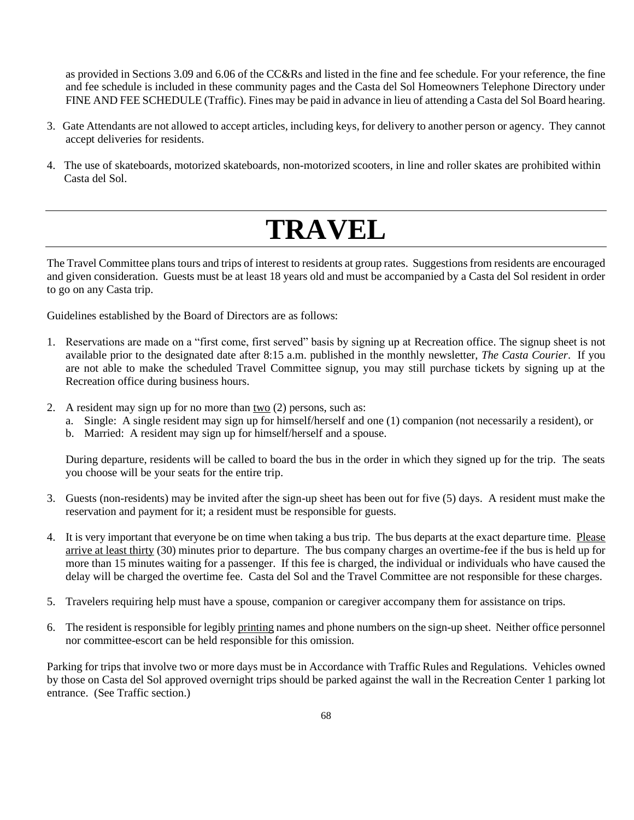as provided in Sections 3.09 and 6.06 of the CC&Rs and listed in the fine and fee schedule. For your reference, the fine and fee schedule is included in these community pages and the Casta del Sol Homeowners Telephone Directory under FINE AND FEE SCHEDULE (Traffic). Fines may be paid in advance in lieu of attending a Casta del Sol Board hearing.

- 3. Gate Attendants are not allowed to accept articles, including keys, for delivery to another person or agency. They cannot accept deliveries for residents.
- 4. The use of skateboards, motorized skateboards, non-motorized scooters, in line and roller skates are prohibited within Casta del Sol.

# **TRAVEL**

The Travel Committee plans tours and trips of interest to residents at group rates. Suggestions from residents are encouraged and given consideration. Guests must be at least 18 years old and must be accompanied by a Casta del Sol resident in order to go on any Casta trip.

Guidelines established by the Board of Directors are as follows:

- 1. Reservations are made on a "first come, first served" basis by signing up at Recreation office. The signup sheet is not available prior to the designated date after 8:15 a.m. published in the monthly newsletter, *The Casta Courier*. If you are not able to make the scheduled Travel Committee signup, you may still purchase tickets by signing up at the Recreation office during business hours.
- 2. A resident may sign up for no more than  $two(2)$  persons, such as:
	- a. Single: A single resident may sign up for himself/herself and one (1) companion (not necessarily a resident), or
	- b. Married: A resident may sign up for himself/herself and a spouse.

During departure, residents will be called to board the bus in the order in which they signed up for the trip. The seats you choose will be your seats for the entire trip.

- 3. Guests (non-residents) may be invited after the sign-up sheet has been out for five (5) days. A resident must make the reservation and payment for it; a resident must be responsible for guests.
- 4. It is very important that everyone be on time when taking a bus trip. The bus departs at the exact departure time. Please arrive at least thirty (30) minutes prior to departure. The bus company charges an overtime-fee if the bus is held up for more than 15 minutes waiting for a passenger. If this fee is charged, the individual or individuals who have caused the delay will be charged the overtime fee. Casta del Sol and the Travel Committee are not responsible for these charges.
- 5. Travelers requiring help must have a spouse, companion or caregiver accompany them for assistance on trips.
- 6. The resident is responsible for legibly printing names and phone numbers on the sign-up sheet. Neither office personnel nor committee-escort can be held responsible for this omission.

Parking for trips that involve two or more days must be in Accordance with Traffic Rules and Regulations. Vehicles owned by those on Casta del Sol approved overnight trips should be parked against the wall in the Recreation Center 1 parking lot entrance. (See Traffic section.)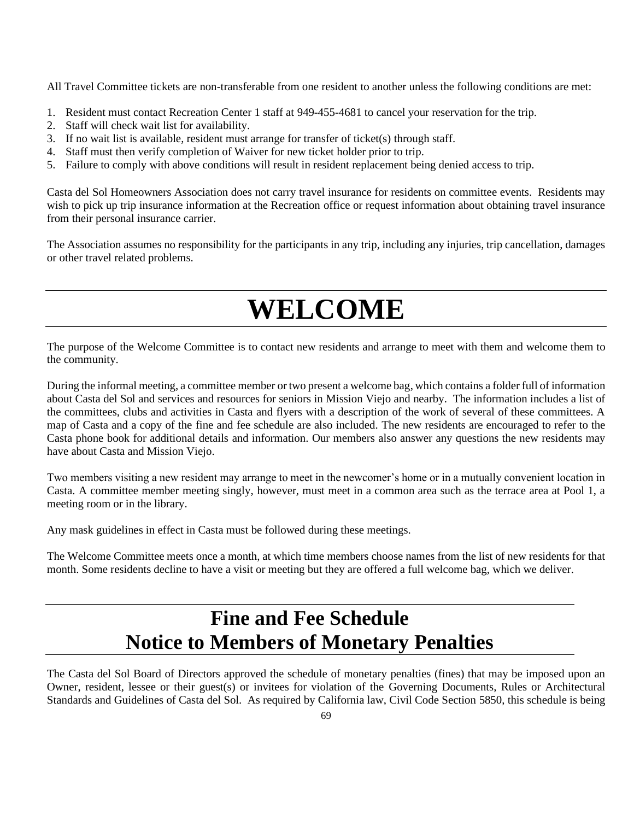All Travel Committee tickets are non-transferable from one resident to another unless the following conditions are met:

- 1. Resident must contact Recreation Center 1 staff at 949-455-4681 to cancel your reservation for the trip.
- 2. Staff will check wait list for availability.
- 3. If no wait list is available, resident must arrange for transfer of ticket(s) through staff.
- 4. Staff must then verify completion of Waiver for new ticket holder prior to trip.
- 5. Failure to comply with above conditions will result in resident replacement being denied access to trip.

Casta del Sol Homeowners Association does not carry travel insurance for residents on committee events. Residents may wish to pick up trip insurance information at the Recreation office or request information about obtaining travel insurance from their personal insurance carrier.

The Association assumes no responsibility for the participants in any trip, including any injuries, trip cancellation, damages or other travel related problems.

# **WELCOME**

The purpose of the Welcome Committee is to contact new residents and arrange to meet with them and welcome them to the community.

During the informal meeting, a committee member or two present a welcome bag, which contains a folder full of information about Casta del Sol and services and resources for seniors in Mission Viejo and nearby. The information includes a list of the committees, clubs and activities in Casta and flyers with a description of the work of several of these committees. A map of Casta and a copy of the fine and fee schedule are also included. The new residents are encouraged to refer to the Casta phone book for additional details and information. Our members also answer any questions the new residents may have about Casta and Mission Viejo.

Two members visiting a new resident may arrange to meet in the newcomer's home or in a mutually convenient location in Casta. A committee member meeting singly, however, must meet in a common area such as the terrace area at Pool 1, a meeting room or in the library.

Any mask guidelines in effect in Casta must be followed during these meetings.

The Welcome Committee meets once a month, at which time members choose names from the list of new residents for that month. Some residents decline to have a visit or meeting but they are offered a full welcome bag, which we deliver.

# **Fine and Fee Schedule Notice to Members of Monetary Penalties**

The Casta del Sol Board of Directors approved the schedule of monetary penalties (fines) that may be imposed upon an Owner, resident, lessee or their guest(s) or invitees for violation of the Governing Documents, Rules or Architectural Standards and Guidelines of Casta del Sol. As required by California law, Civil Code Section 5850, this schedule is being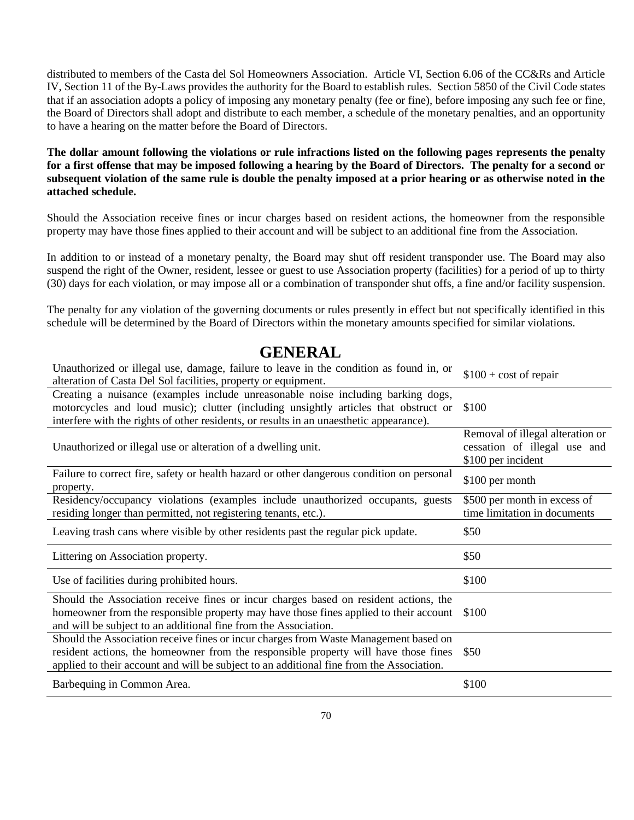distributed to members of the Casta del Sol Homeowners Association. Article VI, Section 6.06 of the CC&Rs and Article IV, Section 11 of the By-Laws provides the authority for the Board to establish rules. Section 5850 of the Civil Code states that if an association adopts a policy of imposing any monetary penalty (fee or fine), before imposing any such fee or fine, the Board of Directors shall adopt and distribute to each member, a schedule of the monetary penalties, and an opportunity to have a hearing on the matter before the Board of Directors.

**The dollar amount following the violations or rule infractions listed on the following pages represents the penalty for a first offense that may be imposed following a hearing by the Board of Directors. The penalty for a second or subsequent violation of the same rule is double the penalty imposed at a prior hearing or as otherwise noted in the attached schedule.**

Should the Association receive fines or incur charges based on resident actions, the homeowner from the responsible property may have those fines applied to their account and will be subject to an additional fine from the Association.

In addition to or instead of a monetary penalty, the Board may shut off resident transponder use. The Board may also suspend the right of the Owner, resident, lessee or guest to use Association property (facilities) for a period of up to thirty (30) days for each violation, or may impose all or a combination of transponder shut offs, a fine and/or facility suspension.

The penalty for any violation of the governing documents or rules presently in effect but not specifically identified in this schedule will be determined by the Board of Directors within the monetary amounts specified for similar violations.

### **GENERAL**

| Unauthorized or illegal use, damage, failure to leave in the condition as found in, or<br>alteration of Casta Del Sol facilities, property or equipment.                                                                                                                | $$100 + cost of repair$                                                                |
|-------------------------------------------------------------------------------------------------------------------------------------------------------------------------------------------------------------------------------------------------------------------------|----------------------------------------------------------------------------------------|
| Creating a nuisance (examples include unreasonable noise including barking dogs,<br>motorcycles and loud music); clutter (including unsightly articles that obstruct or<br>interfere with the rights of other residents, or results in an unaesthetic appearance).      | \$100                                                                                  |
| Unauthorized or illegal use or alteration of a dwelling unit.                                                                                                                                                                                                           | Removal of illegal alteration or<br>cessation of illegal use and<br>\$100 per incident |
| Failure to correct fire, safety or health hazard or other dangerous condition on personal<br>property.                                                                                                                                                                  | \$100 per month                                                                        |
| Residency/occupancy violations (examples include unauthorized occupants, guests<br>residing longer than permitted, not registering tenants, etc.).                                                                                                                      | \$500 per month in excess of<br>time limitation in documents                           |
| Leaving trash cans where visible by other residents past the regular pick update.                                                                                                                                                                                       | \$50                                                                                   |
| Littering on Association property.                                                                                                                                                                                                                                      | \$50                                                                                   |
| Use of facilities during prohibited hours.                                                                                                                                                                                                                              | \$100                                                                                  |
| Should the Association receive fines or incur charges based on resident actions, the<br>homeowner from the responsible property may have those fines applied to their account<br>and will be subject to an additional fine from the Association.                        | \$100                                                                                  |
| Should the Association receive fines or incur charges from Waste Management based on<br>resident actions, the homeowner from the responsible property will have those fines<br>applied to their account and will be subject to an additional fine from the Association. | \$50                                                                                   |
| Barbequing in Common Area.                                                                                                                                                                                                                                              | \$100                                                                                  |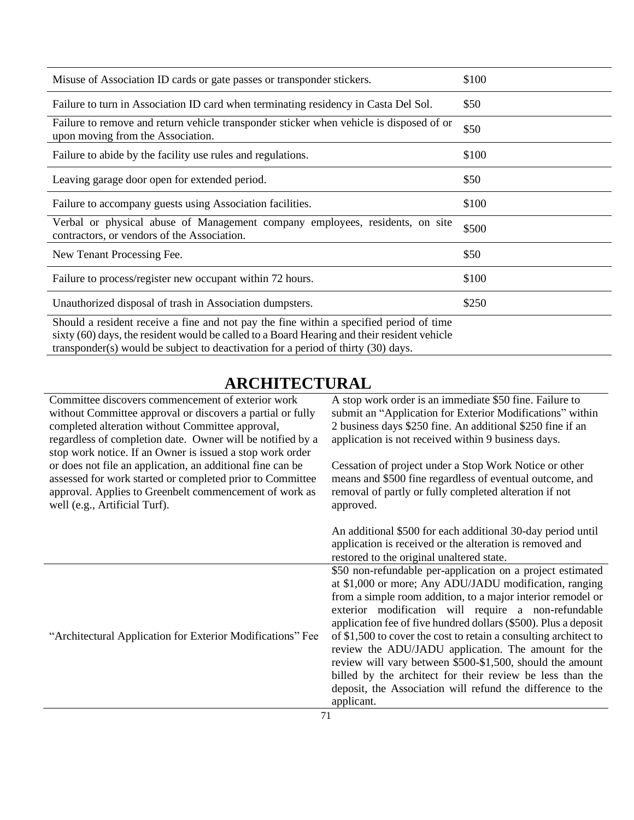| Misuse of Association ID cards or gate passes or transponder stickers.                                                                                                                 | \$100 |
|----------------------------------------------------------------------------------------------------------------------------------------------------------------------------------------|-------|
| Failure to turn in Association ID card when terminating residency in Casta Del Sol.                                                                                                    | \$50  |
| Failure to remove and return vehicle transponder sticker when vehicle is disposed of or<br>upon moving from the Association.                                                           | \$50  |
| Failure to abide by the facility use rules and regulations.                                                                                                                            | \$100 |
| Leaving garage door open for extended period.                                                                                                                                          | \$50  |
| Failure to accompany guests using Association facilities.                                                                                                                              | \$100 |
| Verbal or physical abuse of Management company employees, residents, on site<br>contractors, or vendors of the Association.                                                            | \$500 |
| New Tenant Processing Fee.                                                                                                                                                             | \$50  |
| Failure to process/register new occupant within 72 hours.                                                                                                                              | \$100 |
| Unauthorized disposal of trash in Association dumpsters.                                                                                                                               | \$250 |
| Should a resident receive a fine and not pay the fine within a specified period of time<br>sixty (60) days, the resident would be called to a Board Hearing and their resident vehicle |       |

transponder(s) would be subject to deactivation for a period of thirty (30) days.

# **ARCHITECTURAL**

| Committee discovers commencement of exterior work<br>without Committee approval or discovers a partial or fully<br>completed alteration without Committee approval,<br>regardless of completion date. Owner will be notified by a<br>stop work notice. If an Owner is issued a stop work order | A stop work order is an immediate \$50 fine. Failure to<br>submit an "Application for Exterior Modifications" within<br>2 business days \$250 fine. An additional \$250 fine if an<br>application is not received within 9 business days.                                                                                                                                                                                                                                                                                                                                                                                                      |
|------------------------------------------------------------------------------------------------------------------------------------------------------------------------------------------------------------------------------------------------------------------------------------------------|------------------------------------------------------------------------------------------------------------------------------------------------------------------------------------------------------------------------------------------------------------------------------------------------------------------------------------------------------------------------------------------------------------------------------------------------------------------------------------------------------------------------------------------------------------------------------------------------------------------------------------------------|
| or does not file an application, an additional fine can be<br>assessed for work started or completed prior to Committee<br>approval. Applies to Greenbelt commencement of work as<br>well (e.g., Artificial Turf).                                                                             | Cessation of project under a Stop Work Notice or other<br>means and \$500 fine regardless of eventual outcome, and<br>removal of partly or fully completed alteration if not<br>approved.                                                                                                                                                                                                                                                                                                                                                                                                                                                      |
|                                                                                                                                                                                                                                                                                                | An additional \$500 for each additional 30-day period until<br>application is received or the alteration is removed and<br>restored to the original unaltered state.                                                                                                                                                                                                                                                                                                                                                                                                                                                                           |
| "Architectural Application for Exterior Modifications" Fee                                                                                                                                                                                                                                     | \$50 non-refundable per-application on a project estimated<br>at \$1,000 or more; Any ADU/JADU modification, ranging<br>from a simple room addition, to a major interior remodel or<br>exterior modification will require a non-refundable<br>application fee of five hundred dollars (\$500). Plus a deposit<br>of \$1,500 to cover the cost to retain a consulting architect to<br>review the ADU/JADU application. The amount for the<br>review will vary between \$500-\$1,500, should the amount<br>billed by the architect for their review be less than the<br>deposit, the Association will refund the difference to the<br>applicant. |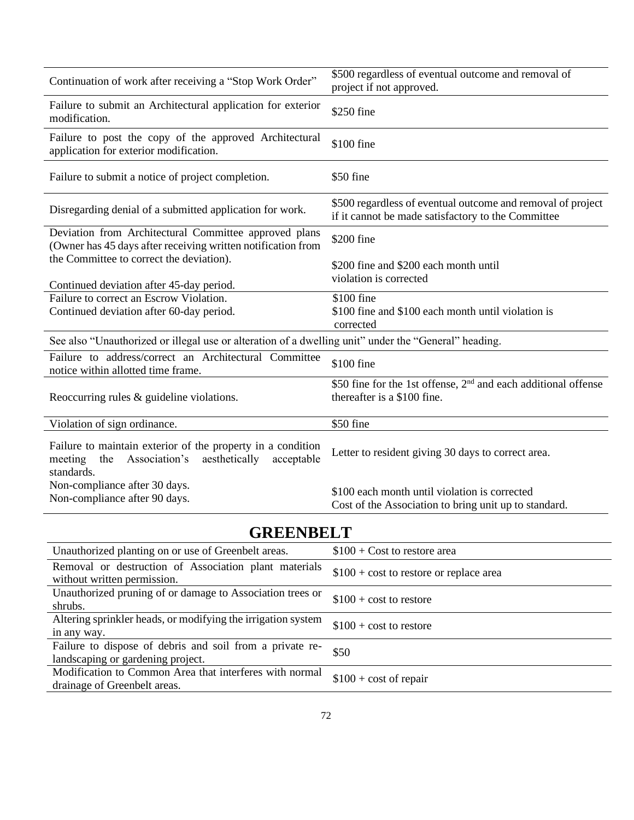| Continuation of work after receiving a "Stop Work Order"                                                                                    | \$500 regardless of eventual outcome and removal of<br>project if not approved.                                   |  |
|---------------------------------------------------------------------------------------------------------------------------------------------|-------------------------------------------------------------------------------------------------------------------|--|
| Failure to submit an Architectural application for exterior<br>modification.                                                                | \$250 fine                                                                                                        |  |
| Failure to post the copy of the approved Architectural<br>application for exterior modification.                                            | \$100 fine                                                                                                        |  |
| Failure to submit a notice of project completion.                                                                                           | \$50 fine                                                                                                         |  |
| Disregarding denial of a submitted application for work.                                                                                    | \$500 regardless of eventual outcome and removal of project<br>if it cannot be made satisfactory to the Committee |  |
| Deviation from Architectural Committee approved plans<br>(Owner has 45 days after receiving written notification from                       | \$200 fine                                                                                                        |  |
| the Committee to correct the deviation).<br>Continued deviation after 45-day period.                                                        | \$200 fine and \$200 each month until<br>violation is corrected                                                   |  |
| Failure to correct an Escrow Violation.                                                                                                     | \$100 fine                                                                                                        |  |
| Continued deviation after 60-day period.                                                                                                    | \$100 fine and \$100 each month until violation is<br>corrected                                                   |  |
| See also "Unauthorized or illegal use or alteration of a dwelling unit" under the "General" heading.                                        |                                                                                                                   |  |
| Failure to address/correct an Architectural Committee<br>notice within allotted time frame.                                                 | \$100 fine                                                                                                        |  |
| Reoccurring rules $&$ guideline violations.                                                                                                 | \$50 fine for the 1st offense, 2 <sup>nd</sup> and each additional offense<br>thereafter is a \$100 fine.         |  |
| Violation of sign ordinance.                                                                                                                | \$50 fine                                                                                                         |  |
| Failure to maintain exterior of the property in a condition<br>Association's<br>aesthetically<br>acceptable<br>meeting<br>the<br>standards. | Letter to resident giving 30 days to correct area.                                                                |  |
| Non-compliance after 30 days.                                                                                                               | \$100 each month until violation is corrected                                                                     |  |
| Non-compliance after 90 days.                                                                                                               | Cost of the Association to bring unit up to standard.                                                             |  |
| <b>GREENBELT</b>                                                                                                                            |                                                                                                                   |  |

| \JI\LZE\\JDEL_I                                                                               |                                          |  |
|-----------------------------------------------------------------------------------------------|------------------------------------------|--|
| Unauthorized planting on or use of Greenbelt areas.                                           | $$100 + Cost$ to restore area            |  |
| Removal or destruction of Association plant materials<br>without written permission.          | $$100 + cost$ to restore or replace area |  |
| Unauthorized pruning of or damage to Association trees or<br>shrubs.                          | $$100 + cost$ to restore                 |  |
| Altering sprinkler heads, or modifying the irrigation system<br>in any way.                   | $$100 + cost$ to restore                 |  |
| Failure to dispose of debris and soil from a private re-<br>landscaping or gardening project. | \$50                                     |  |
| Modification to Common Area that interferes with normal<br>drainage of Greenbelt areas.       | $$100 + cost of repair$                  |  |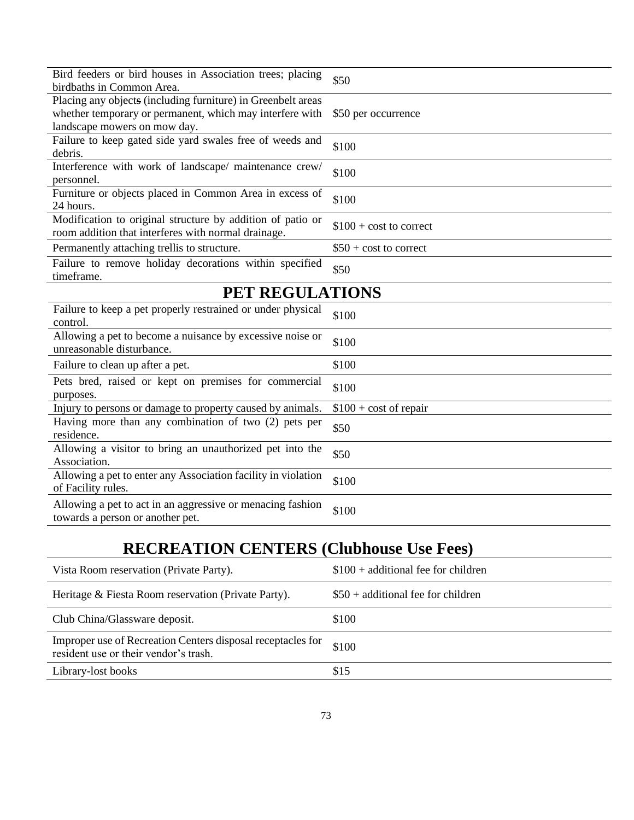| Bird feeders or bird houses in Association trees; placing<br>birdbaths in Common Area.                            | \$50                     |
|-------------------------------------------------------------------------------------------------------------------|--------------------------|
| Placing any objects (including furniture) in Greenbelt areas                                                      |                          |
| whether temporary or permanent, which may interfere with<br>landscape mowers on mow day.                          | \$50 per occurrence      |
| Failure to keep gated side yard swales free of weeds and                                                          | \$100                    |
| debris.                                                                                                           |                          |
| Interference with work of landscape/ maintenance crew/<br>personnel.                                              | \$100                    |
| Furniture or objects placed in Common Area in excess of<br>24 hours.                                              | \$100                    |
| Modification to original structure by addition of patio or<br>room addition that interferes with normal drainage. | $$100 + cost to correct$ |
| Permanently attaching trellis to structure.                                                                       | $$50 + cost to correct$  |
| Failure to remove holiday decorations within specified<br>timeframe.                                              | \$50                     |
| PET REGULATIONS                                                                                                   |                          |
| Failure to keep a pet properly restrained or under physical<br>control.                                           | \$100                    |
| Allowing a pet to become a nuisance by excessive noise or<br>unreasonable disturbance.                            | \$100                    |
| Failure to clean up after a pet.                                                                                  | \$100                    |
| Pets bred, raised or kept on premises for commercial<br>purposes.                                                 | \$100                    |
| Injury to persons or damage to property caused by animals.                                                        | $$100 + cost of repair$  |
| Having more than any combination of two (2) pets per<br>residence.                                                | \$50                     |
| Allowing a visitor to bring an unauthorized pet into the<br>Association.                                          | \$50                     |
| Allowing a pet to enter any Association facility in violation<br>of Facility rules.                               | \$100                    |
| Allowing a pet to act in an aggressive or menacing fashion<br>towards a person or another pet.                    | \$100                    |

## **RECREATION CENTERS (Clubhouse Use Fees)**

| Vista Room reservation (Private Party).                                                              | $$100 + additional fee for children$ |
|------------------------------------------------------------------------------------------------------|--------------------------------------|
| Heritage & Fiesta Room reservation (Private Party).                                                  | $$50 + additional fee for children$  |
| Club China/Glassware deposit.                                                                        | \$100                                |
| Improper use of Recreation Centers disposal receptacles for<br>resident use or their vendor's trash. | \$100                                |
| Library-lost books                                                                                   | \$15                                 |